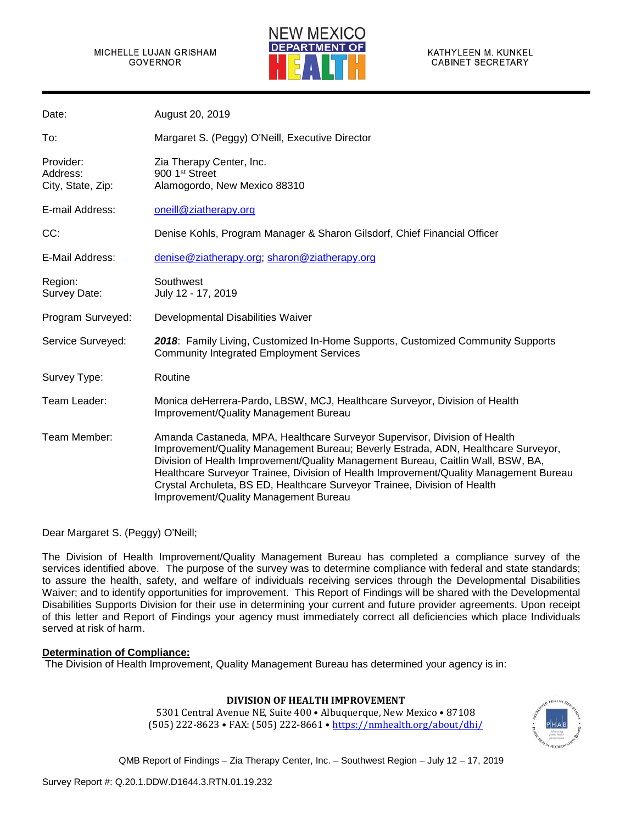#### MICHELLE LUJAN GRISHAM **GOVERNOR**



| Date:                                      | August 20, 2019                                                                                                                                                                                                                                                                                                                                                                                                                                                   |
|--------------------------------------------|-------------------------------------------------------------------------------------------------------------------------------------------------------------------------------------------------------------------------------------------------------------------------------------------------------------------------------------------------------------------------------------------------------------------------------------------------------------------|
| To:                                        | Margaret S. (Peggy) O'Neill, Executive Director                                                                                                                                                                                                                                                                                                                                                                                                                   |
| Provider:<br>Address:<br>City, State, Zip: | Zia Therapy Center, Inc.<br>900 1 <sup>st</sup> Street<br>Alamogordo, New Mexico 88310                                                                                                                                                                                                                                                                                                                                                                            |
| E-mail Address:                            | oneill@ziatherapy.org                                                                                                                                                                                                                                                                                                                                                                                                                                             |
| CC:                                        | Denise Kohls, Program Manager & Sharon Gilsdorf, Chief Financial Officer                                                                                                                                                                                                                                                                                                                                                                                          |
| E-Mail Address:                            | denise@ziatherapy.org; sharon@ziatherapy.org                                                                                                                                                                                                                                                                                                                                                                                                                      |
| Region:<br>Survey Date:                    | Southwest<br>July 12 - 17, 2019                                                                                                                                                                                                                                                                                                                                                                                                                                   |
| Program Surveyed:                          | Developmental Disabilities Waiver                                                                                                                                                                                                                                                                                                                                                                                                                                 |
| Service Surveyed:                          | 2018: Family Living, Customized In-Home Supports, Customized Community Supports<br><b>Community Integrated Employment Services</b>                                                                                                                                                                                                                                                                                                                                |
| Survey Type:                               | Routine                                                                                                                                                                                                                                                                                                                                                                                                                                                           |
| Team Leader:                               | Monica deHerrera-Pardo, LBSW, MCJ, Healthcare Surveyor, Division of Health<br>Improvement/Quality Management Bureau                                                                                                                                                                                                                                                                                                                                               |
| Team Member:                               | Amanda Castaneda, MPA, Healthcare Surveyor Supervisor, Division of Health<br>Improvement/Quality Management Bureau; Beverly Estrada, ADN, Healthcare Surveyor,<br>Division of Health Improvement/Quality Management Bureau, Caitlin Wall, BSW, BA,<br>Healthcare Surveyor Trainee, Division of Health Improvement/Quality Management Bureau<br>Crystal Archuleta, BS ED, Healthcare Surveyor Trainee, Division of Health<br>Improvement/Quality Management Bureau |

Dear Margaret S. (Peggy) O'Neill;

The Division of Health Improvement/Quality Management Bureau has completed a compliance survey of the services identified above. The purpose of the survey was to determine compliance with federal and state standards; to assure the health, safety, and welfare of individuals receiving services through the Developmental Disabilities Waiver; and to identify opportunities for improvement. This Report of Findings will be shared with the Developmental Disabilities Supports Division for their use in determining your current and future provider agreements. Upon receipt of this letter and Report of Findings your agency must immediately correct all deficiencies which place Individuals served at risk of harm.

### **Determination of Compliance:**

The Division of Health Improvement, Quality Management Bureau has determined your agency is in:

## **DIVISION OF HEALTH IMPROVEMENT**

5301 Central Avenue NE, Suite 400 • Albuquerque, New Mexico • 87108 (505) 222-8623 • FAX: (505) 222-8661 [• https://nmhealth.org/about/dhi/](https://nmhealth.org/about/dhi/)

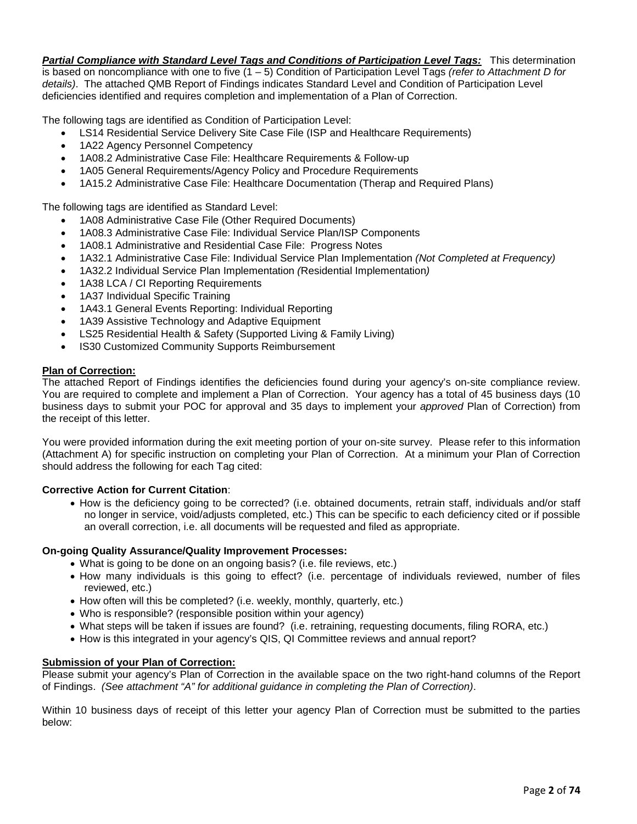*Partial Compliance with Standard Level Tags and Conditions of Participation Level Tags:* This determination is based on noncompliance with one to five (1 – 5) Condition of Participation Level Tags *(refer to Attachment D for details)*. The attached QMB Report of Findings indicates Standard Level and Condition of Participation Level deficiencies identified and requires completion and implementation of a Plan of Correction.

The following tags are identified as Condition of Participation Level:

- LS14 Residential Service Delivery Site Case File (ISP and Healthcare Requirements)
- 1A22 Agency Personnel Competency
- 1A08.2 Administrative Case File: Healthcare Requirements & Follow-up
- 1A05 General Requirements/Agency Policy and Procedure Requirements
- 1A15.2 Administrative Case File: Healthcare Documentation (Therap and Required Plans)

The following tags are identified as Standard Level:

- 1A08 Administrative Case File (Other Required Documents)
- 1A08.3 Administrative Case File: Individual Service Plan/ISP Components
- 1A08.1 Administrative and Residential Case File: Progress Notes
- 1A32.1 Administrative Case File: Individual Service Plan Implementation *(Not Completed at Frequency)*
- 1A32.2 Individual Service Plan Implementation *(*Residential Implementation*)*
- 1A38 LCA / CI Reporting Requirements
- 1A37 Individual Specific Training
- 1A43.1 General Events Reporting: Individual Reporting
- 1A39 Assistive Technology and Adaptive Equipment
- LS25 Residential Health & Safety (Supported Living & Family Living)
- IS30 Customized Community Supports Reimbursement

#### **Plan of Correction:**

The attached Report of Findings identifies the deficiencies found during your agency's on-site compliance review. You are required to complete and implement a Plan of Correction. Your agency has a total of 45 business days (10 business days to submit your POC for approval and 35 days to implement your *approved* Plan of Correction) from the receipt of this letter.

You were provided information during the exit meeting portion of your on-site survey. Please refer to this information (Attachment A) for specific instruction on completing your Plan of Correction. At a minimum your Plan of Correction should address the following for each Tag cited:

#### **Corrective Action for Current Citation**:

• How is the deficiency going to be corrected? (i.e. obtained documents, retrain staff, individuals and/or staff no longer in service, void/adjusts completed, etc.) This can be specific to each deficiency cited or if possible an overall correction, i.e. all documents will be requested and filed as appropriate.

#### **On-going Quality Assurance/Quality Improvement Processes:**

- What is going to be done on an ongoing basis? (i.e. file reviews, etc.)
- How many individuals is this going to effect? (i.e. percentage of individuals reviewed, number of files reviewed, etc.)
- How often will this be completed? (i.e. weekly, monthly, quarterly, etc.)
- Who is responsible? (responsible position within your agency)
- What steps will be taken if issues are found? (i.e. retraining, requesting documents, filing RORA, etc.)
- How is this integrated in your agency's QIS, QI Committee reviews and annual report?

#### **Submission of your Plan of Correction:**

Please submit your agency's Plan of Correction in the available space on the two right-hand columns of the Report of Findings. *(See attachment "A" for additional guidance in completing the Plan of Correction)*.

Within 10 business days of receipt of this letter your agency Plan of Correction must be submitted to the parties below: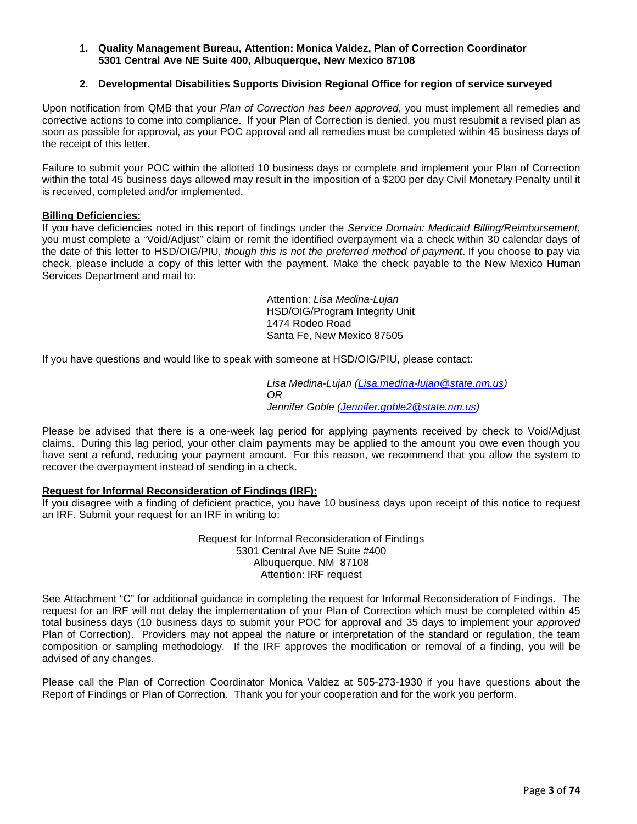### **1. Quality Management Bureau, Attention: Monica Valdez, Plan of Correction Coordinator 5301 Central Ave NE Suite 400, Albuquerque, New Mexico 87108**

## **2. Developmental Disabilities Supports Division Regional Office for region of service surveyed**

Upon notification from QMB that your *Plan of Correction has been approved*, you must implement all remedies and corrective actions to come into compliance. If your Plan of Correction is denied, you must resubmit a revised plan as soon as possible for approval, as your POC approval and all remedies must be completed within 45 business days of the receipt of this letter.

Failure to submit your POC within the allotted 10 business days or complete and implement your Plan of Correction within the total 45 business days allowed may result in the imposition of a \$200 per day Civil Monetary Penalty until it is received, completed and/or implemented.

#### **Billing Deficiencies:**

If you have deficiencies noted in this report of findings under the *Service Domain: Medicaid Billing/Reimbursement*, you must complete a "Void/Adjust" claim or remit the identified overpayment via a check within 30 calendar days of the date of this letter to HSD/OIG/PIU, *though this is not the preferred method of payment*. If you choose to pay via check, please include a copy of this letter with the payment. Make the check payable to the New Mexico Human Services Department and mail to:

> Attention: *Lisa Medina-Lujan* HSD/OIG/Program Integrity Unit 1474 Rodeo Road Santa Fe, New Mexico 87505

If you have questions and would like to speak with someone at HSD/OIG/PIU, please contact:

*Lisa Medina-Lujan [\(Lisa.medina-lujan@state.nm.us\)](mailto:Lisa.medina-lujan@state.nm.us) OR Jennifer Goble [\(Jennifer.goble2@state.nm.us\)](mailto:Jennifer.goble2@state.nm.us)*

Please be advised that there is a one-week lag period for applying payments received by check to Void/Adjust claims. During this lag period, your other claim payments may be applied to the amount you owe even though you have sent a refund, reducing your payment amount. For this reason, we recommend that you allow the system to recover the overpayment instead of sending in a check.

#### **Request for Informal Reconsideration of Findings (IRF):**

If you disagree with a finding of deficient practice, you have 10 business days upon receipt of this notice to request an IRF. Submit your request for an IRF in writing to:

> Request for Informal Reconsideration of Findings 5301 Central Ave NE Suite #400 Albuquerque, NM 87108 Attention: IRF request

See Attachment "C" for additional guidance in completing the request for Informal Reconsideration of Findings. The request for an IRF will not delay the implementation of your Plan of Correction which must be completed within 45 total business days (10 business days to submit your POC for approval and 35 days to implement your *approved* Plan of Correction). Providers may not appeal the nature or interpretation of the standard or regulation, the team composition or sampling methodology. If the IRF approves the modification or removal of a finding, you will be advised of any changes.

Please call the Plan of Correction Coordinator Monica Valdez at 505-273-1930 if you have questions about the Report of Findings or Plan of Correction. Thank you for your cooperation and for the work you perform.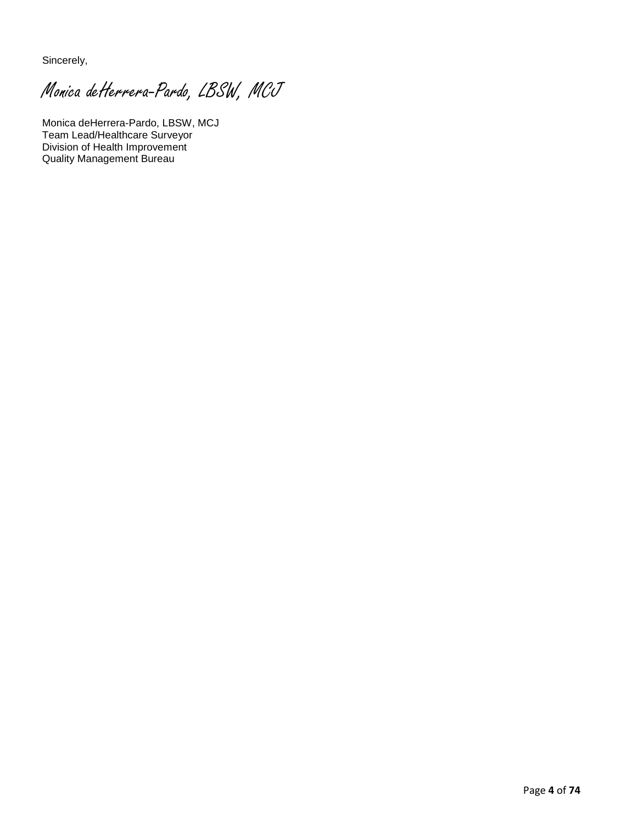Sincerely,

Monica deHerrera-Pardo, LBSW, MCJ

Monica deHerrera-Pardo, LBSW, MCJ Team Lead/Healthcare Surveyor Division of Health Improvement Quality Management Bureau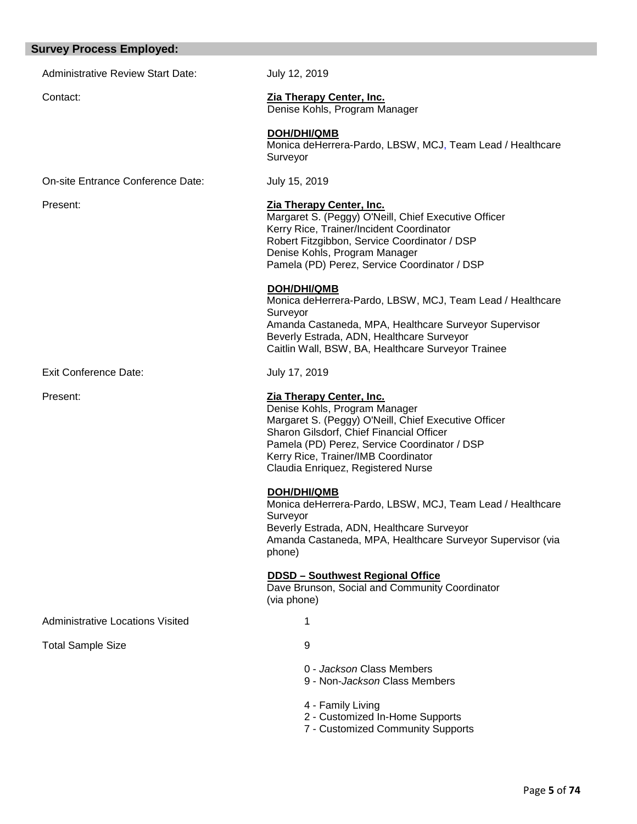|  | <b>Survey Process Employed:</b> |  |  |
|--|---------------------------------|--|--|
|--|---------------------------------|--|--|

Administrative Review Start Date: July 12, 2019 Contact: **Zia Therapy Center, Inc.** Denise Kohls, Program Manager **DOH/DHI/QMB** Monica deHerrera-Pardo, LBSW, MCJ, Team Lead / Healthcare Surveyor On-site Entrance Conference Date: July 15, 2019 Present: **Zia Therapy Center, Inc.** Margaret S. (Peggy) O'Neill, Chief Executive Officer Kerry Rice, Trainer/Incident Coordinator Robert Fitzgibbon, Service Coordinator / DSP Denise Kohls, Program Manager Pamela (PD) Perez, Service Coordinator / DSP  **DOH/DHI/QMB** Monica deHerrera-Pardo, LBSW, MCJ, Team Lead / Healthcare Surveyor Amanda Castaneda, MPA, Healthcare Surveyor Supervisor Beverly Estrada, ADN, Healthcare Surveyor Caitlin Wall, BSW, BA, Healthcare Surveyor Trainee Exit Conference Date: July 17, 2019 Present: **Zia Therapy Center, Inc.** Denise Kohls, Program Manager Margaret S. (Peggy) O'Neill, Chief Executive Officer Sharon Gilsdorf, Chief Financial Officer Pamela (PD) Perez, Service Coordinator / DSP Kerry Rice, Trainer/IMB Coordinator Claudia Enriquez, Registered Nurse  **DOH/DHI/QMB** Monica deHerrera-Pardo, LBSW, MCJ, Team Lead / Healthcare Surveyor Beverly Estrada, ADN, Healthcare Surveyor Amanda Castaneda, MPA, Healthcare Surveyor Supervisor (via phone)  **DDSD – Southwest Regional Office** Dave Brunson, Social and Community Coordinator (via phone) Administrative Locations Visited 1 Total Sample Size 9 0 - *Jackson* Class Members 9 - Non-*Jackson* Class Members 4 - Family Living 2 - Customized In-Home Supports

7 - Customized Community Supports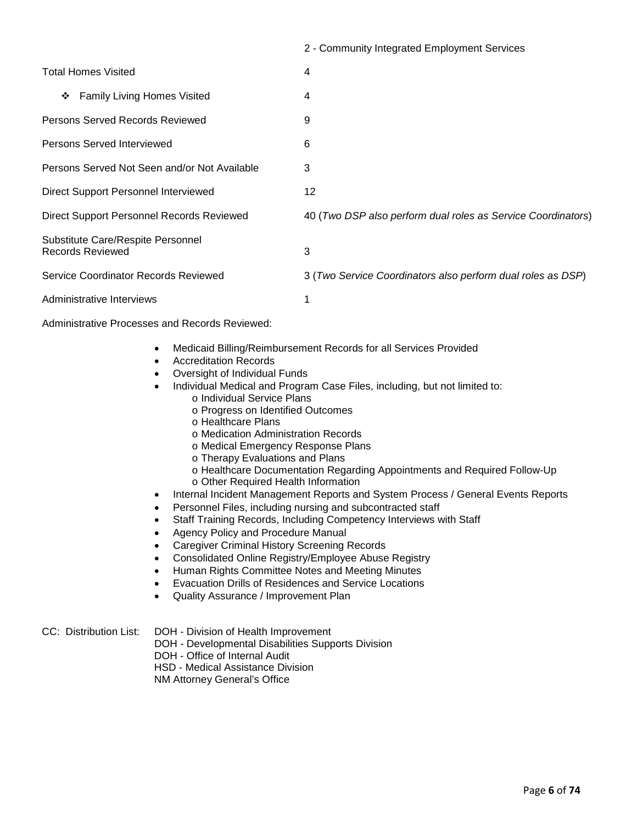| <b>Total Homes Visited</b>                                   | 4                                                            |
|--------------------------------------------------------------|--------------------------------------------------------------|
| <b>Family Living Homes Visited</b><br>❖                      | 4                                                            |
| Persons Served Records Reviewed                              | 9                                                            |
| Persons Served Interviewed                                   | 6                                                            |
| Persons Served Not Seen and/or Not Available                 | 3                                                            |
| Direct Support Personnel Interviewed                         | 12                                                           |
| Direct Support Personnel Records Reviewed                    | 40 (Two DSP also perform dual roles as Service Coordinators) |
| Substitute Care/Respite Personnel<br><b>Records Reviewed</b> | 3                                                            |
| Service Coordinator Records Reviewed                         | 3 (Two Service Coordinators also perform dual roles as DSP)  |
| Administrative Interviews                                    |                                                              |

Administrative Processes and Records Reviewed:

- Medicaid Billing/Reimbursement Records for all Services Provided
- Accreditation Records
- Oversight of Individual Funds
- Individual Medical and Program Case Files, including, but not limited to:
	- o Individual Service Plans
	- o Progress on Identified Outcomes
	- o Healthcare Plans
	- o Medication Administration Records
	- o Medical Emergency Response Plans
	- o Therapy Evaluations and Plans
	- o Healthcare Documentation Regarding Appointments and Required Follow-Up o Other Required Health Information
	- Internal Incident Management Reports and System Process / General Events Reports
- Personnel Files, including nursing and subcontracted staff
- Staff Training Records, Including Competency Interviews with Staff
- Agency Policy and Procedure Manual
- Caregiver Criminal History Screening Records
- Consolidated Online Registry/Employee Abuse Registry
- Human Rights Committee Notes and Meeting Minutes
- Evacuation Drills of Residences and Service Locations
- Quality Assurance / Improvement Plan

|  | CC: Distribution List: | DOH - Division of Health Improvement |
|--|------------------------|--------------------------------------|
|--|------------------------|--------------------------------------|

- DOH Developmental Disabilities Supports Division
- DOH Office of Internal Audit

HSD - Medical Assistance Division

NM Attorney General's Office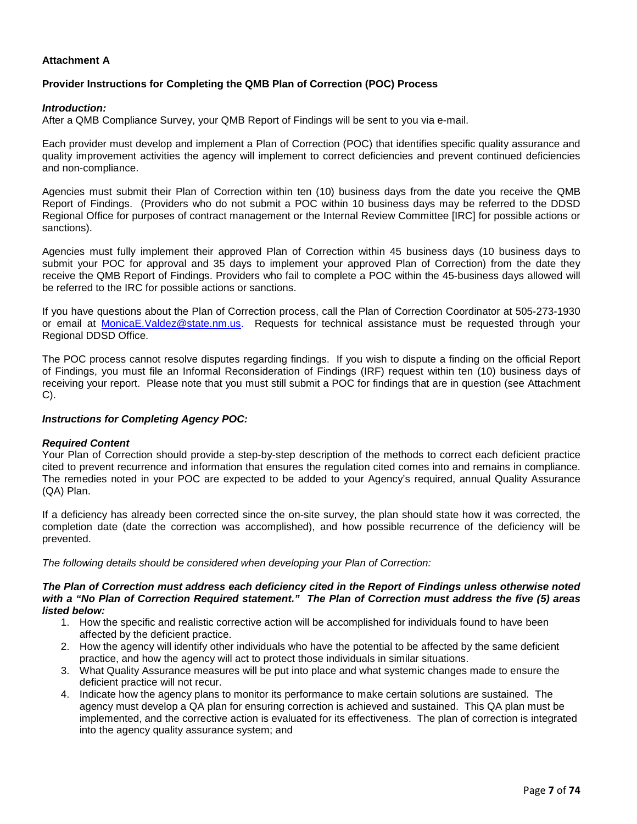## **Attachment A**

### **Provider Instructions for Completing the QMB Plan of Correction (POC) Process**

#### *Introduction:*

After a QMB Compliance Survey, your QMB Report of Findings will be sent to you via e-mail.

Each provider must develop and implement a Plan of Correction (POC) that identifies specific quality assurance and quality improvement activities the agency will implement to correct deficiencies and prevent continued deficiencies and non-compliance.

Agencies must submit their Plan of Correction within ten (10) business days from the date you receive the QMB Report of Findings. (Providers who do not submit a POC within 10 business days may be referred to the DDSD Regional Office for purposes of contract management or the Internal Review Committee [IRC] for possible actions or sanctions).

Agencies must fully implement their approved Plan of Correction within 45 business days (10 business days to submit your POC for approval and 35 days to implement your approved Plan of Correction) from the date they receive the QMB Report of Findings. Providers who fail to complete a POC within the 45-business days allowed will be referred to the IRC for possible actions or sanctions.

If you have questions about the Plan of Correction process, call the Plan of Correction Coordinator at 505-273-1930 or email at [MonicaE.Valdez@state.nm.us.](mailto:MonicaE.Valdez@state.nm.us) Requests for technical assistance must be requested through your Regional DDSD Office.

The POC process cannot resolve disputes regarding findings. If you wish to dispute a finding on the official Report of Findings, you must file an Informal Reconsideration of Findings (IRF) request within ten (10) business days of receiving your report. Please note that you must still submit a POC for findings that are in question (see Attachment C).

#### *Instructions for Completing Agency POC:*

#### *Required Content*

Your Plan of Correction should provide a step-by-step description of the methods to correct each deficient practice cited to prevent recurrence and information that ensures the regulation cited comes into and remains in compliance. The remedies noted in your POC are expected to be added to your Agency's required, annual Quality Assurance (QA) Plan.

If a deficiency has already been corrected since the on-site survey, the plan should state how it was corrected, the completion date (date the correction was accomplished), and how possible recurrence of the deficiency will be prevented.

*The following details should be considered when developing your Plan of Correction:*

#### *The Plan of Correction must address each deficiency cited in the Report of Findings unless otherwise noted with a "No Plan of Correction Required statement." The Plan of Correction must address the five (5) areas listed below:*

- 1. How the specific and realistic corrective action will be accomplished for individuals found to have been affected by the deficient practice.
- 2. How the agency will identify other individuals who have the potential to be affected by the same deficient practice, and how the agency will act to protect those individuals in similar situations.
- 3. What Quality Assurance measures will be put into place and what systemic changes made to ensure the deficient practice will not recur.
- 4. Indicate how the agency plans to monitor its performance to make certain solutions are sustained. The agency must develop a QA plan for ensuring correction is achieved and sustained. This QA plan must be implemented, and the corrective action is evaluated for its effectiveness. The plan of correction is integrated into the agency quality assurance system; and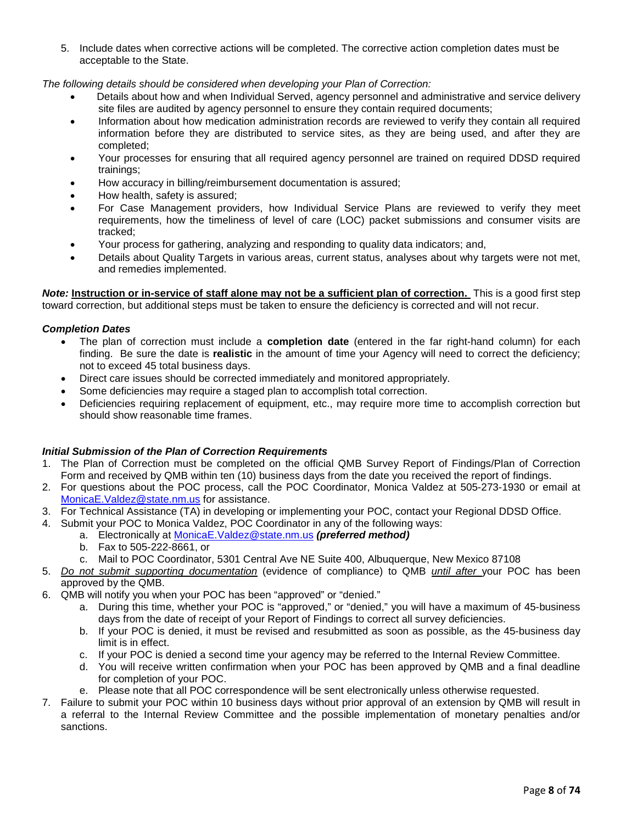5. Include dates when corrective actions will be completed. The corrective action completion dates must be acceptable to the State.

*The following details should be considered when developing your Plan of Correction:*

- Details about how and when Individual Served, agency personnel and administrative and service delivery site files are audited by agency personnel to ensure they contain required documents;
- Information about how medication administration records are reviewed to verify they contain all required information before they are distributed to service sites, as they are being used, and after they are completed;
- Your processes for ensuring that all required agency personnel are trained on required DDSD required trainings;
- How accuracy in billing/reimbursement documentation is assured;
- How health, safety is assured;
- For Case Management providers, how Individual Service Plans are reviewed to verify they meet requirements, how the timeliness of level of care (LOC) packet submissions and consumer visits are tracked;
- Your process for gathering, analyzing and responding to quality data indicators; and,
- Details about Quality Targets in various areas, current status, analyses about why targets were not met, and remedies implemented.

*Note:* **Instruction or in-service of staff alone may not be a sufficient plan of correction.** This is a good first step toward correction, but additional steps must be taken to ensure the deficiency is corrected and will not recur.

#### *Completion Dates*

- The plan of correction must include a **completion date** (entered in the far right-hand column) for each finding. Be sure the date is **realistic** in the amount of time your Agency will need to correct the deficiency; not to exceed 45 total business days.
- Direct care issues should be corrected immediately and monitored appropriately.
- Some deficiencies may require a staged plan to accomplish total correction.
- Deficiencies requiring replacement of equipment, etc., may require more time to accomplish correction but should show reasonable time frames.

## *Initial Submission of the Plan of Correction Requirements*

- 1. The Plan of Correction must be completed on the official QMB Survey Report of Findings/Plan of Correction Form and received by QMB within ten (10) business days from the date you received the report of findings.
- 2. For questions about the POC process, call the POC Coordinator, Monica Valdez at 505-273-1930 or email at [MonicaE.Valdez@state.nm.us](mailto:MonicaE.Valdez@state.nm.us) for assistance.
- 3. For Technical Assistance (TA) in developing or implementing your POC, contact your Regional DDSD Office.
- 4. Submit your POC to Monica Valdez, POC Coordinator in any of the following ways:
	- a. Electronically at [MonicaE.Valdez@state.nm.us](mailto:MonicaE.Valdez@state.nm.us) *(preferred method)*
	- b. Fax to 505-222-8661, or
	- c. Mail to POC Coordinator, 5301 Central Ave NE Suite 400, Albuquerque, New Mexico 87108
- 5. *Do not submit supporting documentation* (evidence of compliance) to QMB *until after* your POC has been approved by the QMB.
- 6. QMB will notify you when your POC has been "approved" or "denied."
	- a. During this time, whether your POC is "approved," or "denied," you will have a maximum of 45-business days from the date of receipt of your Report of Findings to correct all survey deficiencies.
	- b. If your POC is denied, it must be revised and resubmitted as soon as possible, as the 45-business day limit is in effect.
	- c. If your POC is denied a second time your agency may be referred to the Internal Review Committee.
	- d. You will receive written confirmation when your POC has been approved by QMB and a final deadline for completion of your POC.
	- e. Please note that all POC correspondence will be sent electronically unless otherwise requested.
- 7. Failure to submit your POC within 10 business days without prior approval of an extension by QMB will result in a referral to the Internal Review Committee and the possible implementation of monetary penalties and/or sanctions.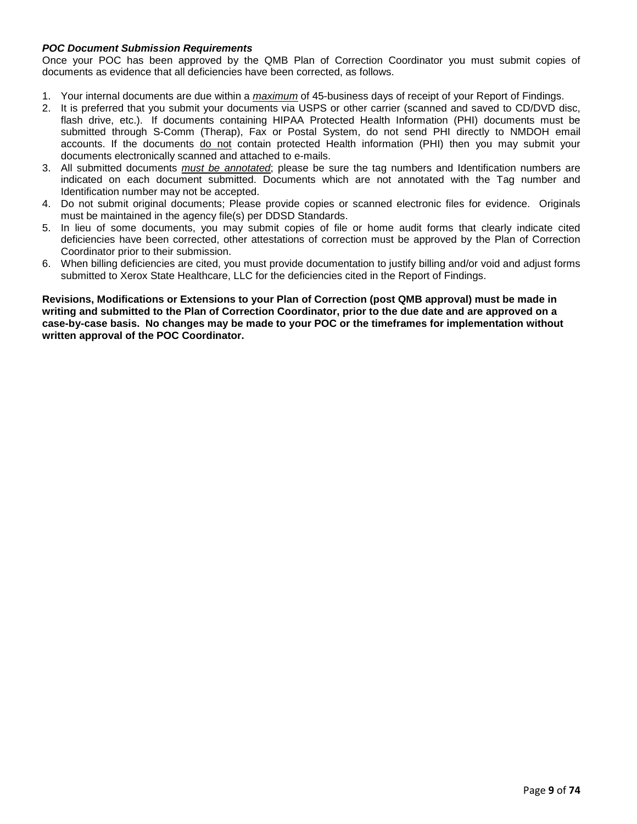## *POC Document Submission Requirements*

Once your POC has been approved by the QMB Plan of Correction Coordinator you must submit copies of documents as evidence that all deficiencies have been corrected, as follows.

- 1. Your internal documents are due within a *maximum* of 45-business days of receipt of your Report of Findings.
- 2. It is preferred that you submit your documents via USPS or other carrier (scanned and saved to CD/DVD disc, flash drive, etc.). If documents containing HIPAA Protected Health Information (PHI) documents must be submitted through S-Comm (Therap), Fax or Postal System, do not send PHI directly to NMDOH email accounts. If the documents do not contain protected Health information (PHI) then you may submit your documents electronically scanned and attached to e-mails.
- 3. All submitted documents *must be annotated*; please be sure the tag numbers and Identification numbers are indicated on each document submitted. Documents which are not annotated with the Tag number and Identification number may not be accepted.
- 4. Do not submit original documents; Please provide copies or scanned electronic files for evidence. Originals must be maintained in the agency file(s) per DDSD Standards.
- 5. In lieu of some documents, you may submit copies of file or home audit forms that clearly indicate cited deficiencies have been corrected, other attestations of correction must be approved by the Plan of Correction Coordinator prior to their submission.
- 6. When billing deficiencies are cited, you must provide documentation to justify billing and/or void and adjust forms submitted to Xerox State Healthcare, LLC for the deficiencies cited in the Report of Findings.

**Revisions, Modifications or Extensions to your Plan of Correction (post QMB approval) must be made in writing and submitted to the Plan of Correction Coordinator, prior to the due date and are approved on a case-by-case basis. No changes may be made to your POC or the timeframes for implementation without written approval of the POC Coordinator.**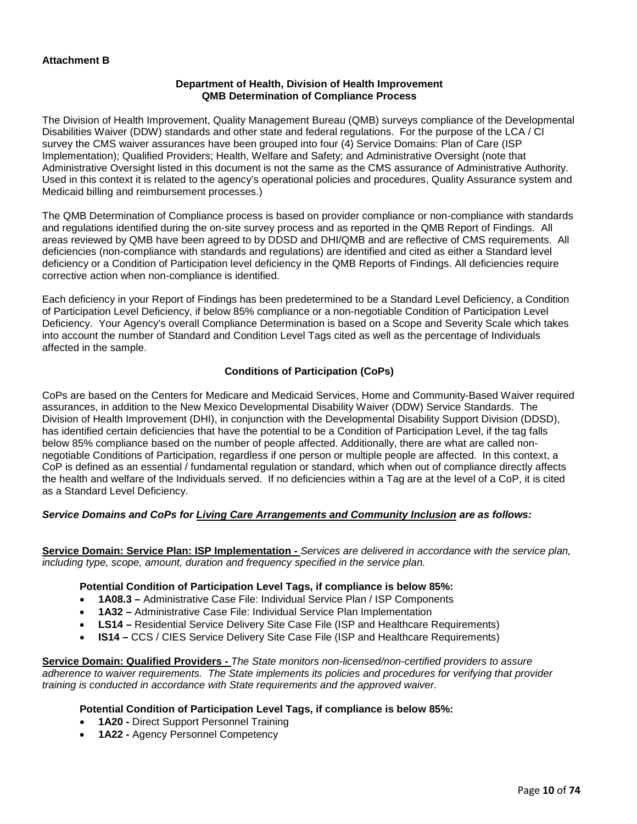## **Department of Health, Division of Health Improvement QMB Determination of Compliance Process**

The Division of Health Improvement, Quality Management Bureau (QMB) surveys compliance of the Developmental Disabilities Waiver (DDW) standards and other state and federal regulations. For the purpose of the LCA / CI survey the CMS waiver assurances have been grouped into four (4) Service Domains: Plan of Care (ISP Implementation); Qualified Providers; Health, Welfare and Safety; and Administrative Oversight (note that Administrative Oversight listed in this document is not the same as the CMS assurance of Administrative Authority. Used in this context it is related to the agency's operational policies and procedures, Quality Assurance system and Medicaid billing and reimbursement processes.)

The QMB Determination of Compliance process is based on provider compliance or non-compliance with standards and regulations identified during the on-site survey process and as reported in the QMB Report of Findings. All areas reviewed by QMB have been agreed to by DDSD and DHI/QMB and are reflective of CMS requirements. All deficiencies (non-compliance with standards and regulations) are identified and cited as either a Standard level deficiency or a Condition of Participation level deficiency in the QMB Reports of Findings. All deficiencies require corrective action when non-compliance is identified.

Each deficiency in your Report of Findings has been predetermined to be a Standard Level Deficiency, a Condition of Participation Level Deficiency, if below 85% compliance or a non-negotiable Condition of Participation Level Deficiency. Your Agency's overall Compliance Determination is based on a Scope and Severity Scale which takes into account the number of Standard and Condition Level Tags cited as well as the percentage of Individuals affected in the sample.

## **Conditions of Participation (CoPs)**

CoPs are based on the Centers for Medicare and Medicaid Services, Home and Community-Based Waiver required assurances, in addition to the New Mexico Developmental Disability Waiver (DDW) Service Standards. The Division of Health Improvement (DHI), in conjunction with the Developmental Disability Support Division (DDSD), has identified certain deficiencies that have the potential to be a Condition of Participation Level, if the tag falls below 85% compliance based on the number of people affected. Additionally, there are what are called nonnegotiable Conditions of Participation, regardless if one person or multiple people are affected. In this context, a CoP is defined as an essential / fundamental regulation or standard, which when out of compliance directly affects the health and welfare of the Individuals served. If no deficiencies within a Tag are at the level of a CoP, it is cited as a Standard Level Deficiency.

## *Service Domains and CoPs for Living Care Arrangements and Community Inclusion are as follows:*

**Service Domain: Service Plan: ISP Implementation -** *Services are delivered in accordance with the service plan, including type, scope, amount, duration and frequency specified in the service plan.*

#### **Potential Condition of Participation Level Tags, if compliance is below 85%:**

- **1A08.3 –** Administrative Case File: Individual Service Plan / ISP Components
- **1A32 –** Administrative Case File: Individual Service Plan Implementation
- **LS14 –** Residential Service Delivery Site Case File (ISP and Healthcare Requirements)
- **IS14** CCS / CIES Service Delivery Site Case File (ISP and Healthcare Requirements)

**Service Domain: Qualified Providers -** *The State monitors non-licensed/non-certified providers to assure adherence to waiver requirements. The State implements its policies and procedures for verifying that provider training is conducted in accordance with State requirements and the approved waiver.*

#### **Potential Condition of Participation Level Tags, if compliance is below 85%:**

- **1A20 -** Direct Support Personnel Training
- **1A22 -** Agency Personnel Competency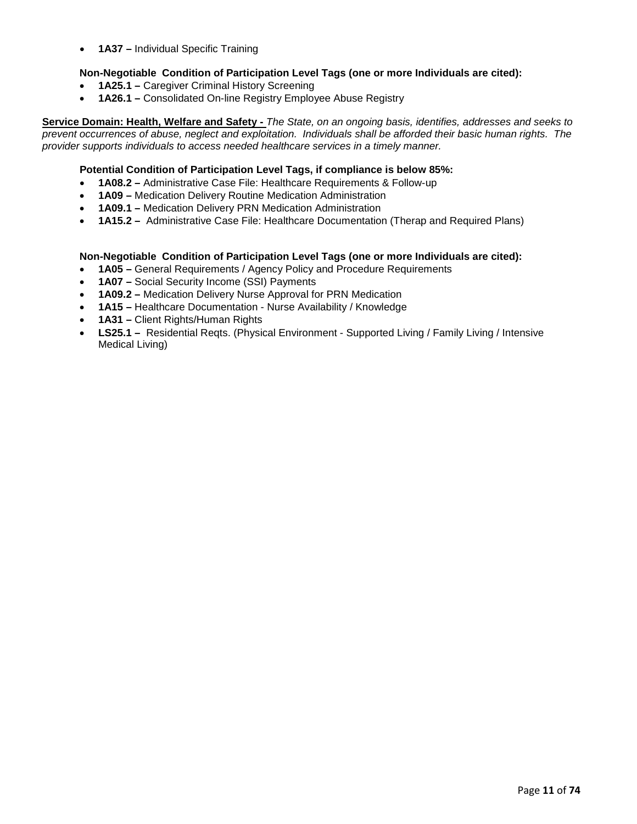• **1A37 –** Individual Specific Training

## **Non-Negotiable Condition of Participation Level Tags (one or more Individuals are cited):**

- **1A25.1 –** Caregiver Criminal History Screening
- **1A26.1 –** Consolidated On-line Registry Employee Abuse Registry

**Service Domain: Health, Welfare and Safety -** *The State, on an ongoing basis, identifies, addresses and seeks to prevent occurrences of abuse, neglect and exploitation. Individuals shall be afforded their basic human rights. The provider supports individuals to access needed healthcare services in a timely manner.*

### **Potential Condition of Participation Level Tags, if compliance is below 85%:**

- **1A08.2 –** Administrative Case File: Healthcare Requirements & Follow-up
- **1A09 –** Medication Delivery Routine Medication Administration
- **1A09.1 –** Medication Delivery PRN Medication Administration
- **1A15.2 –** Administrative Case File: Healthcare Documentation (Therap and Required Plans)

## **Non-Negotiable Condition of Participation Level Tags (one or more Individuals are cited):**

- **1A05 –** General Requirements / Agency Policy and Procedure Requirements
- **1A07 –** Social Security Income (SSI) Payments
- **1A09.2 –** Medication Delivery Nurse Approval for PRN Medication
- **1A15 –** Healthcare Documentation Nurse Availability / Knowledge
- **1A31 –** Client Rights/Human Rights
- **LS25.1** Residential Reqts. (Physical Environment Supported Living / Family Living / Intensive Medical Living)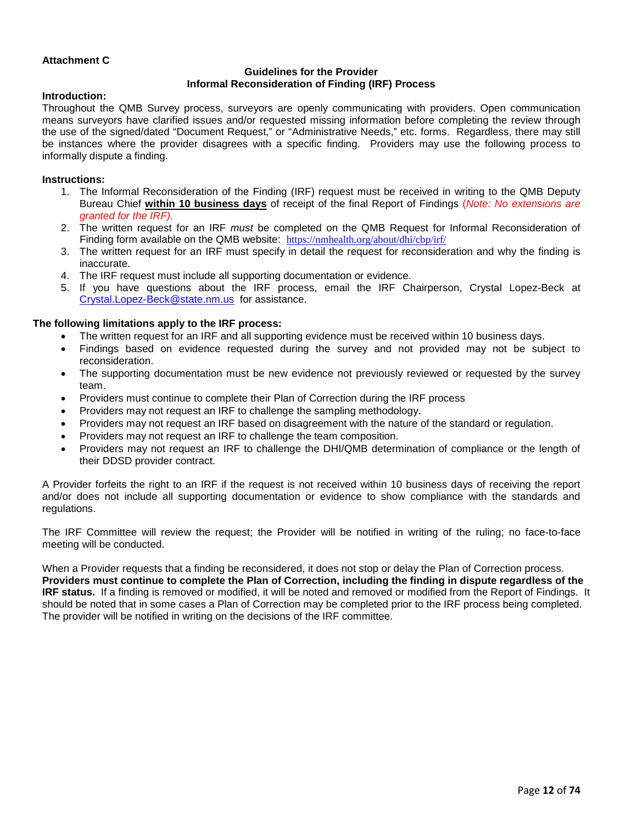## **Attachment C**

### **Guidelines for the Provider Informal Reconsideration of Finding (IRF) Process**

#### **Introduction:**

Throughout the QMB Survey process, surveyors are openly communicating with providers. Open communication means surveyors have clarified issues and/or requested missing information before completing the review through the use of the signed/dated "Document Request," or "Administrative Needs," etc. forms. Regardless, there may still be instances where the provider disagrees with a specific finding. Providers may use the following process to informally dispute a finding.

#### **Instructions:**

- 1. The Informal Reconsideration of the Finding (IRF) request must be received in writing to the QMB Deputy Bureau Chief **within 10 business days** of receipt of the final Report of Findings (*Note: No extensions are granted for the IRF)*.
- 2. The written request for an IRF *must* be completed on the QMB Request for Informal Reconsideration of Finding form available on the QMB website: <https://nmhealth.org/about/dhi/cbp/irf/>
- 3. The written request for an IRF must specify in detail the request for reconsideration and why the finding is inaccurate.
- 4. The IRF request must include all supporting documentation or evidence.
- 5. If you have questions about the IRF process, email the IRF Chairperson, Crystal Lopez-Beck at [Crystal.Lopez-Beck@state.nm.us](mailto:Crystal.Lopez-Beck@state.nm.us) for assistance.

#### **The following limitations apply to the IRF process:**

- The written request for an IRF and all supporting evidence must be received within 10 business days.
- Findings based on evidence requested during the survey and not provided may not be subject to reconsideration.
- The supporting documentation must be new evidence not previously reviewed or requested by the survey team.
- Providers must continue to complete their Plan of Correction during the IRF process
- Providers may not request an IRF to challenge the sampling methodology.
- Providers may not request an IRF based on disagreement with the nature of the standard or regulation.
- Providers may not request an IRF to challenge the team composition.
- Providers may not request an IRF to challenge the DHI/QMB determination of compliance or the length of their DDSD provider contract.

A Provider forfeits the right to an IRF if the request is not received within 10 business days of receiving the report and/or does not include all supporting documentation or evidence to show compliance with the standards and regulations.

The IRF Committee will review the request; the Provider will be notified in writing of the ruling; no face-to-face meeting will be conducted.

When a Provider requests that a finding be reconsidered, it does not stop or delay the Plan of Correction process. **Providers must continue to complete the Plan of Correction, including the finding in dispute regardless of the IRF status.** If a finding is removed or modified, it will be noted and removed or modified from the Report of Findings. It should be noted that in some cases a Plan of Correction may be completed prior to the IRF process being completed. The provider will be notified in writing on the decisions of the IRF committee.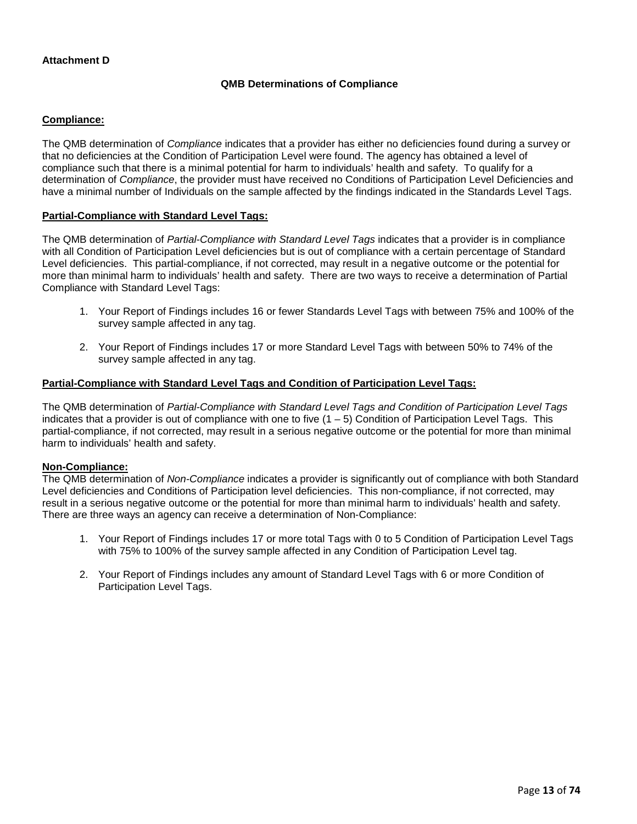## **Attachment D**

### **QMB Determinations of Compliance**

### **Compliance:**

The QMB determination of *Compliance* indicates that a provider has either no deficiencies found during a survey or that no deficiencies at the Condition of Participation Level were found. The agency has obtained a level of compliance such that there is a minimal potential for harm to individuals' health and safety. To qualify for a determination of *Compliance*, the provider must have received no Conditions of Participation Level Deficiencies and have a minimal number of Individuals on the sample affected by the findings indicated in the Standards Level Tags.

#### **Partial-Compliance with Standard Level Tags:**

The QMB determination of *Partial-Compliance with Standard Level Tags* indicates that a provider is in compliance with all Condition of Participation Level deficiencies but is out of compliance with a certain percentage of Standard Level deficiencies. This partial-compliance, if not corrected, may result in a negative outcome or the potential for more than minimal harm to individuals' health and safety. There are two ways to receive a determination of Partial Compliance with Standard Level Tags:

- 1. Your Report of Findings includes 16 or fewer Standards Level Tags with between 75% and 100% of the survey sample affected in any tag.
- 2. Your Report of Findings includes 17 or more Standard Level Tags with between 50% to 74% of the survey sample affected in any tag.

## **Partial-Compliance with Standard Level Tags and Condition of Participation Level Tags:**

The QMB determination of *Partial-Compliance with Standard Level Tags and Condition of Participation Level Tags*  indicates that a provider is out of compliance with one to five  $(1 - 5)$  Condition of Participation Level Tags. This partial-compliance, if not corrected, may result in a serious negative outcome or the potential for more than minimal harm to individuals' health and safety.

#### **Non-Compliance:**

The QMB determination of *Non-Compliance* indicates a provider is significantly out of compliance with both Standard Level deficiencies and Conditions of Participation level deficiencies. This non-compliance, if not corrected, may result in a serious negative outcome or the potential for more than minimal harm to individuals' health and safety. There are three ways an agency can receive a determination of Non-Compliance:

- 1. Your Report of Findings includes 17 or more total Tags with 0 to 5 Condition of Participation Level Tags with 75% to 100% of the survey sample affected in any Condition of Participation Level tag.
- 2. Your Report of Findings includes any amount of Standard Level Tags with 6 or more Condition of Participation Level Tags.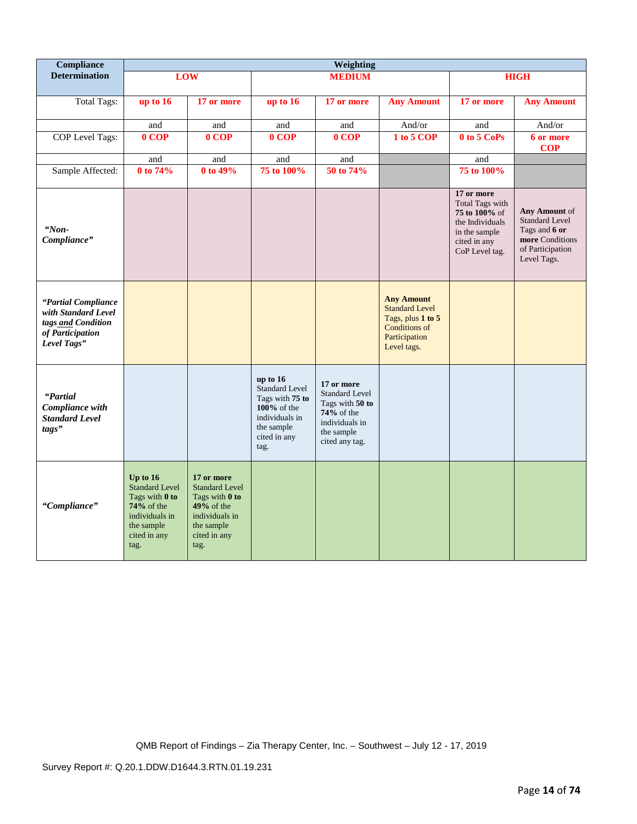| <b>Compliance</b>                                                                                   | Weighting                                                                                                                      |                                                                                                                               |                                                                                                                               |                                                                                                                           |                                                                                                                         |                                                                                                                      |                                                                                                               |
|-----------------------------------------------------------------------------------------------------|--------------------------------------------------------------------------------------------------------------------------------|-------------------------------------------------------------------------------------------------------------------------------|-------------------------------------------------------------------------------------------------------------------------------|---------------------------------------------------------------------------------------------------------------------------|-------------------------------------------------------------------------------------------------------------------------|----------------------------------------------------------------------------------------------------------------------|---------------------------------------------------------------------------------------------------------------|
| <b>Determination</b>                                                                                |                                                                                                                                | <b>LOW</b>                                                                                                                    |                                                                                                                               | <b>MEDIUM</b>                                                                                                             |                                                                                                                         |                                                                                                                      | <b>HIGH</b>                                                                                                   |
| <b>Total Tags:</b>                                                                                  | up to 16                                                                                                                       | 17 or more                                                                                                                    | up to $16$                                                                                                                    | 17 or more                                                                                                                | <b>Any Amount</b>                                                                                                       | 17 or more                                                                                                           | <b>Any Amount</b>                                                                                             |
|                                                                                                     | and                                                                                                                            | and                                                                                                                           | and                                                                                                                           | and                                                                                                                       | And/or                                                                                                                  | and                                                                                                                  | And/or                                                                                                        |
| COP Level Tags:                                                                                     | 0 COP                                                                                                                          | $0$ COP                                                                                                                       | $0$ COP                                                                                                                       | 0 COP                                                                                                                     | 1 to 5 COP                                                                                                              | 0 to 5 CoPs                                                                                                          | 6 or more<br><b>COP</b>                                                                                       |
|                                                                                                     | and                                                                                                                            | and                                                                                                                           | and                                                                                                                           | and                                                                                                                       |                                                                                                                         | and                                                                                                                  |                                                                                                               |
| Sample Affected:                                                                                    | 0 to 74%                                                                                                                       | 0 to 49%                                                                                                                      | 75 to 100%                                                                                                                    | 50 to 74%                                                                                                                 |                                                                                                                         | 75 to 100%                                                                                                           |                                                                                                               |
| $N$ on-<br>Compliance"                                                                              |                                                                                                                                |                                                                                                                               |                                                                                                                               |                                                                                                                           |                                                                                                                         | 17 or more<br>Total Tags with<br>75 to 100% of<br>the Individuals<br>in the sample<br>cited in any<br>CoP Level tag. | Any Amount of<br><b>Standard Level</b><br>Tags and 6 or<br>more Conditions<br>of Participation<br>Level Tags. |
| "Partial Compliance<br>with Standard Level<br>tags and Condition<br>of Participation<br>Level Tags" |                                                                                                                                |                                                                                                                               |                                                                                                                               |                                                                                                                           | <b>Any Amount</b><br><b>Standard Level</b><br>Tags, plus 1 to 5<br><b>Conditions of</b><br>Participation<br>Level tags. |                                                                                                                      |                                                                                                               |
| "Partial<br>Compliance with<br><b>Standard Level</b><br>tags"                                       |                                                                                                                                |                                                                                                                               | up to $16$<br><b>Standard Level</b><br>Tags with 75 to<br>100% of the<br>individuals in<br>the sample<br>cited in any<br>tag. | 17 or more<br><b>Standard Level</b><br>Tags with 50 to<br>$74\%$ of the<br>individuals in<br>the sample<br>cited any tag. |                                                                                                                         |                                                                                                                      |                                                                                                               |
| "Compliance"                                                                                        | Up to $16$<br><b>Standard Level</b><br>Tags with 0 to<br>$74\%$ of the<br>individuals in<br>the sample<br>cited in any<br>tag. | 17 or more<br><b>Standard Level</b><br>Tags with 0 to<br>$49%$ of the<br>individuals in<br>the sample<br>cited in any<br>tag. |                                                                                                                               |                                                                                                                           |                                                                                                                         |                                                                                                                      |                                                                                                               |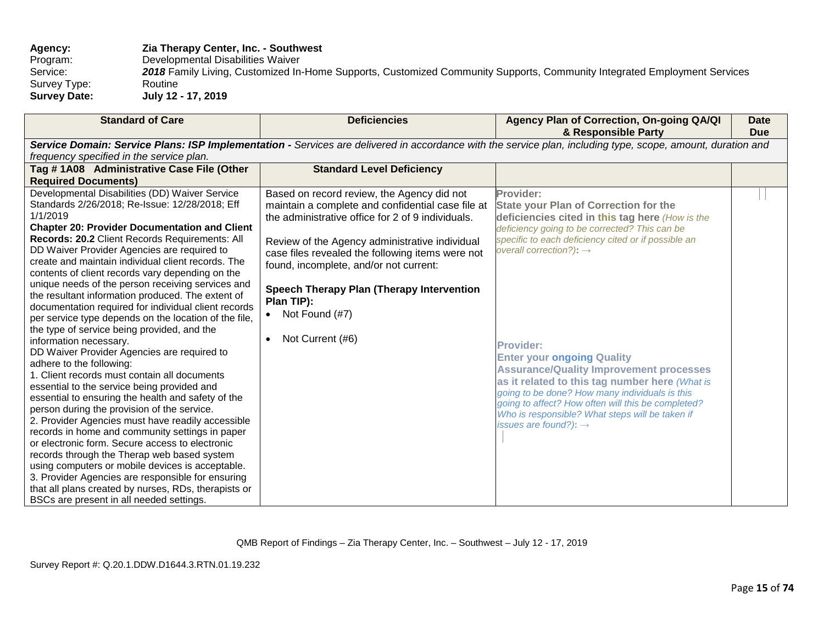Survey Type:<br>Survey Date:

Agency: **Zia Therapy Center, Inc. - Southwest**<br>
Program: Developmental Disabilities Waiver

Program: Developmental Disabilities Waiver<br>Service: 2018 Family Living, Customized In-

- 2018 Family Living, Customized In-Home Supports, Customized Community Supports, Community Integrated Employment Services<br>Routine
	- **Survey Date: July 12 - 17, 2019**

| <b>Standard of Care</b>                                                                           | <b>Deficiencies</b>                               | Agency Plan of Correction, On-going QA/QI<br>& Responsible Party                                                                                            | <b>Date</b><br><b>Due</b> |
|---------------------------------------------------------------------------------------------------|---------------------------------------------------|-------------------------------------------------------------------------------------------------------------------------------------------------------------|---------------------------|
|                                                                                                   |                                                   | Service Domain: Service Plans: ISP Implementation - Services are delivered in accordance with the service plan, including type, scope, amount, duration and |                           |
| frequency specified in the service plan.                                                          |                                                   |                                                                                                                                                             |                           |
| Tag #1A08 Administrative Case File (Other                                                         | <b>Standard Level Deficiency</b>                  |                                                                                                                                                             |                           |
| <b>Required Documents)</b>                                                                        |                                                   |                                                                                                                                                             |                           |
| Developmental Disabilities (DD) Waiver Service                                                    | Based on record review, the Agency did not        | Provider:                                                                                                                                                   |                           |
| Standards 2/26/2018; Re-Issue: 12/28/2018; Eff                                                    | maintain a complete and confidential case file at | <b>State your Plan of Correction for the</b>                                                                                                                |                           |
| 1/1/2019                                                                                          | the administrative office for 2 of 9 individuals. | deficiencies cited in this tag here (How is the                                                                                                             |                           |
| <b>Chapter 20: Provider Documentation and Client</b>                                              |                                                   | deficiency going to be corrected? This can be                                                                                                               |                           |
| Records: 20.2 Client Records Requirements: All                                                    | Review of the Agency administrative individual    | specific to each deficiency cited or if possible an                                                                                                         |                           |
| DD Waiver Provider Agencies are required to                                                       | case files revealed the following items were not  | overall correction?): $\rightarrow$                                                                                                                         |                           |
| create and maintain individual client records. The                                                | found, incomplete, and/or not current:            |                                                                                                                                                             |                           |
| contents of client records vary depending on the                                                  |                                                   |                                                                                                                                                             |                           |
| unique needs of the person receiving services and                                                 | Speech Therapy Plan (Therapy Intervention         |                                                                                                                                                             |                           |
| the resultant information produced. The extent of                                                 | Plan TIP):                                        |                                                                                                                                                             |                           |
| documentation required for individual client records                                              | Not Found (#7)                                    |                                                                                                                                                             |                           |
| per service type depends on the location of the file,                                             |                                                   |                                                                                                                                                             |                           |
| the type of service being provided, and the                                                       | Not Current (#6)<br>$\bullet$                     |                                                                                                                                                             |                           |
| information necessary.                                                                            |                                                   | <b>Provider:</b>                                                                                                                                            |                           |
| DD Waiver Provider Agencies are required to                                                       |                                                   | <b>Enter your ongoing Quality</b>                                                                                                                           |                           |
| adhere to the following:                                                                          |                                                   | <b>Assurance/Quality Improvement processes</b>                                                                                                              |                           |
| 1. Client records must contain all documents                                                      |                                                   | as it related to this tag number here (What is                                                                                                              |                           |
| essential to the service being provided and                                                       |                                                   | going to be done? How many individuals is this                                                                                                              |                           |
| essential to ensuring the health and safety of the<br>person during the provision of the service. |                                                   | going to affect? How often will this be completed?                                                                                                          |                           |
| 2. Provider Agencies must have readily accessible                                                 |                                                   | Who is responsible? What steps will be taken if                                                                                                             |                           |
| records in home and community settings in paper                                                   |                                                   | issues are found?): $\rightarrow$                                                                                                                           |                           |
| or electronic form. Secure access to electronic                                                   |                                                   |                                                                                                                                                             |                           |
| records through the Therap web based system                                                       |                                                   |                                                                                                                                                             |                           |
| using computers or mobile devices is acceptable.                                                  |                                                   |                                                                                                                                                             |                           |
| 3. Provider Agencies are responsible for ensuring                                                 |                                                   |                                                                                                                                                             |                           |
| that all plans created by nurses, RDs, therapists or                                              |                                                   |                                                                                                                                                             |                           |
| BSCs are present in all needed settings.                                                          |                                                   |                                                                                                                                                             |                           |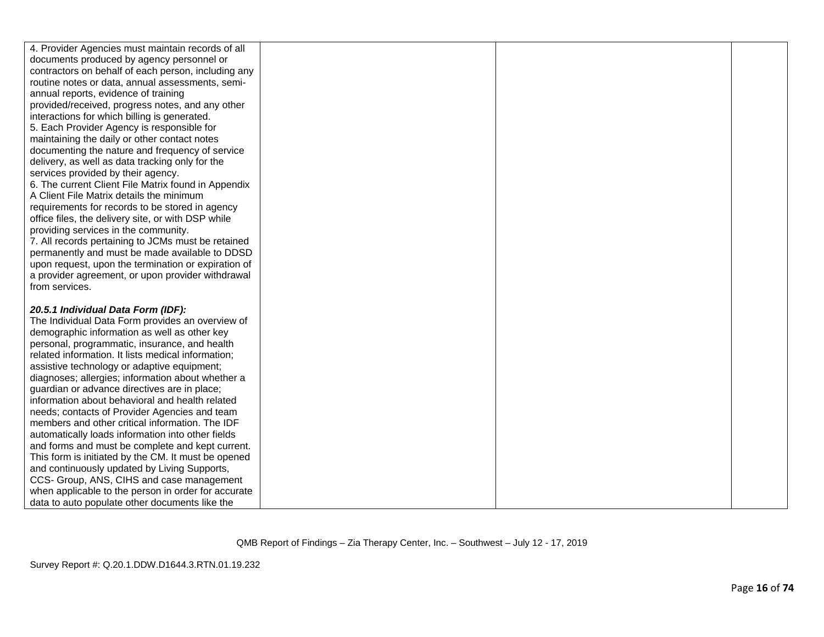| 4. Provider Agencies must maintain records of all                                                   |  |
|-----------------------------------------------------------------------------------------------------|--|
| documents produced by agency personnel or                                                           |  |
| contractors on behalf of each person, including any                                                 |  |
| routine notes or data, annual assessments, semi-                                                    |  |
| annual reports, evidence of training                                                                |  |
| provided/received, progress notes, and any other                                                    |  |
| interactions for which billing is generated.                                                        |  |
| 5. Each Provider Agency is responsible for                                                          |  |
| maintaining the daily or other contact notes                                                        |  |
| documenting the nature and frequency of service                                                     |  |
| delivery, as well as data tracking only for the                                                     |  |
| services provided by their agency.                                                                  |  |
| 6. The current Client File Matrix found in Appendix                                                 |  |
| A Client File Matrix details the minimum                                                            |  |
| requirements for records to be stored in agency                                                     |  |
| office files, the delivery site, or with DSP while                                                  |  |
| providing services in the community.                                                                |  |
| 7. All records pertaining to JCMs must be retained                                                  |  |
| permanently and must be made available to DDSD                                                      |  |
| upon request, upon the termination or expiration of                                                 |  |
| a provider agreement, or upon provider withdrawal                                                   |  |
| from services.                                                                                      |  |
|                                                                                                     |  |
| 20.5.1 Individual Data Form (IDF):                                                                  |  |
| The Individual Data Form provides an overview of                                                    |  |
| demographic information as well as other key                                                        |  |
| personal, programmatic, insurance, and health<br>related information. It lists medical information; |  |
|                                                                                                     |  |
| assistive technology or adaptive equipment;<br>diagnoses; allergies; information about whether a    |  |
| guardian or advance directives are in place;                                                        |  |
| information about behavioral and health related                                                     |  |
| needs; contacts of Provider Agencies and team                                                       |  |
| members and other critical information. The IDF                                                     |  |
| automatically loads information into other fields                                                   |  |
| and forms and must be complete and kept current.                                                    |  |
| This form is initiated by the CM. It must be opened                                                 |  |
| and continuously updated by Living Supports,                                                        |  |
| CCS- Group, ANS, CIHS and case management                                                           |  |
| when applicable to the person in order for accurate                                                 |  |
| data to auto populate other documents like the                                                      |  |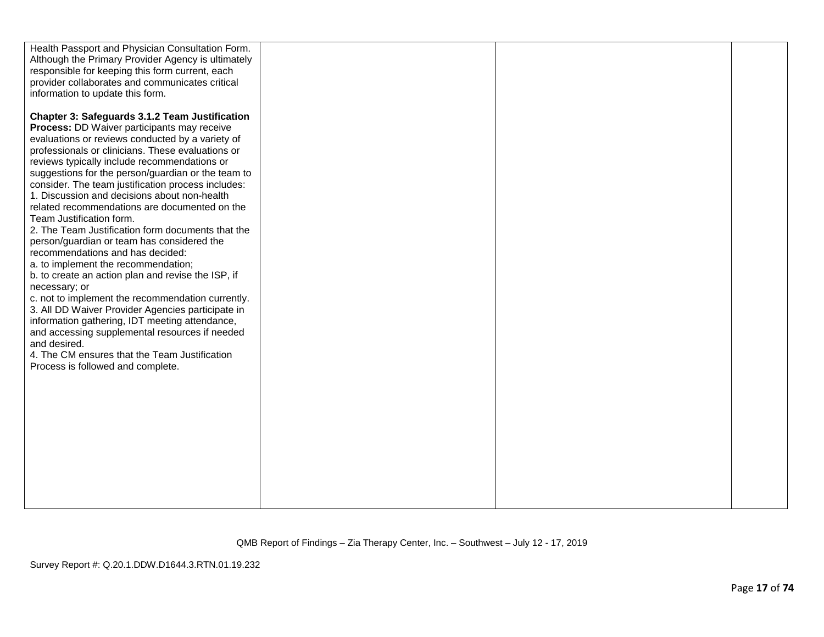| Health Passport and Physician Consultation Form.<br>Although the Primary Provider Agency is ultimately<br>responsible for keeping this form current, each<br>provider collaborates and communicates critical<br>information to update this form.                                                                                                                                                                                                                                                                                                                                                                                                                                                                                                                                                                                                                                                                                                                                                                                                                         |  |  |
|--------------------------------------------------------------------------------------------------------------------------------------------------------------------------------------------------------------------------------------------------------------------------------------------------------------------------------------------------------------------------------------------------------------------------------------------------------------------------------------------------------------------------------------------------------------------------------------------------------------------------------------------------------------------------------------------------------------------------------------------------------------------------------------------------------------------------------------------------------------------------------------------------------------------------------------------------------------------------------------------------------------------------------------------------------------------------|--|--|
| Chapter 3: Safeguards 3.1.2 Team Justification<br>Process: DD Waiver participants may receive<br>evaluations or reviews conducted by a variety of<br>professionals or clinicians. These evaluations or<br>reviews typically include recommendations or<br>suggestions for the person/guardian or the team to<br>consider. The team justification process includes:<br>1. Discussion and decisions about non-health<br>related recommendations are documented on the<br>Team Justification form.<br>2. The Team Justification form documents that the<br>person/guardian or team has considered the<br>recommendations and has decided:<br>a. to implement the recommendation;<br>b. to create an action plan and revise the ISP, if<br>necessary; or<br>c. not to implement the recommendation currently.<br>3. All DD Waiver Provider Agencies participate in<br>information gathering, IDT meeting attendance,<br>and accessing supplemental resources if needed<br>and desired.<br>4. The CM ensures that the Team Justification<br>Process is followed and complete. |  |  |
|                                                                                                                                                                                                                                                                                                                                                                                                                                                                                                                                                                                                                                                                                                                                                                                                                                                                                                                                                                                                                                                                          |  |  |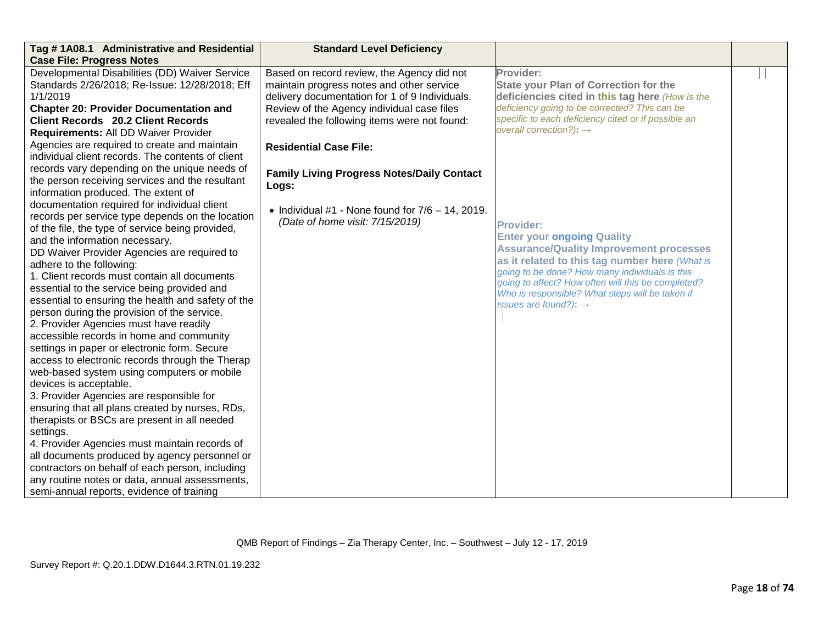| Tag #1A08.1 Administrative and Residential                                                        | <b>Standard Level Deficiency</b>                    |                                                     |  |
|---------------------------------------------------------------------------------------------------|-----------------------------------------------------|-----------------------------------------------------|--|
| <b>Case File: Progress Notes</b>                                                                  |                                                     |                                                     |  |
| Developmental Disabilities (DD) Waiver Service                                                    | Based on record review, the Agency did not          | Provider:                                           |  |
| Standards 2/26/2018; Re-Issue: 12/28/2018; Eff                                                    | maintain progress notes and other service           | <b>State your Plan of Correction for the</b>        |  |
| 1/1/2019                                                                                          | delivery documentation for 1 of 9 Individuals.      | deficiencies cited in this tag here (How is the     |  |
| <b>Chapter 20: Provider Documentation and</b>                                                     | Review of the Agency individual case files          | deficiency going to be corrected? This can be       |  |
| <b>Client Records 20.2 Client Records</b>                                                         | revealed the following items were not found:        | specific to each deficiency cited or if possible an |  |
| Requirements: All DD Waiver Provider                                                              |                                                     | overall correction?): $\rightarrow$                 |  |
| Agencies are required to create and maintain<br>individual client records. The contents of client | <b>Residential Case File:</b>                       |                                                     |  |
| records vary depending on the unique needs of                                                     | <b>Family Living Progress Notes/Daily Contact</b>   |                                                     |  |
| the person receiving services and the resultant                                                   | Logs:                                               |                                                     |  |
| information produced. The extent of                                                               |                                                     |                                                     |  |
| documentation required for individual client                                                      | • Individual #1 - None found for $7/6 - 14$ , 2019. |                                                     |  |
| records per service type depends on the location                                                  | (Date of home visit: 7/15/2019)                     | <b>Provider:</b>                                    |  |
| of the file, the type of service being provided,                                                  |                                                     | <b>Enter your ongoing Quality</b>                   |  |
| and the information necessary.                                                                    |                                                     | <b>Assurance/Quality Improvement processes</b>      |  |
| DD Waiver Provider Agencies are required to                                                       |                                                     | as it related to this tag number here (What is      |  |
| adhere to the following:                                                                          |                                                     | going to be done? How many individuals is this      |  |
| 1. Client records must contain all documents                                                      |                                                     | going to affect? How often will this be completed?  |  |
| essential to the service being provided and                                                       |                                                     | Who is responsible? What steps will be taken if     |  |
| essential to ensuring the health and safety of the                                                |                                                     | issues are found?): $\rightarrow$                   |  |
| person during the provision of the service.<br>2. Provider Agencies must have readily             |                                                     |                                                     |  |
| accessible records in home and community                                                          |                                                     |                                                     |  |
| settings in paper or electronic form. Secure                                                      |                                                     |                                                     |  |
| access to electronic records through the Therap                                                   |                                                     |                                                     |  |
| web-based system using computers or mobile                                                        |                                                     |                                                     |  |
| devices is acceptable.                                                                            |                                                     |                                                     |  |
| 3. Provider Agencies are responsible for                                                          |                                                     |                                                     |  |
| ensuring that all plans created by nurses, RDs,                                                   |                                                     |                                                     |  |
| therapists or BSCs are present in all needed                                                      |                                                     |                                                     |  |
| settings.                                                                                         |                                                     |                                                     |  |
| 4. Provider Agencies must maintain records of                                                     |                                                     |                                                     |  |
| all documents produced by agency personnel or                                                     |                                                     |                                                     |  |
| contractors on behalf of each person, including                                                   |                                                     |                                                     |  |
| any routine notes or data, annual assessments,                                                    |                                                     |                                                     |  |
| semi-annual reports, evidence of training                                                         |                                                     |                                                     |  |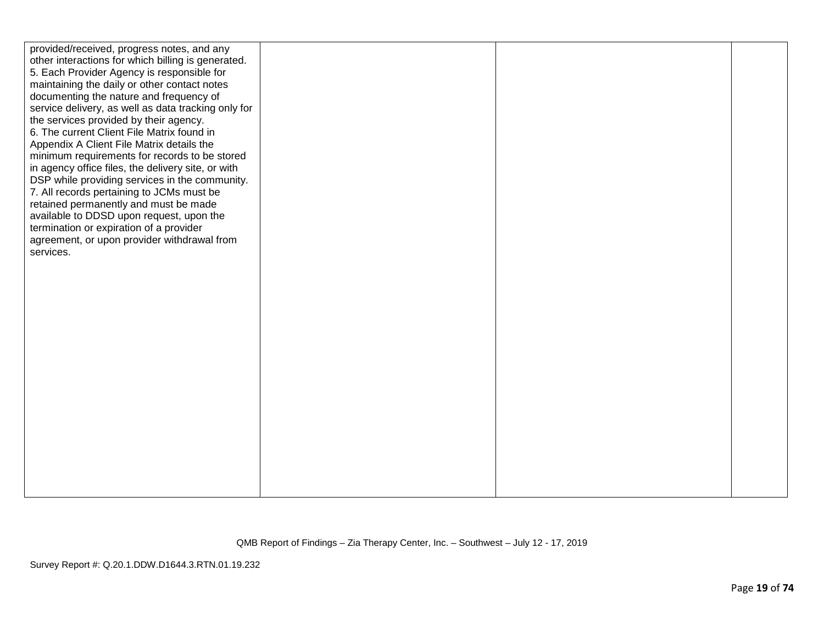| provided/received, progress notes, and any<br>other interactions for which billing is generated.<br>5. Each Provider Agency is responsible for<br>maintaining the daily or other contact notes<br>documenting the nature and frequency of<br>service delivery, as well as data tracking only for<br>the services provided by their agency.<br>6. The current Client File Matrix found in<br>Appendix A Client File Matrix details the<br>minimum requirements for records to be stored<br>in agency office files, the delivery site, or with<br>DSP while providing services in the community.<br>7. All records pertaining to JCMs must be<br>retained permanently and must be made<br>available to DDSD upon request, upon the<br>termination or expiration of a provider<br>agreement, or upon provider withdrawal from<br>services. |  |  |
|-----------------------------------------------------------------------------------------------------------------------------------------------------------------------------------------------------------------------------------------------------------------------------------------------------------------------------------------------------------------------------------------------------------------------------------------------------------------------------------------------------------------------------------------------------------------------------------------------------------------------------------------------------------------------------------------------------------------------------------------------------------------------------------------------------------------------------------------|--|--|
|                                                                                                                                                                                                                                                                                                                                                                                                                                                                                                                                                                                                                                                                                                                                                                                                                                         |  |  |

Survey Report #: Q.20.1.DDW.D1644.3.RTN.01.19.232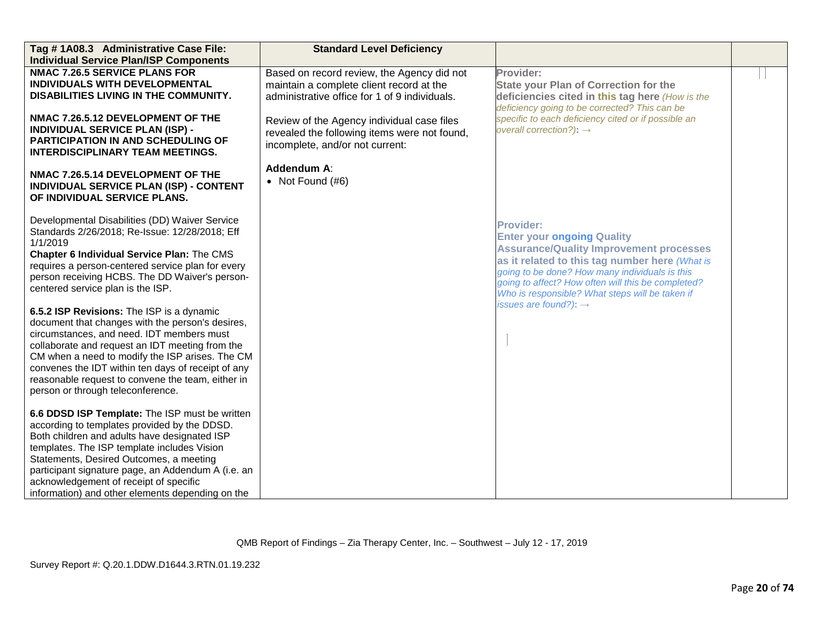| Tag #1A08.3 Administrative Case File:<br><b>Individual Service Plan/ISP Components</b>                                                                                                                                                                                                                                                                                                                                                                                                                  | <b>Standard Level Deficiency</b>                                                                                                                                                                                                                                         |                                                                                                                                                                                                                                                                                                                                                           |  |
|---------------------------------------------------------------------------------------------------------------------------------------------------------------------------------------------------------------------------------------------------------------------------------------------------------------------------------------------------------------------------------------------------------------------------------------------------------------------------------------------------------|--------------------------------------------------------------------------------------------------------------------------------------------------------------------------------------------------------------------------------------------------------------------------|-----------------------------------------------------------------------------------------------------------------------------------------------------------------------------------------------------------------------------------------------------------------------------------------------------------------------------------------------------------|--|
| <b>NMAC 7.26.5 SERVICE PLANS FOR</b><br>INDIVIDUALS WITH DEVELOPMENTAL<br>DISABILITIES LIVING IN THE COMMUNITY.<br>NMAC 7.26.5.12 DEVELOPMENT OF THE<br><b>INDIVIDUAL SERVICE PLAN (ISP) -</b><br><b>PARTICIPATION IN AND SCHEDULING OF</b><br><b>INTERDISCIPLINARY TEAM MEETINGS.</b>                                                                                                                                                                                                                  | Based on record review, the Agency did not<br>maintain a complete client record at the<br>administrative office for 1 of 9 individuals.<br>Review of the Agency individual case files<br>revealed the following items were not found,<br>incomplete, and/or not current: | Provider:<br><b>State your Plan of Correction for the</b><br>deficiencies cited in this tag here (How is the<br>deficiency going to be corrected? This can be<br>specific to each deficiency cited or if possible an<br>overall correction?): $\rightarrow$                                                                                               |  |
| NMAC 7.26.5.14 DEVELOPMENT OF THE<br>INDIVIDUAL SERVICE PLAN (ISP) - CONTENT<br>OF INDIVIDUAL SERVICE PLANS.                                                                                                                                                                                                                                                                                                                                                                                            | Addendum A:<br>• Not Found $(H6)$                                                                                                                                                                                                                                        |                                                                                                                                                                                                                                                                                                                                                           |  |
| Developmental Disabilities (DD) Waiver Service<br>Standards 2/26/2018; Re-Issue: 12/28/2018; Eff<br>1/1/2019<br>Chapter 6 Individual Service Plan: The CMS<br>requires a person-centered service plan for every<br>person receiving HCBS. The DD Waiver's person-<br>centered service plan is the ISP.<br>6.5.2 ISP Revisions: The ISP is a dynamic<br>document that changes with the person's desires,<br>circumstances, and need. IDT members must<br>collaborate and request an IDT meeting from the |                                                                                                                                                                                                                                                                          | <b>Provider:</b><br><b>Enter your ongoing Quality</b><br><b>Assurance/Quality Improvement processes</b><br>as it related to this tag number here (What is<br>going to be done? How many individuals is this<br>going to affect? How often will this be completed?<br>Who is responsible? What steps will be taken if<br>issues are found?): $\rightarrow$ |  |
| CM when a need to modify the ISP arises. The CM<br>convenes the IDT within ten days of receipt of any<br>reasonable request to convene the team, either in<br>person or through teleconference.                                                                                                                                                                                                                                                                                                         |                                                                                                                                                                                                                                                                          |                                                                                                                                                                                                                                                                                                                                                           |  |
| 6.6 DDSD ISP Template: The ISP must be written<br>according to templates provided by the DDSD.<br>Both children and adults have designated ISP<br>templates. The ISP template includes Vision<br>Statements, Desired Outcomes, a meeting<br>participant signature page, an Addendum A (i.e. an<br>acknowledgement of receipt of specific<br>information) and other elements depending on the                                                                                                            |                                                                                                                                                                                                                                                                          |                                                                                                                                                                                                                                                                                                                                                           |  |

Survey Report #: Q.20.1.DDW.D1644.3.RTN.01.19.232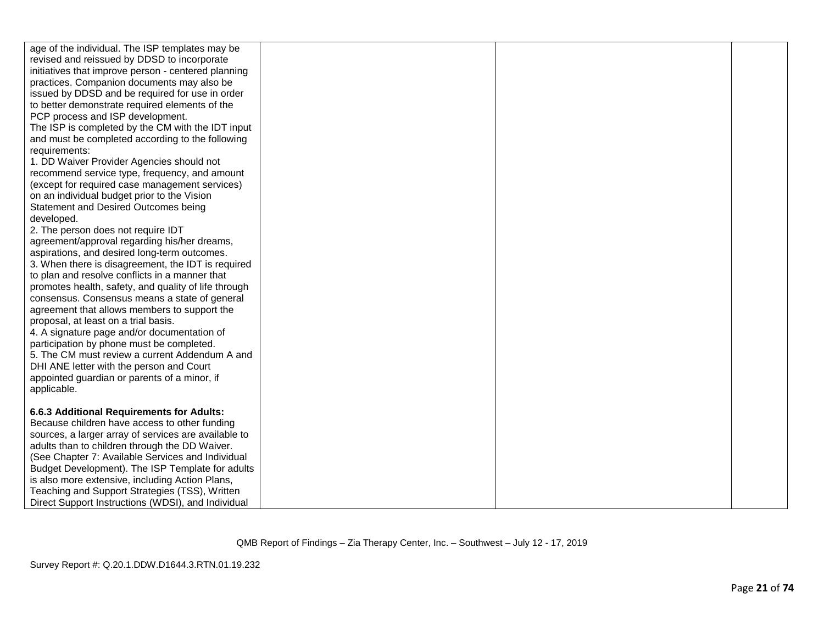| age of the individual. The ISP templates may be                                                     |  |  |
|-----------------------------------------------------------------------------------------------------|--|--|
| revised and reissued by DDSD to incorporate                                                         |  |  |
| initiatives that improve person - centered planning                                                 |  |  |
| practices. Companion documents may also be                                                          |  |  |
| issued by DDSD and be required for use in order                                                     |  |  |
| to better demonstrate required elements of the                                                      |  |  |
| PCP process and ISP development.                                                                    |  |  |
| The ISP is completed by the CM with the IDT input                                                   |  |  |
| and must be completed according to the following                                                    |  |  |
| requirements:                                                                                       |  |  |
| 1. DD Waiver Provider Agencies should not                                                           |  |  |
| recommend service type, frequency, and amount                                                       |  |  |
| (except for required case management services)                                                      |  |  |
| on an individual budget prior to the Vision                                                         |  |  |
| Statement and Desired Outcomes being                                                                |  |  |
| developed.                                                                                          |  |  |
| 2. The person does not require IDT                                                                  |  |  |
| agreement/approval regarding his/her dreams,                                                        |  |  |
| aspirations, and desired long-term outcomes.                                                        |  |  |
| 3. When there is disagreement, the IDT is required                                                  |  |  |
| to plan and resolve conflicts in a manner that                                                      |  |  |
| promotes health, safety, and quality of life through                                                |  |  |
| consensus. Consensus means a state of general                                                       |  |  |
| agreement that allows members to support the                                                        |  |  |
| proposal, at least on a trial basis.                                                                |  |  |
| 4. A signature page and/or documentation of                                                         |  |  |
| participation by phone must be completed.                                                           |  |  |
| 5. The CM must review a current Addendum A and                                                      |  |  |
| DHI ANE letter with the person and Court                                                            |  |  |
| appointed guardian or parents of a minor, if                                                        |  |  |
| applicable.                                                                                         |  |  |
|                                                                                                     |  |  |
| 6.6.3 Additional Requirements for Adults:                                                           |  |  |
| Because children have access to other funding                                                       |  |  |
| sources, a larger array of services are available to                                                |  |  |
| adults than to children through the DD Waiver.                                                      |  |  |
| (See Chapter 7: Available Services and Individual                                                   |  |  |
| Budget Development). The ISP Template for adults<br>is also more extensive, including Action Plans, |  |  |
|                                                                                                     |  |  |
| Teaching and Support Strategies (TSS), Written                                                      |  |  |
| Direct Support Instructions (WDSI), and Individual                                                  |  |  |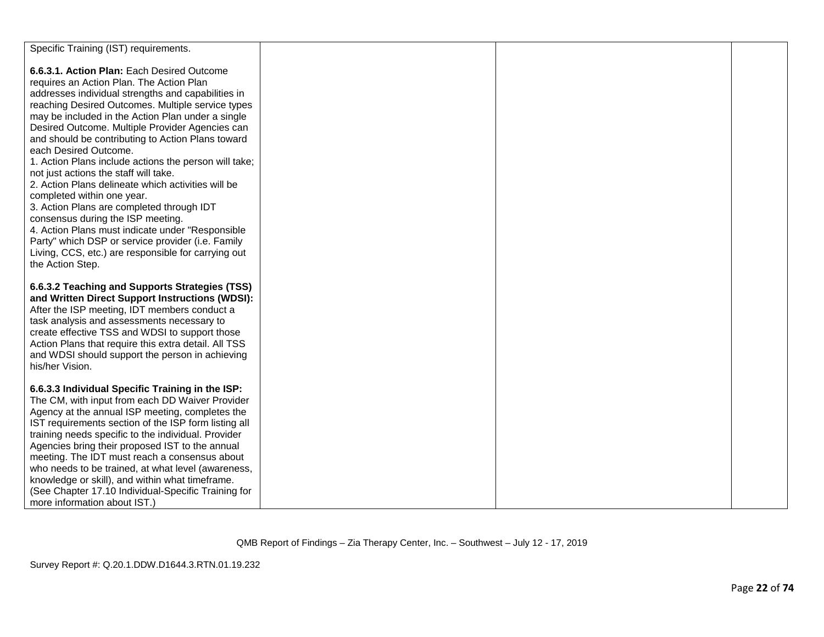| Specific Training (IST) requirements.                                                      |  |  |
|--------------------------------------------------------------------------------------------|--|--|
|                                                                                            |  |  |
| 6.6.3.1. Action Plan: Each Desired Outcome                                                 |  |  |
| requires an Action Plan. The Action Plan                                                   |  |  |
| addresses individual strengths and capabilities in                                         |  |  |
|                                                                                            |  |  |
| reaching Desired Outcomes. Multiple service types                                          |  |  |
| may be included in the Action Plan under a single                                          |  |  |
| Desired Outcome. Multiple Provider Agencies can                                            |  |  |
| and should be contributing to Action Plans toward                                          |  |  |
| each Desired Outcome.                                                                      |  |  |
| 1. Action Plans include actions the person will take;                                      |  |  |
| not just actions the staff will take.                                                      |  |  |
| 2. Action Plans delineate which activities will be                                         |  |  |
| completed within one year.                                                                 |  |  |
| 3. Action Plans are completed through IDT                                                  |  |  |
| consensus during the ISP meeting.                                                          |  |  |
| 4. Action Plans must indicate under "Responsible                                           |  |  |
| Party" which DSP or service provider (i.e. Family                                          |  |  |
| Living, CCS, etc.) are responsible for carrying out                                        |  |  |
| the Action Step.                                                                           |  |  |
|                                                                                            |  |  |
| 6.6.3.2 Teaching and Supports Strategies (TSS)                                             |  |  |
| and Written Direct Support Instructions (WDSI):                                            |  |  |
| After the ISP meeting, IDT members conduct a<br>task analysis and assessments necessary to |  |  |
| create effective TSS and WDSI to support those                                             |  |  |
| Action Plans that require this extra detail. All TSS                                       |  |  |
| and WDSI should support the person in achieving                                            |  |  |
| his/her Vision.                                                                            |  |  |
|                                                                                            |  |  |
| 6.6.3.3 Individual Specific Training in the ISP:                                           |  |  |
| The CM, with input from each DD Waiver Provider                                            |  |  |
| Agency at the annual ISP meeting, completes the                                            |  |  |
| IST requirements section of the ISP form listing all                                       |  |  |
| training needs specific to the individual. Provider                                        |  |  |
| Agencies bring their proposed IST to the annual                                            |  |  |
| meeting. The IDT must reach a consensus about                                              |  |  |
| who needs to be trained, at what level (awareness,                                         |  |  |
| knowledge or skill), and within what timeframe.                                            |  |  |
|                                                                                            |  |  |
|                                                                                            |  |  |
| (See Chapter 17.10 Individual-Specific Training for<br>more information about IST.)        |  |  |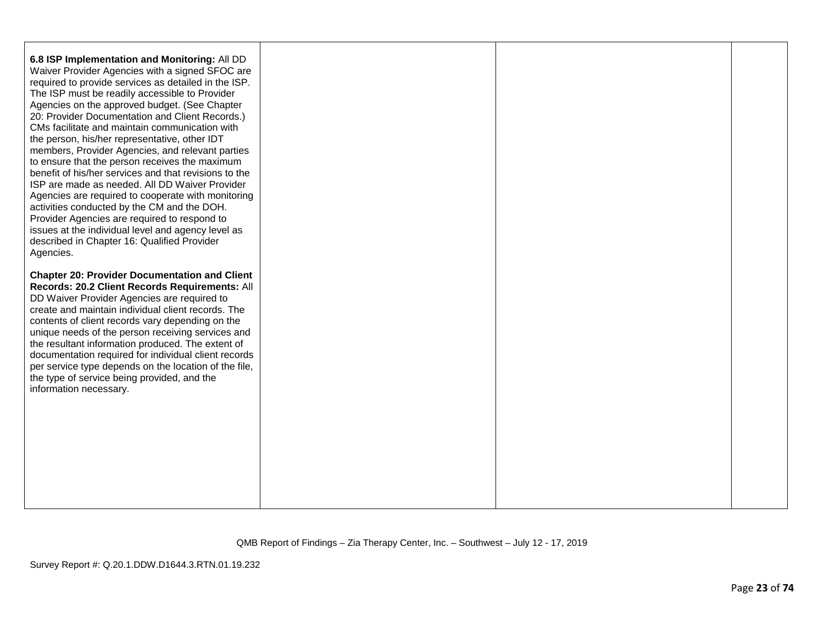| 6.8 ISP Implementation and Monitoring: All DD<br>Waiver Provider Agencies with a signed SFOC are<br>required to provide services as detailed in the ISP.<br>The ISP must be readily accessible to Provider<br>Agencies on the approved budget. (See Chapter<br>20: Provider Documentation and Client Records.)<br>CMs facilitate and maintain communication with<br>the person, his/her representative, other IDT<br>members, Provider Agencies, and relevant parties<br>to ensure that the person receives the maximum<br>benefit of his/her services and that revisions to the<br>ISP are made as needed. All DD Waiver Provider<br>Agencies are required to cooperate with monitoring<br>activities conducted by the CM and the DOH.<br>Provider Agencies are required to respond to<br>issues at the individual level and agency level as<br>described in Chapter 16: Qualified Provider<br>Agencies. |  |  |
|-----------------------------------------------------------------------------------------------------------------------------------------------------------------------------------------------------------------------------------------------------------------------------------------------------------------------------------------------------------------------------------------------------------------------------------------------------------------------------------------------------------------------------------------------------------------------------------------------------------------------------------------------------------------------------------------------------------------------------------------------------------------------------------------------------------------------------------------------------------------------------------------------------------|--|--|
| <b>Chapter 20: Provider Documentation and Client</b><br>Records: 20.2 Client Records Requirements: All<br>DD Waiver Provider Agencies are required to<br>create and maintain individual client records. The<br>contents of client records vary depending on the<br>unique needs of the person receiving services and<br>the resultant information produced. The extent of<br>documentation required for individual client records<br>per service type depends on the location of the file,<br>the type of service being provided, and the<br>information necessary.                                                                                                                                                                                                                                                                                                                                       |  |  |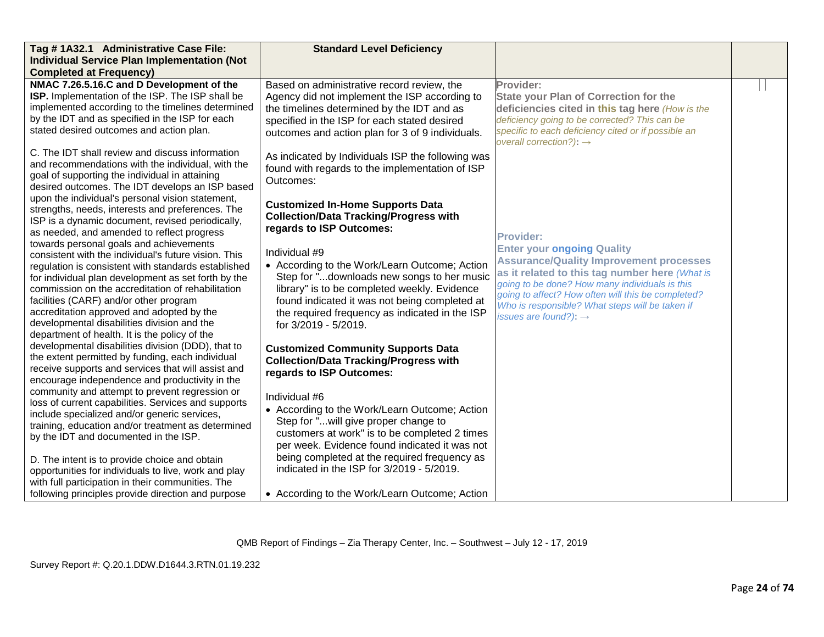| Tag #1A32.1 Administrative Case File:                                                                                                                                                                     | <b>Standard Level Deficiency</b>                                                                                  |                                                                                                  |  |
|-----------------------------------------------------------------------------------------------------------------------------------------------------------------------------------------------------------|-------------------------------------------------------------------------------------------------------------------|--------------------------------------------------------------------------------------------------|--|
| <b>Individual Service Plan Implementation (Not</b>                                                                                                                                                        |                                                                                                                   |                                                                                                  |  |
| <b>Completed at Frequency)</b>                                                                                                                                                                            |                                                                                                                   |                                                                                                  |  |
| NMAC 7.26.5.16.C and D Development of the<br>ISP. Implementation of the ISP. The ISP shall be<br>implemented according to the timelines determined                                                        | Based on administrative record review, the<br>Agency did not implement the ISP according to                       | Provider:<br><b>State your Plan of Correction for the</b>                                        |  |
| by the IDT and as specified in the ISP for each                                                                                                                                                           | the timelines determined by the IDT and as<br>specified in the ISP for each stated desired                        | deficiencies cited in this tag here (How is the<br>deficiency going to be corrected? This can be |  |
| stated desired outcomes and action plan.                                                                                                                                                                  | outcomes and action plan for 3 of 9 individuals.                                                                  | specific to each deficiency cited or if possible an<br>overall correction?): $\rightarrow$       |  |
| C. The IDT shall review and discuss information<br>and recommendations with the individual, with the<br>goal of supporting the individual in attaining<br>desired outcomes. The IDT develops an ISP based | As indicated by Individuals ISP the following was<br>found with regards to the implementation of ISP<br>Outcomes: |                                                                                                  |  |
| upon the individual's personal vision statement,<br>strengths, needs, interests and preferences. The<br>ISP is a dynamic document, revised periodically,                                                  | <b>Customized In-Home Supports Data</b><br><b>Collection/Data Tracking/Progress with</b>                          |                                                                                                  |  |
| as needed, and amended to reflect progress                                                                                                                                                                | regards to ISP Outcomes:                                                                                          | <b>Provider:</b>                                                                                 |  |
| towards personal goals and achievements                                                                                                                                                                   | Individual #9                                                                                                     | <b>Enter your ongoing Quality</b>                                                                |  |
| consistent with the individual's future vision. This<br>regulation is consistent with standards established                                                                                               | • According to the Work/Learn Outcome; Action                                                                     | <b>Assurance/Quality Improvement processes</b>                                                   |  |
| for individual plan development as set forth by the                                                                                                                                                       | Step for "downloads new songs to her music                                                                        | as it related to this tag number here (What is<br>going to be done? How many individuals is this |  |
| commission on the accreditation of rehabilitation                                                                                                                                                         | library" is to be completed weekly. Evidence                                                                      | going to affect? How often will this be completed?                                               |  |
| facilities (CARF) and/or other program<br>accreditation approved and adopted by the                                                                                                                       | found indicated it was not being completed at<br>the required frequency as indicated in the ISP                   | Who is responsible? What steps will be taken if                                                  |  |
| developmental disabilities division and the                                                                                                                                                               | for 3/2019 - 5/2019.                                                                                              | issues are found?): $\rightarrow$                                                                |  |
| department of health. It is the policy of the                                                                                                                                                             |                                                                                                                   |                                                                                                  |  |
| developmental disabilities division (DDD), that to<br>the extent permitted by funding, each individual                                                                                                    | <b>Customized Community Supports Data</b>                                                                         |                                                                                                  |  |
| receive supports and services that will assist and<br>encourage independence and productivity in the                                                                                                      | <b>Collection/Data Tracking/Progress with</b><br>regards to ISP Outcomes:                                         |                                                                                                  |  |
| community and attempt to prevent regression or                                                                                                                                                            | Individual #6                                                                                                     |                                                                                                  |  |
| loss of current capabilities. Services and supports<br>include specialized and/or generic services,                                                                                                       | • According to the Work/Learn Outcome; Action                                                                     |                                                                                                  |  |
| training, education and/or treatment as determined                                                                                                                                                        | Step for "will give proper change to                                                                              |                                                                                                  |  |
| by the IDT and documented in the ISP.                                                                                                                                                                     | customers at work" is to be completed 2 times<br>per week. Evidence found indicated it was not                    |                                                                                                  |  |
| D. The intent is to provide choice and obtain                                                                                                                                                             | being completed at the required frequency as                                                                      |                                                                                                  |  |
| opportunities for individuals to live, work and play                                                                                                                                                      | indicated in the ISP for 3/2019 - 5/2019.                                                                         |                                                                                                  |  |
| with full participation in their communities. The                                                                                                                                                         |                                                                                                                   |                                                                                                  |  |
| following principles provide direction and purpose                                                                                                                                                        | • According to the Work/Learn Outcome; Action                                                                     |                                                                                                  |  |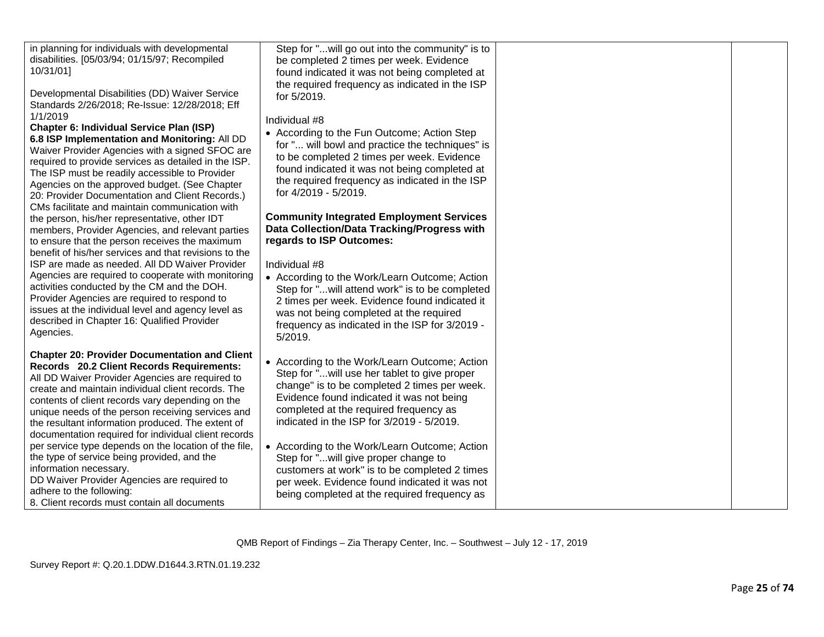| in planning for individuals with developmental<br>disabilities. [05/03/94; 01/15/97; Recompiled<br>10/31/01]<br>Developmental Disabilities (DD) Waiver Service<br>Standards 2/26/2018; Re-Issue: 12/28/2018; Eff<br>1/1/2019<br>Chapter 6: Individual Service Plan (ISP)<br>6.8 ISP Implementation and Monitoring: All DD<br>Waiver Provider Agencies with a signed SFOC are<br>required to provide services as detailed in the ISP.<br>The ISP must be readily accessible to Provider<br>Agencies on the approved budget. (See Chapter<br>20: Provider Documentation and Client Records.)<br>CMs facilitate and maintain communication with<br>the person, his/her representative, other IDT<br>members, Provider Agencies, and relevant parties<br>to ensure that the person receives the maximum<br>benefit of his/her services and that revisions to the<br>ISP are made as needed. All DD Waiver Provider | Step for "will go out into the community" is to<br>be completed 2 times per week. Evidence<br>found indicated it was not being completed at<br>the required frequency as indicated in the ISP<br>for 5/2019.<br>Individual #8<br>• According to the Fun Outcome; Action Step<br>for " will bowl and practice the techniques" is<br>to be completed 2 times per week. Evidence<br>found indicated it was not being completed at<br>the required frequency as indicated in the ISP<br>for 4/2019 - 5/2019.<br><b>Community Integrated Employment Services</b><br>Data Collection/Data Tracking/Progress with<br>regards to ISP Outcomes:<br>Individual #8 |  |
|----------------------------------------------------------------------------------------------------------------------------------------------------------------------------------------------------------------------------------------------------------------------------------------------------------------------------------------------------------------------------------------------------------------------------------------------------------------------------------------------------------------------------------------------------------------------------------------------------------------------------------------------------------------------------------------------------------------------------------------------------------------------------------------------------------------------------------------------------------------------------------------------------------------|---------------------------------------------------------------------------------------------------------------------------------------------------------------------------------------------------------------------------------------------------------------------------------------------------------------------------------------------------------------------------------------------------------------------------------------------------------------------------------------------------------------------------------------------------------------------------------------------------------------------------------------------------------|--|
| Agencies are required to cooperate with monitoring<br>activities conducted by the CM and the DOH.<br>Provider Agencies are required to respond to<br>issues at the individual level and agency level as<br>described in Chapter 16: Qualified Provider<br>Agencies.                                                                                                                                                                                                                                                                                                                                                                                                                                                                                                                                                                                                                                            | • According to the Work/Learn Outcome; Action<br>Step for " will attend work" is to be completed<br>2 times per week. Evidence found indicated it<br>was not being completed at the required<br>frequency as indicated in the ISP for 3/2019 -<br>5/2019.                                                                                                                                                                                                                                                                                                                                                                                               |  |
| <b>Chapter 20: Provider Documentation and Client</b><br>Records 20.2 Client Records Requirements:<br>All DD Waiver Provider Agencies are required to<br>create and maintain individual client records. The<br>contents of client records vary depending on the<br>unique needs of the person receiving services and<br>the resultant information produced. The extent of<br>documentation required for individual client records<br>per service type depends on the location of the file,<br>the type of service being provided, and the<br>information necessary.<br>DD Waiver Provider Agencies are required to<br>adhere to the following:<br>8. Client records must contain all documents                                                                                                                                                                                                                  | • According to the Work/Learn Outcome; Action<br>Step for "will use her tablet to give proper<br>change" is to be completed 2 times per week.<br>Evidence found indicated it was not being<br>completed at the required frequency as<br>indicated in the ISP for 3/2019 - 5/2019.<br>• According to the Work/Learn Outcome; Action<br>Step for "will give proper change to<br>customers at work" is to be completed 2 times<br>per week. Evidence found indicated it was not<br>being completed at the required frequency as                                                                                                                            |  |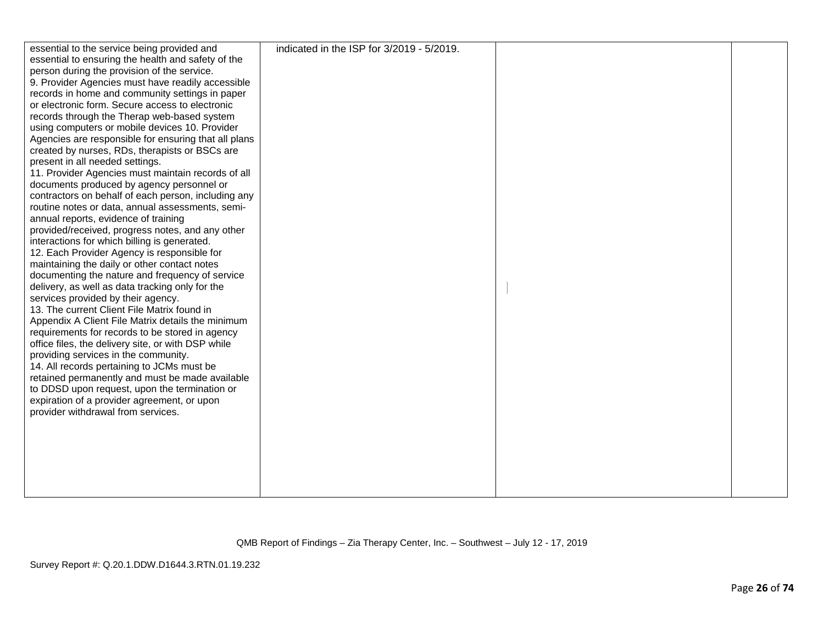| essential to the service being provided and          | indicated in the ISP for 3/2019 - 5/2019. |  |
|------------------------------------------------------|-------------------------------------------|--|
| essential to ensuring the health and safety of the   |                                           |  |
| person during the provision of the service.          |                                           |  |
| 9. Provider Agencies must have readily accessible    |                                           |  |
| records in home and community settings in paper      |                                           |  |
| or electronic form. Secure access to electronic      |                                           |  |
| records through the Therap web-based system          |                                           |  |
| using computers or mobile devices 10. Provider       |                                           |  |
| Agencies are responsible for ensuring that all plans |                                           |  |
| created by nurses, RDs, therapists or BSCs are       |                                           |  |
| present in all needed settings.                      |                                           |  |
| 11. Provider Agencies must maintain records of all   |                                           |  |
| documents produced by agency personnel or            |                                           |  |
| contractors on behalf of each person, including any  |                                           |  |
| routine notes or data, annual assessments, semi-     |                                           |  |
| annual reports, evidence of training                 |                                           |  |
| provided/received, progress notes, and any other     |                                           |  |
| interactions for which billing is generated.         |                                           |  |
| 12. Each Provider Agency is responsible for          |                                           |  |
| maintaining the daily or other contact notes         |                                           |  |
| documenting the nature and frequency of service      |                                           |  |
| delivery, as well as data tracking only for the      |                                           |  |
| services provided by their agency.                   |                                           |  |
| 13. The current Client File Matrix found in          |                                           |  |
| Appendix A Client File Matrix details the minimum    |                                           |  |
| requirements for records to be stored in agency      |                                           |  |
| office files, the delivery site, or with DSP while   |                                           |  |
| providing services in the community.                 |                                           |  |
| 14. All records pertaining to JCMs must be           |                                           |  |
| retained permanently and must be made available      |                                           |  |
| to DDSD upon request, upon the termination or        |                                           |  |
| expiration of a provider agreement, or upon          |                                           |  |
| provider withdrawal from services.                   |                                           |  |
|                                                      |                                           |  |
|                                                      |                                           |  |
|                                                      |                                           |  |
|                                                      |                                           |  |
|                                                      |                                           |  |
|                                                      |                                           |  |
|                                                      |                                           |  |

Survey Report #: Q.20.1.DDW.D1644.3.RTN.01.19.232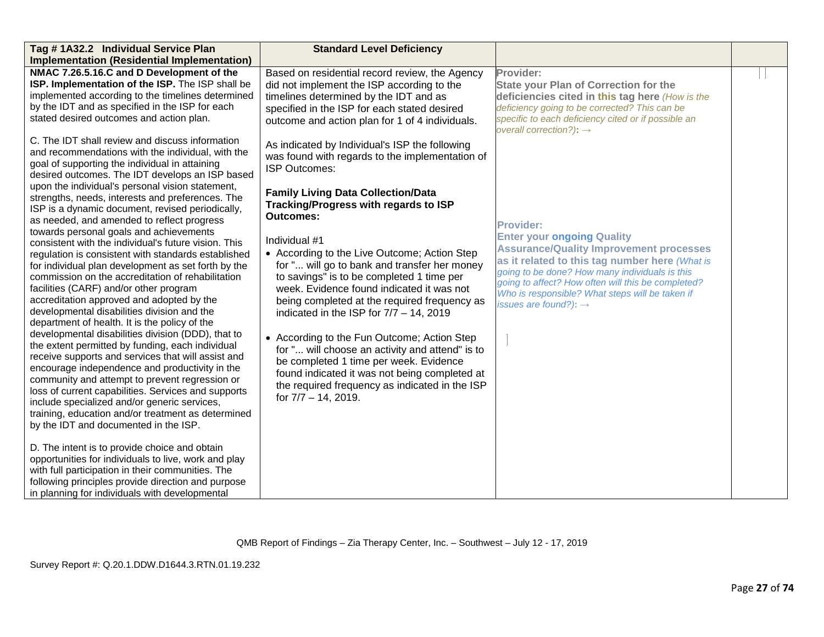| Tag #1A32.2 Individual Service Plan                                                                                                                                                                                                                                                                                                                                                                                                                                                                                                                                                                                                                                                                                                                                                                                                                                                                                                                                                                                                                                                                                                                                                                                                                                                                                                                                                                                                                                                                                                                                                                             | <b>Standard Level Deficiency</b>                                                                                                                                                                                                                                                                                                                                                                                                                                                                                                                                                                                                                                                                                                                                                                                                                                                                                                                                                                                                                                |                                                                                                                                                                                                                                                                                                                                                                                                                                                                                                                                                                                                                          |  |
|-----------------------------------------------------------------------------------------------------------------------------------------------------------------------------------------------------------------------------------------------------------------------------------------------------------------------------------------------------------------------------------------------------------------------------------------------------------------------------------------------------------------------------------------------------------------------------------------------------------------------------------------------------------------------------------------------------------------------------------------------------------------------------------------------------------------------------------------------------------------------------------------------------------------------------------------------------------------------------------------------------------------------------------------------------------------------------------------------------------------------------------------------------------------------------------------------------------------------------------------------------------------------------------------------------------------------------------------------------------------------------------------------------------------------------------------------------------------------------------------------------------------------------------------------------------------------------------------------------------------|-----------------------------------------------------------------------------------------------------------------------------------------------------------------------------------------------------------------------------------------------------------------------------------------------------------------------------------------------------------------------------------------------------------------------------------------------------------------------------------------------------------------------------------------------------------------------------------------------------------------------------------------------------------------------------------------------------------------------------------------------------------------------------------------------------------------------------------------------------------------------------------------------------------------------------------------------------------------------------------------------------------------------------------------------------------------|--------------------------------------------------------------------------------------------------------------------------------------------------------------------------------------------------------------------------------------------------------------------------------------------------------------------------------------------------------------------------------------------------------------------------------------------------------------------------------------------------------------------------------------------------------------------------------------------------------------------------|--|
| <b>Implementation (Residential Implementation)</b>                                                                                                                                                                                                                                                                                                                                                                                                                                                                                                                                                                                                                                                                                                                                                                                                                                                                                                                                                                                                                                                                                                                                                                                                                                                                                                                                                                                                                                                                                                                                                              |                                                                                                                                                                                                                                                                                                                                                                                                                                                                                                                                                                                                                                                                                                                                                                                                                                                                                                                                                                                                                                                                 |                                                                                                                                                                                                                                                                                                                                                                                                                                                                                                                                                                                                                          |  |
| NMAC 7.26.5.16.C and D Development of the<br>ISP. Implementation of the ISP. The ISP shall be<br>implemented according to the timelines determined<br>by the IDT and as specified in the ISP for each<br>stated desired outcomes and action plan.<br>C. The IDT shall review and discuss information<br>and recommendations with the individual, with the<br>goal of supporting the individual in attaining<br>desired outcomes. The IDT develops an ISP based<br>upon the individual's personal vision statement,<br>strengths, needs, interests and preferences. The<br>ISP is a dynamic document, revised periodically,<br>as needed, and amended to reflect progress<br>towards personal goals and achievements<br>consistent with the individual's future vision. This<br>regulation is consistent with standards established<br>for individual plan development as set forth by the<br>commission on the accreditation of rehabilitation<br>facilities (CARF) and/or other program<br>accreditation approved and adopted by the<br>developmental disabilities division and the<br>department of health. It is the policy of the<br>developmental disabilities division (DDD), that to<br>the extent permitted by funding, each individual<br>receive supports and services that will assist and<br>encourage independence and productivity in the<br>community and attempt to prevent regression or<br>loss of current capabilities. Services and supports<br>include specialized and/or generic services,<br>training, education and/or treatment as determined<br>by the IDT and documented in the ISP. | Based on residential record review, the Agency<br>did not implement the ISP according to the<br>timelines determined by the IDT and as<br>specified in the ISP for each stated desired<br>outcome and action plan for 1 of 4 individuals.<br>As indicated by Individual's ISP the following<br>was found with regards to the implementation of<br><b>ISP Outcomes:</b><br><b>Family Living Data Collection/Data</b><br>Tracking/Progress with regards to ISP<br><b>Outcomes:</b><br>Individual #1<br>• According to the Live Outcome; Action Step<br>for " will go to bank and transfer her money<br>to savings" is to be completed 1 time per<br>week. Evidence found indicated it was not<br>being completed at the required frequency as<br>indicated in the ISP for $7/7 - 14$ , 2019<br>• According to the Fun Outcome; Action Step<br>for " will choose an activity and attend" is to<br>be completed 1 time per week. Evidence<br>found indicated it was not being completed at<br>the required frequency as indicated in the ISP<br>for 7/7 - 14, 2019. | Provider:<br><b>State your Plan of Correction for the</b><br>deficiencies cited in this tag here (How is the<br>deficiency going to be corrected? This can be<br>specific to each deficiency cited or if possible an<br>overall correction?): $\rightarrow$<br><b>Provider:</b><br><b>Enter your ongoing Quality</b><br><b>Assurance/Quality Improvement processes</b><br>as it related to this tag number here (What is<br>going to be done? How many individuals is this<br>going to affect? How often will this be completed?<br>Who is responsible? What steps will be taken if<br>issues are found?): $\rightarrow$ |  |
| D. The intent is to provide choice and obtain<br>opportunities for individuals to live, work and play<br>with full participation in their communities. The<br>following principles provide direction and purpose<br>in planning for individuals with developmental                                                                                                                                                                                                                                                                                                                                                                                                                                                                                                                                                                                                                                                                                                                                                                                                                                                                                                                                                                                                                                                                                                                                                                                                                                                                                                                                              |                                                                                                                                                                                                                                                                                                                                                                                                                                                                                                                                                                                                                                                                                                                                                                                                                                                                                                                                                                                                                                                                 |                                                                                                                                                                                                                                                                                                                                                                                                                                                                                                                                                                                                                          |  |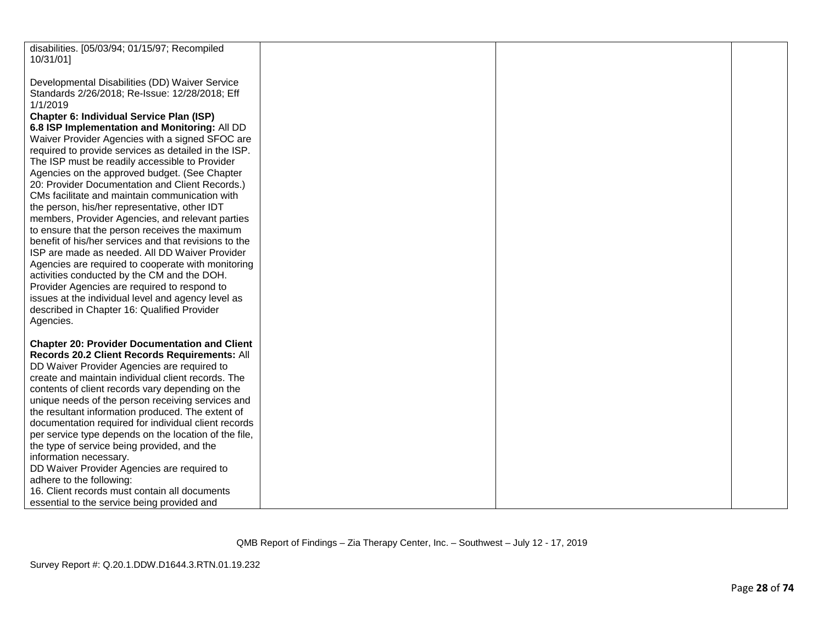| disabilities. [05/03/94; 01/15/97; Recompiled                                                                                                                                                                                                                                                                                                                                                                                                                                                                                                                                                                                                                                                                                                                                                                                                                                                                                                                                                                                                                                                                                                                                                                                                                                                                     |  |  |
|-------------------------------------------------------------------------------------------------------------------------------------------------------------------------------------------------------------------------------------------------------------------------------------------------------------------------------------------------------------------------------------------------------------------------------------------------------------------------------------------------------------------------------------------------------------------------------------------------------------------------------------------------------------------------------------------------------------------------------------------------------------------------------------------------------------------------------------------------------------------------------------------------------------------------------------------------------------------------------------------------------------------------------------------------------------------------------------------------------------------------------------------------------------------------------------------------------------------------------------------------------------------------------------------------------------------|--|--|
| 10/31/01]                                                                                                                                                                                                                                                                                                                                                                                                                                                                                                                                                                                                                                                                                                                                                                                                                                                                                                                                                                                                                                                                                                                                                                                                                                                                                                         |  |  |
|                                                                                                                                                                                                                                                                                                                                                                                                                                                                                                                                                                                                                                                                                                                                                                                                                                                                                                                                                                                                                                                                                                                                                                                                                                                                                                                   |  |  |
| Developmental Disabilities (DD) Waiver Service                                                                                                                                                                                                                                                                                                                                                                                                                                                                                                                                                                                                                                                                                                                                                                                                                                                                                                                                                                                                                                                                                                                                                                                                                                                                    |  |  |
| Standards 2/26/2018; Re-Issue: 12/28/2018; Eff                                                                                                                                                                                                                                                                                                                                                                                                                                                                                                                                                                                                                                                                                                                                                                                                                                                                                                                                                                                                                                                                                                                                                                                                                                                                    |  |  |
| 1/1/2019                                                                                                                                                                                                                                                                                                                                                                                                                                                                                                                                                                                                                                                                                                                                                                                                                                                                                                                                                                                                                                                                                                                                                                                                                                                                                                          |  |  |
| <b>Chapter 6: Individual Service Plan (ISP)</b>                                                                                                                                                                                                                                                                                                                                                                                                                                                                                                                                                                                                                                                                                                                                                                                                                                                                                                                                                                                                                                                                                                                                                                                                                                                                   |  |  |
| 6.8 ISP Implementation and Monitoring: All DD                                                                                                                                                                                                                                                                                                                                                                                                                                                                                                                                                                                                                                                                                                                                                                                                                                                                                                                                                                                                                                                                                                                                                                                                                                                                     |  |  |
| Waiver Provider Agencies with a signed SFOC are                                                                                                                                                                                                                                                                                                                                                                                                                                                                                                                                                                                                                                                                                                                                                                                                                                                                                                                                                                                                                                                                                                                                                                                                                                                                   |  |  |
|                                                                                                                                                                                                                                                                                                                                                                                                                                                                                                                                                                                                                                                                                                                                                                                                                                                                                                                                                                                                                                                                                                                                                                                                                                                                                                                   |  |  |
|                                                                                                                                                                                                                                                                                                                                                                                                                                                                                                                                                                                                                                                                                                                                                                                                                                                                                                                                                                                                                                                                                                                                                                                                                                                                                                                   |  |  |
|                                                                                                                                                                                                                                                                                                                                                                                                                                                                                                                                                                                                                                                                                                                                                                                                                                                                                                                                                                                                                                                                                                                                                                                                                                                                                                                   |  |  |
|                                                                                                                                                                                                                                                                                                                                                                                                                                                                                                                                                                                                                                                                                                                                                                                                                                                                                                                                                                                                                                                                                                                                                                                                                                                                                                                   |  |  |
|                                                                                                                                                                                                                                                                                                                                                                                                                                                                                                                                                                                                                                                                                                                                                                                                                                                                                                                                                                                                                                                                                                                                                                                                                                                                                                                   |  |  |
|                                                                                                                                                                                                                                                                                                                                                                                                                                                                                                                                                                                                                                                                                                                                                                                                                                                                                                                                                                                                                                                                                                                                                                                                                                                                                                                   |  |  |
| the person, his/her representative, other IDT                                                                                                                                                                                                                                                                                                                                                                                                                                                                                                                                                                                                                                                                                                                                                                                                                                                                                                                                                                                                                                                                                                                                                                                                                                                                     |  |  |
|                                                                                                                                                                                                                                                                                                                                                                                                                                                                                                                                                                                                                                                                                                                                                                                                                                                                                                                                                                                                                                                                                                                                                                                                                                                                                                                   |  |  |
|                                                                                                                                                                                                                                                                                                                                                                                                                                                                                                                                                                                                                                                                                                                                                                                                                                                                                                                                                                                                                                                                                                                                                                                                                                                                                                                   |  |  |
|                                                                                                                                                                                                                                                                                                                                                                                                                                                                                                                                                                                                                                                                                                                                                                                                                                                                                                                                                                                                                                                                                                                                                                                                                                                                                                                   |  |  |
|                                                                                                                                                                                                                                                                                                                                                                                                                                                                                                                                                                                                                                                                                                                                                                                                                                                                                                                                                                                                                                                                                                                                                                                                                                                                                                                   |  |  |
|                                                                                                                                                                                                                                                                                                                                                                                                                                                                                                                                                                                                                                                                                                                                                                                                                                                                                                                                                                                                                                                                                                                                                                                                                                                                                                                   |  |  |
|                                                                                                                                                                                                                                                                                                                                                                                                                                                                                                                                                                                                                                                                                                                                                                                                                                                                                                                                                                                                                                                                                                                                                                                                                                                                                                                   |  |  |
|                                                                                                                                                                                                                                                                                                                                                                                                                                                                                                                                                                                                                                                                                                                                                                                                                                                                                                                                                                                                                                                                                                                                                                                                                                                                                                                   |  |  |
|                                                                                                                                                                                                                                                                                                                                                                                                                                                                                                                                                                                                                                                                                                                                                                                                                                                                                                                                                                                                                                                                                                                                                                                                                                                                                                                   |  |  |
|                                                                                                                                                                                                                                                                                                                                                                                                                                                                                                                                                                                                                                                                                                                                                                                                                                                                                                                                                                                                                                                                                                                                                                                                                                                                                                                   |  |  |
|                                                                                                                                                                                                                                                                                                                                                                                                                                                                                                                                                                                                                                                                                                                                                                                                                                                                                                                                                                                                                                                                                                                                                                                                                                                                                                                   |  |  |
|                                                                                                                                                                                                                                                                                                                                                                                                                                                                                                                                                                                                                                                                                                                                                                                                                                                                                                                                                                                                                                                                                                                                                                                                                                                                                                                   |  |  |
|                                                                                                                                                                                                                                                                                                                                                                                                                                                                                                                                                                                                                                                                                                                                                                                                                                                                                                                                                                                                                                                                                                                                                                                                                                                                                                                   |  |  |
| <b>Chapter 20: Provider Documentation and Client</b>                                                                                                                                                                                                                                                                                                                                                                                                                                                                                                                                                                                                                                                                                                                                                                                                                                                                                                                                                                                                                                                                                                                                                                                                                                                              |  |  |
|                                                                                                                                                                                                                                                                                                                                                                                                                                                                                                                                                                                                                                                                                                                                                                                                                                                                                                                                                                                                                                                                                                                                                                                                                                                                                                                   |  |  |
|                                                                                                                                                                                                                                                                                                                                                                                                                                                                                                                                                                                                                                                                                                                                                                                                                                                                                                                                                                                                                                                                                                                                                                                                                                                                                                                   |  |  |
|                                                                                                                                                                                                                                                                                                                                                                                                                                                                                                                                                                                                                                                                                                                                                                                                                                                                                                                                                                                                                                                                                                                                                                                                                                                                                                                   |  |  |
|                                                                                                                                                                                                                                                                                                                                                                                                                                                                                                                                                                                                                                                                                                                                                                                                                                                                                                                                                                                                                                                                                                                                                                                                                                                                                                                   |  |  |
|                                                                                                                                                                                                                                                                                                                                                                                                                                                                                                                                                                                                                                                                                                                                                                                                                                                                                                                                                                                                                                                                                                                                                                                                                                                                                                                   |  |  |
|                                                                                                                                                                                                                                                                                                                                                                                                                                                                                                                                                                                                                                                                                                                                                                                                                                                                                                                                                                                                                                                                                                                                                                                                                                                                                                                   |  |  |
|                                                                                                                                                                                                                                                                                                                                                                                                                                                                                                                                                                                                                                                                                                                                                                                                                                                                                                                                                                                                                                                                                                                                                                                                                                                                                                                   |  |  |
|                                                                                                                                                                                                                                                                                                                                                                                                                                                                                                                                                                                                                                                                                                                                                                                                                                                                                                                                                                                                                                                                                                                                                                                                                                                                                                                   |  |  |
|                                                                                                                                                                                                                                                                                                                                                                                                                                                                                                                                                                                                                                                                                                                                                                                                                                                                                                                                                                                                                                                                                                                                                                                                                                                                                                                   |  |  |
|                                                                                                                                                                                                                                                                                                                                                                                                                                                                                                                                                                                                                                                                                                                                                                                                                                                                                                                                                                                                                                                                                                                                                                                                                                                                                                                   |  |  |
|                                                                                                                                                                                                                                                                                                                                                                                                                                                                                                                                                                                                                                                                                                                                                                                                                                                                                                                                                                                                                                                                                                                                                                                                                                                                                                                   |  |  |
|                                                                                                                                                                                                                                                                                                                                                                                                                                                                                                                                                                                                                                                                                                                                                                                                                                                                                                                                                                                                                                                                                                                                                                                                                                                                                                                   |  |  |
| adhere to the following:                                                                                                                                                                                                                                                                                                                                                                                                                                                                                                                                                                                                                                                                                                                                                                                                                                                                                                                                                                                                                                                                                                                                                                                                                                                                                          |  |  |
| 16. Client records must contain all documents                                                                                                                                                                                                                                                                                                                                                                                                                                                                                                                                                                                                                                                                                                                                                                                                                                                                                                                                                                                                                                                                                                                                                                                                                                                                     |  |  |
| essential to the service being provided and                                                                                                                                                                                                                                                                                                                                                                                                                                                                                                                                                                                                                                                                                                                                                                                                                                                                                                                                                                                                                                                                                                                                                                                                                                                                       |  |  |
| required to provide services as detailed in the ISP.<br>The ISP must be readily accessible to Provider<br>Agencies on the approved budget. (See Chapter<br>20: Provider Documentation and Client Records.)<br>CMs facilitate and maintain communication with<br>members, Provider Agencies, and relevant parties<br>to ensure that the person receives the maximum<br>benefit of his/her services and that revisions to the<br>ISP are made as needed. All DD Waiver Provider<br>Agencies are required to cooperate with monitoring<br>activities conducted by the CM and the DOH.<br>Provider Agencies are required to respond to<br>issues at the individual level and agency level as<br>described in Chapter 16: Qualified Provider<br>Agencies.<br>Records 20.2 Client Records Requirements: All<br>DD Waiver Provider Agencies are required to<br>create and maintain individual client records. The<br>contents of client records vary depending on the<br>unique needs of the person receiving services and<br>the resultant information produced. The extent of<br>documentation required for individual client records<br>per service type depends on the location of the file,<br>the type of service being provided, and the<br>information necessary.<br>DD Waiver Provider Agencies are required to |  |  |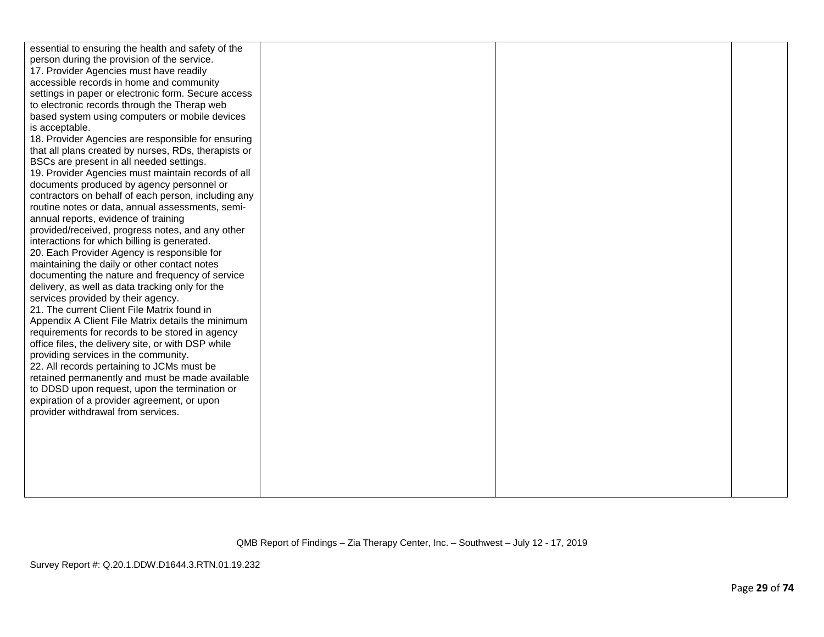| essential to ensuring the health and safety of the                                                    |  |  |
|-------------------------------------------------------------------------------------------------------|--|--|
| person during the provision of the service.                                                           |  |  |
| 17. Provider Agencies must have readily                                                               |  |  |
| accessible records in home and community                                                              |  |  |
| settings in paper or electronic form. Secure access                                                   |  |  |
| to electronic records through the Therap web                                                          |  |  |
| based system using computers or mobile devices                                                        |  |  |
| is acceptable.                                                                                        |  |  |
| 18. Provider Agencies are responsible for ensuring                                                    |  |  |
| that all plans created by nurses, RDs, therapists or                                                  |  |  |
| BSCs are present in all needed settings.                                                              |  |  |
| 19. Provider Agencies must maintain records of all                                                    |  |  |
| documents produced by agency personnel or                                                             |  |  |
| contractors on behalf of each person, including any                                                   |  |  |
| routine notes or data, annual assessments, semi-                                                      |  |  |
| annual reports, evidence of training                                                                  |  |  |
| provided/received, progress notes, and any other                                                      |  |  |
| interactions for which billing is generated.                                                          |  |  |
| 20. Each Provider Agency is responsible for                                                           |  |  |
| maintaining the daily or other contact notes                                                          |  |  |
| documenting the nature and frequency of service                                                       |  |  |
| delivery, as well as data tracking only for the                                                       |  |  |
| services provided by their agency.                                                                    |  |  |
| 21. The current Client File Matrix found in                                                           |  |  |
| Appendix A Client File Matrix details the minimum                                                     |  |  |
| requirements for records to be stored in agency<br>office files, the delivery site, or with DSP while |  |  |
| providing services in the community.                                                                  |  |  |
| 22. All records pertaining to JCMs must be                                                            |  |  |
| retained permanently and must be made available                                                       |  |  |
| to DDSD upon request, upon the termination or                                                         |  |  |
| expiration of a provider agreement, or upon                                                           |  |  |
| provider withdrawal from services.                                                                    |  |  |
|                                                                                                       |  |  |
|                                                                                                       |  |  |
|                                                                                                       |  |  |
|                                                                                                       |  |  |
|                                                                                                       |  |  |
|                                                                                                       |  |  |
|                                                                                                       |  |  |

Survey Report #: Q.20.1.DDW.D1644.3.RTN.01.19.232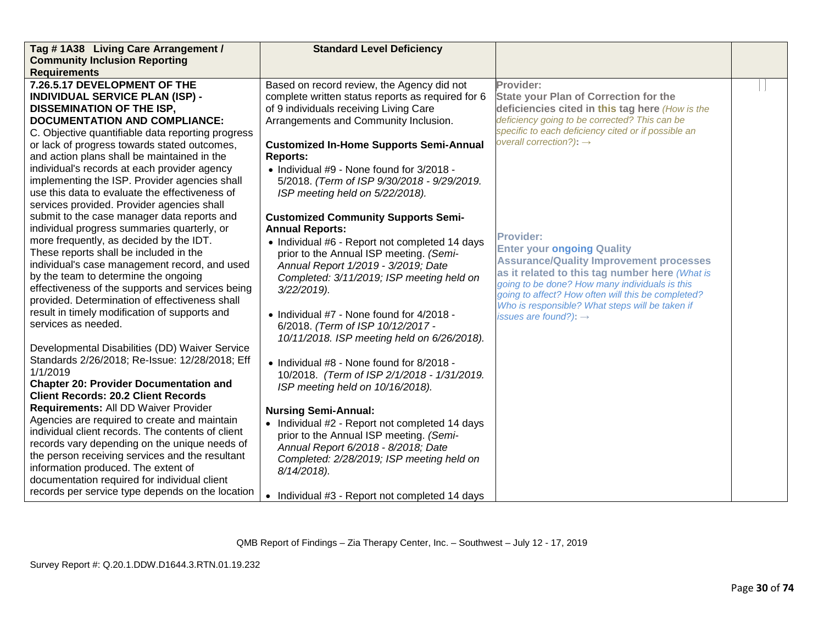| Tag #1A38 Living Care Arrangement /                                                 | <b>Standard Level Deficiency</b>                  |                                                                                                  |  |
|-------------------------------------------------------------------------------------|---------------------------------------------------|--------------------------------------------------------------------------------------------------|--|
| <b>Community Inclusion Reporting</b>                                                |                                                   |                                                                                                  |  |
| <b>Requirements</b>                                                                 |                                                   |                                                                                                  |  |
| 7.26.5.17 DEVELOPMENT OF THE                                                        | Based on record review, the Agency did not        | Provider:                                                                                        |  |
| <b>INDIVIDUAL SERVICE PLAN (ISP) -</b>                                              | complete written status reports as required for 6 | <b>State your Plan of Correction for the</b>                                                     |  |
| <b>DISSEMINATION OF THE ISP,</b>                                                    | of 9 individuals receiving Living Care            | deficiencies cited in this tag here (How is the                                                  |  |
| <b>DOCUMENTATION AND COMPLIANCE:</b>                                                | Arrangements and Community Inclusion.             | deficiency going to be corrected? This can be                                                    |  |
| C. Objective quantifiable data reporting progress                                   |                                                   | specific to each deficiency cited or if possible an                                              |  |
| or lack of progress towards stated outcomes,                                        | <b>Customized In-Home Supports Semi-Annual</b>    | overall correction?): $\rightarrow$                                                              |  |
| and action plans shall be maintained in the                                         | <b>Reports:</b>                                   |                                                                                                  |  |
| individual's records at each provider agency                                        | • Individual #9 - None found for 3/2018 -         |                                                                                                  |  |
| implementing the ISP. Provider agencies shall                                       | 5/2018. (Term of ISP 9/30/2018 - 9/29/2019.       |                                                                                                  |  |
| use this data to evaluate the effectiveness of                                      | ISP meeting held on 5/22/2018).                   |                                                                                                  |  |
| services provided. Provider agencies shall                                          |                                                   |                                                                                                  |  |
| submit to the case manager data reports and                                         | <b>Customized Community Supports Semi-</b>        |                                                                                                  |  |
| individual progress summaries quarterly, or                                         | <b>Annual Reports:</b>                            | <b>Provider:</b>                                                                                 |  |
| more frequently, as decided by the IDT.                                             | • Individual #6 - Report not completed 14 days    |                                                                                                  |  |
| These reports shall be included in the                                              | prior to the Annual ISP meeting. (Semi-           | <b>Enter your ongoing Quality</b>                                                                |  |
| individual's case management record, and used                                       | Annual Report 1/2019 - 3/2019; Date               | <b>Assurance/Quality Improvement processes</b><br>as it related to this tag number here (What is |  |
| by the team to determine the ongoing                                                | Completed: 3/11/2019; ISP meeting held on         | going to be done? How many individuals is this                                                   |  |
| effectiveness of the supports and services being                                    | $3/22/2019$ ).                                    | going to affect? How often will this be completed?                                               |  |
| provided. Determination of effectiveness shall                                      |                                                   | Who is responsible? What steps will be taken if                                                  |  |
| result in timely modification of supports and                                       | • Individual #7 - None found for 4/2018 -         | issues are found?): $\rightarrow$                                                                |  |
| services as needed.                                                                 | 6/2018. (Term of ISP 10/12/2017 -                 |                                                                                                  |  |
|                                                                                     | 10/11/2018. ISP meeting held on 6/26/2018).       |                                                                                                  |  |
| Developmental Disabilities (DD) Waiver Service                                      |                                                   |                                                                                                  |  |
| Standards 2/26/2018; Re-Issue: 12/28/2018; Eff                                      | • Individual #8 - None found for 8/2018 -         |                                                                                                  |  |
| 1/1/2019                                                                            | 10/2018. (Term of ISP 2/1/2018 - 1/31/2019.       |                                                                                                  |  |
| <b>Chapter 20: Provider Documentation and</b>                                       | ISP meeting held on 10/16/2018).                  |                                                                                                  |  |
| <b>Client Records: 20.2 Client Records</b>                                          |                                                   |                                                                                                  |  |
| Requirements: All DD Waiver Provider                                                | <b>Nursing Semi-Annual:</b>                       |                                                                                                  |  |
| Agencies are required to create and maintain                                        | • Individual #2 - Report not completed 14 days    |                                                                                                  |  |
| individual client records. The contents of client                                   | prior to the Annual ISP meeting. (Semi-           |                                                                                                  |  |
| records vary depending on the unique needs of                                       | Annual Report 6/2018 - 8/2018; Date               |                                                                                                  |  |
| the person receiving services and the resultant                                     | Completed: 2/28/2019; ISP meeting held on         |                                                                                                  |  |
| information produced. The extent of<br>documentation required for individual client | 8/14/2018).                                       |                                                                                                  |  |
|                                                                                     |                                                   |                                                                                                  |  |
| records per service type depends on the location                                    | • Individual #3 - Report not completed 14 days    |                                                                                                  |  |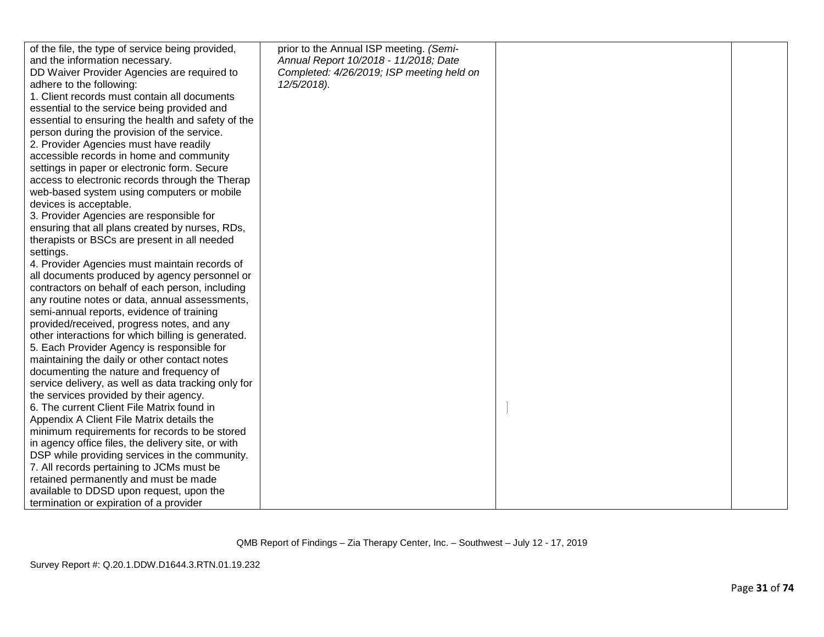| of the file, the type of service being provided,    | prior to the Annual ISP meeting. (Semi-   |  |
|-----------------------------------------------------|-------------------------------------------|--|
| and the information necessary.                      | Annual Report 10/2018 - 11/2018; Date     |  |
| DD Waiver Provider Agencies are required to         | Completed: 4/26/2019; ISP meeting held on |  |
| adhere to the following:                            | 12/5/2018).                               |  |
| 1. Client records must contain all documents        |                                           |  |
| essential to the service being provided and         |                                           |  |
| essential to ensuring the health and safety of the  |                                           |  |
| person during the provision of the service.         |                                           |  |
| 2. Provider Agencies must have readily              |                                           |  |
| accessible records in home and community            |                                           |  |
| settings in paper or electronic form. Secure        |                                           |  |
| access to electronic records through the Therap     |                                           |  |
| web-based system using computers or mobile          |                                           |  |
| devices is acceptable.                              |                                           |  |
| 3. Provider Agencies are responsible for            |                                           |  |
| ensuring that all plans created by nurses, RDs,     |                                           |  |
| therapists or BSCs are present in all needed        |                                           |  |
| settings.                                           |                                           |  |
| 4. Provider Agencies must maintain records of       |                                           |  |
| all documents produced by agency personnel or       |                                           |  |
| contractors on behalf of each person, including     |                                           |  |
| any routine notes or data, annual assessments,      |                                           |  |
| semi-annual reports, evidence of training           |                                           |  |
| provided/received, progress notes, and any          |                                           |  |
| other interactions for which billing is generated.  |                                           |  |
| 5. Each Provider Agency is responsible for          |                                           |  |
| maintaining the daily or other contact notes        |                                           |  |
| documenting the nature and frequency of             |                                           |  |
| service delivery, as well as data tracking only for |                                           |  |
| the services provided by their agency.              |                                           |  |
| 6. The current Client File Matrix found in          |                                           |  |
| Appendix A Client File Matrix details the           |                                           |  |
| minimum requirements for records to be stored       |                                           |  |
| in agency office files, the delivery site, or with  |                                           |  |
| DSP while providing services in the community.      |                                           |  |
| 7. All records pertaining to JCMs must be           |                                           |  |
| retained permanently and must be made               |                                           |  |
| available to DDSD upon request, upon the            |                                           |  |
| termination or expiration of a provider             |                                           |  |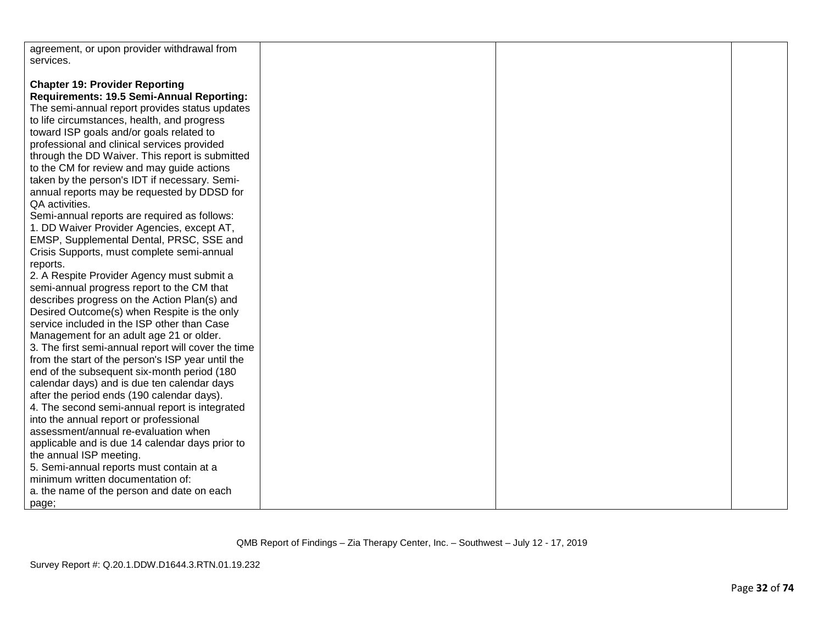| agreement, or upon provider withdrawal from<br>services.                                        |  |  |
|-------------------------------------------------------------------------------------------------|--|--|
| <b>Chapter 19: Provider Reporting</b><br><b>Requirements: 19.5 Semi-Annual Reporting:</b>       |  |  |
| The semi-annual report provides status updates                                                  |  |  |
| to life circumstances, health, and progress<br>toward ISP goals and/or goals related to         |  |  |
| professional and clinical services provided                                                     |  |  |
| through the DD Waiver. This report is submitted                                                 |  |  |
| to the CM for review and may guide actions                                                      |  |  |
| taken by the person's IDT if necessary. Semi-                                                   |  |  |
| annual reports may be requested by DDSD for                                                     |  |  |
| QA activities.                                                                                  |  |  |
| Semi-annual reports are required as follows:                                                    |  |  |
| 1. DD Waiver Provider Agencies, except AT,                                                      |  |  |
| EMSP, Supplemental Dental, PRSC, SSE and                                                        |  |  |
| Crisis Supports, must complete semi-annual                                                      |  |  |
| reports.                                                                                        |  |  |
| 2. A Respite Provider Agency must submit a                                                      |  |  |
| semi-annual progress report to the CM that                                                      |  |  |
| describes progress on the Action Plan(s) and                                                    |  |  |
| Desired Outcome(s) when Respite is the only                                                     |  |  |
| service included in the ISP other than Case                                                     |  |  |
| Management for an adult age 21 or older.<br>3. The first semi-annual report will cover the time |  |  |
| from the start of the person's ISP year until the                                               |  |  |
| end of the subsequent six-month period (180                                                     |  |  |
| calendar days) and is due ten calendar days                                                     |  |  |
| after the period ends (190 calendar days).                                                      |  |  |
| 4. The second semi-annual report is integrated                                                  |  |  |
| into the annual report or professional                                                          |  |  |
| assessment/annual re-evaluation when                                                            |  |  |
| applicable and is due 14 calendar days prior to                                                 |  |  |
| the annual ISP meeting.                                                                         |  |  |
| 5. Semi-annual reports must contain at a                                                        |  |  |
| minimum written documentation of:                                                               |  |  |
| a. the name of the person and date on each                                                      |  |  |
| page;                                                                                           |  |  |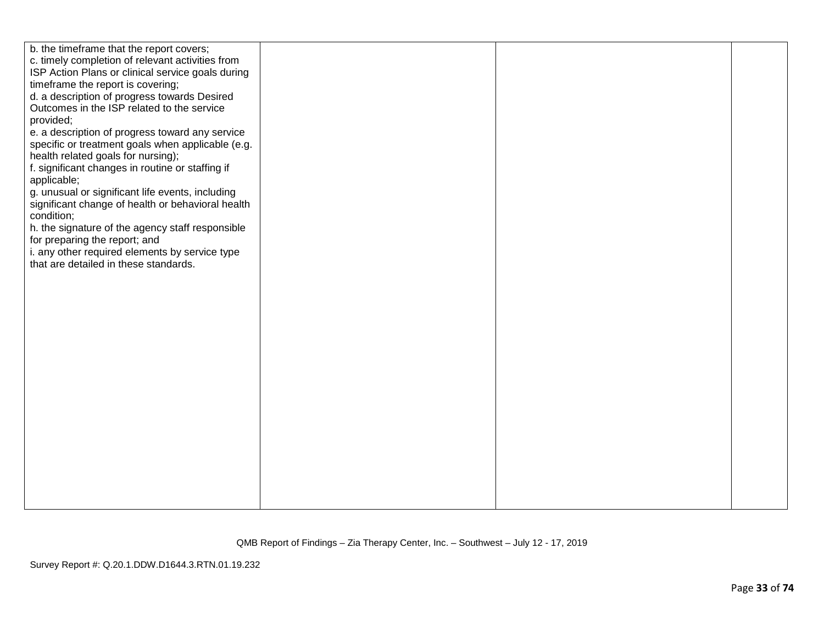| b. the timeframe that the report covers;<br>c. timely completion of relevant activities from<br>ISP Action Plans or clinical service goals during<br>timeframe the report is covering;<br>d. a description of progress towards Desired<br>Outcomes in the ISP related to the service<br>provided;<br>e. a description of progress toward any service<br>specific or treatment goals when applicable (e.g.<br>health related goals for nursing);<br>f. significant changes in routine or staffing if<br>applicable;<br>g. unusual or significant life events, including<br>significant change of health or behavioral health<br>condition;<br>h. the signature of the agency staff responsible<br>for preparing the report; and<br>i. any other required elements by service type<br>that are detailed in these standards. |  |  |
|---------------------------------------------------------------------------------------------------------------------------------------------------------------------------------------------------------------------------------------------------------------------------------------------------------------------------------------------------------------------------------------------------------------------------------------------------------------------------------------------------------------------------------------------------------------------------------------------------------------------------------------------------------------------------------------------------------------------------------------------------------------------------------------------------------------------------|--|--|
|                                                                                                                                                                                                                                                                                                                                                                                                                                                                                                                                                                                                                                                                                                                                                                                                                           |  |  |

Survey Report #: Q.20.1.DDW.D1644.3.RTN.01.19.232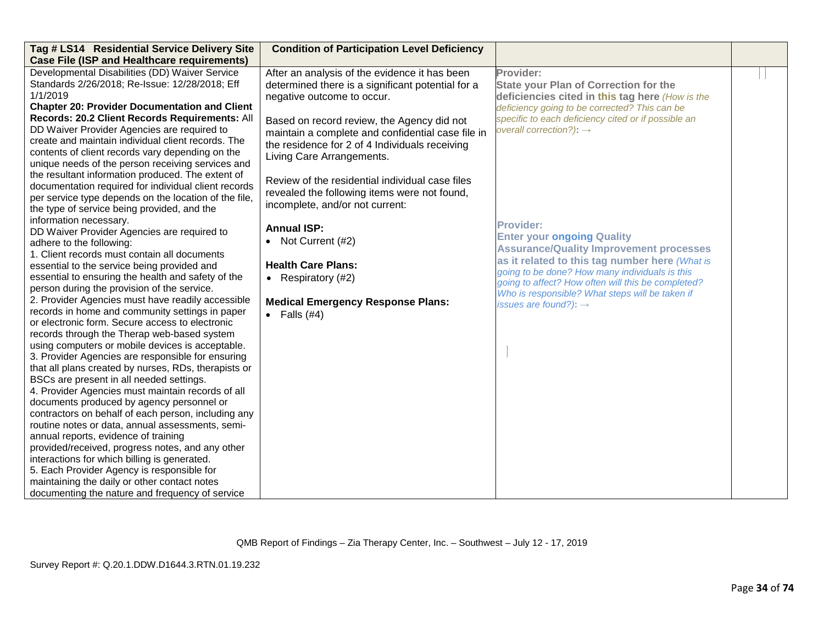| Tag # LS14 Residential Service Delivery Site          | <b>Condition of Participation Level Deficiency</b> |                                                     |  |
|-------------------------------------------------------|----------------------------------------------------|-----------------------------------------------------|--|
| <b>Case File (ISP and Healthcare requirements)</b>    |                                                    |                                                     |  |
| Developmental Disabilities (DD) Waiver Service        | After an analysis of the evidence it has been      | Provider:                                           |  |
| Standards 2/26/2018; Re-Issue: 12/28/2018; Eff        | determined there is a significant potential for a  | <b>State your Plan of Correction for the</b>        |  |
| 1/1/2019                                              | negative outcome to occur.                         | deficiencies cited in this tag here (How is the     |  |
| <b>Chapter 20: Provider Documentation and Client</b>  |                                                    | deficiency going to be corrected? This can be       |  |
| Records: 20.2 Client Records Requirements: All        | Based on record review, the Agency did not         | specific to each deficiency cited or if possible an |  |
| DD Waiver Provider Agencies are required to           | maintain a complete and confidential case file in  | overall correction?): $\rightarrow$                 |  |
| create and maintain individual client records. The    | the residence for 2 of 4 Individuals receiving     |                                                     |  |
| contents of client records vary depending on the      |                                                    |                                                     |  |
| unique needs of the person receiving services and     | Living Care Arrangements.                          |                                                     |  |
| the resultant information produced. The extent of     |                                                    |                                                     |  |
| documentation required for individual client records  | Review of the residential individual case files    |                                                     |  |
| per service type depends on the location of the file, | revealed the following items were not found,       |                                                     |  |
| the type of service being provided, and the           | incomplete, and/or not current:                    |                                                     |  |
| information necessary.                                |                                                    |                                                     |  |
| DD Waiver Provider Agencies are required to           | <b>Annual ISP:</b>                                 | <b>Provider:</b>                                    |  |
| adhere to the following:                              | • Not Current (#2)                                 | <b>Enter your ongoing Quality</b>                   |  |
| 1. Client records must contain all documents          |                                                    | <b>Assurance/Quality Improvement processes</b>      |  |
| essential to the service being provided and           | <b>Health Care Plans:</b>                          | as it related to this tag number here (What is      |  |
| essential to ensuring the health and safety of the    | • Respiratory $(#2)$                               | going to be done? How many individuals is this      |  |
| person during the provision of the service.           |                                                    | going to affect? How often will this be completed?  |  |
| 2. Provider Agencies must have readily accessible     | <b>Medical Emergency Response Plans:</b>           | Who is responsible? What steps will be taken if     |  |
| records in home and community settings in paper       | $\bullet$ Falls (#4)                               | issues are found?): $\rightarrow$                   |  |
| or electronic form. Secure access to electronic       |                                                    |                                                     |  |
| records through the Therap web-based system           |                                                    |                                                     |  |
| using computers or mobile devices is acceptable.      |                                                    |                                                     |  |
| 3. Provider Agencies are responsible for ensuring     |                                                    |                                                     |  |
| that all plans created by nurses, RDs, therapists or  |                                                    |                                                     |  |
| BSCs are present in all needed settings.              |                                                    |                                                     |  |
| 4. Provider Agencies must maintain records of all     |                                                    |                                                     |  |
| documents produced by agency personnel or             |                                                    |                                                     |  |
| contractors on behalf of each person, including any   |                                                    |                                                     |  |
| routine notes or data, annual assessments, semi-      |                                                    |                                                     |  |
| annual reports, evidence of training                  |                                                    |                                                     |  |
| provided/received, progress notes, and any other      |                                                    |                                                     |  |
| interactions for which billing is generated.          |                                                    |                                                     |  |
| 5. Each Provider Agency is responsible for            |                                                    |                                                     |  |
| maintaining the daily or other contact notes          |                                                    |                                                     |  |
| documenting the nature and frequency of service       |                                                    |                                                     |  |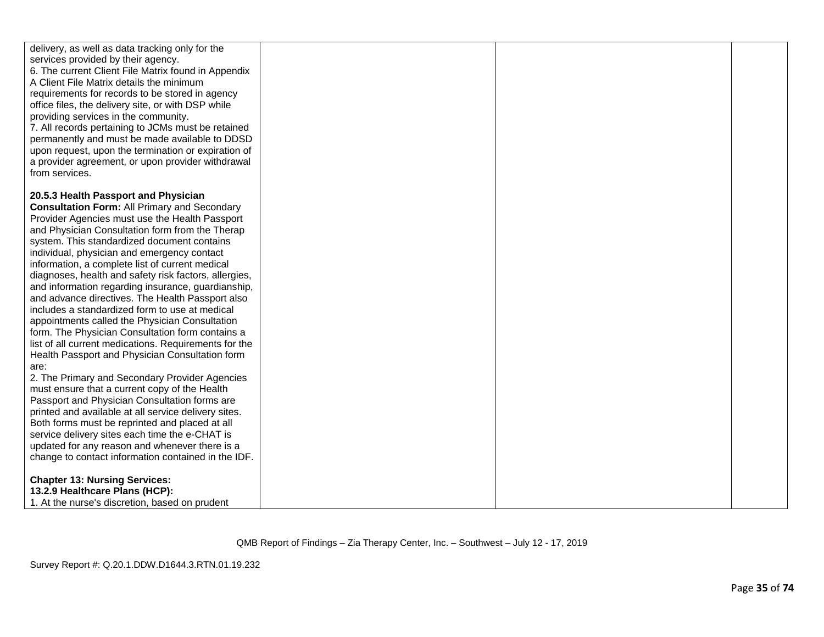| delivery, as well as data tracking only for the       |  |  |
|-------------------------------------------------------|--|--|
| services provided by their agency.                    |  |  |
|                                                       |  |  |
| 6. The current Client File Matrix found in Appendix   |  |  |
| A Client File Matrix details the minimum              |  |  |
| requirements for records to be stored in agency       |  |  |
| office files, the delivery site, or with DSP while    |  |  |
| providing services in the community.                  |  |  |
| 7. All records pertaining to JCMs must be retained    |  |  |
| permanently and must be made available to DDSD        |  |  |
| upon request, upon the termination or expiration of   |  |  |
| a provider agreement, or upon provider withdrawal     |  |  |
|                                                       |  |  |
| from services.                                        |  |  |
|                                                       |  |  |
| 20.5.3 Health Passport and Physician                  |  |  |
| <b>Consultation Form: All Primary and Secondary</b>   |  |  |
| Provider Agencies must use the Health Passport        |  |  |
| and Physician Consultation form from the Therap       |  |  |
| system. This standardized document contains           |  |  |
| individual, physician and emergency contact           |  |  |
| information, a complete list of current medical       |  |  |
| diagnoses, health and safety risk factors, allergies, |  |  |
| and information regarding insurance, guardianship,    |  |  |
| and advance directives. The Health Passport also      |  |  |
| includes a standardized form to use at medical        |  |  |
| appointments called the Physician Consultation        |  |  |
| form. The Physician Consultation form contains a      |  |  |
| list of all current medications. Requirements for the |  |  |
| Health Passport and Physician Consultation form       |  |  |
| are:                                                  |  |  |
| 2. The Primary and Secondary Provider Agencies        |  |  |
| must ensure that a current copy of the Health         |  |  |
| Passport and Physician Consultation forms are         |  |  |
| printed and available at all service delivery sites.  |  |  |
|                                                       |  |  |
| Both forms must be reprinted and placed at all        |  |  |
| service delivery sites each time the e-CHAT is        |  |  |
| updated for any reason and whenever there is a        |  |  |
| change to contact information contained in the IDF.   |  |  |
|                                                       |  |  |
| <b>Chapter 13: Nursing Services:</b>                  |  |  |
| 13.2.9 Healthcare Plans (HCP):                        |  |  |
| 1. At the nurse's discretion, based on prudent        |  |  |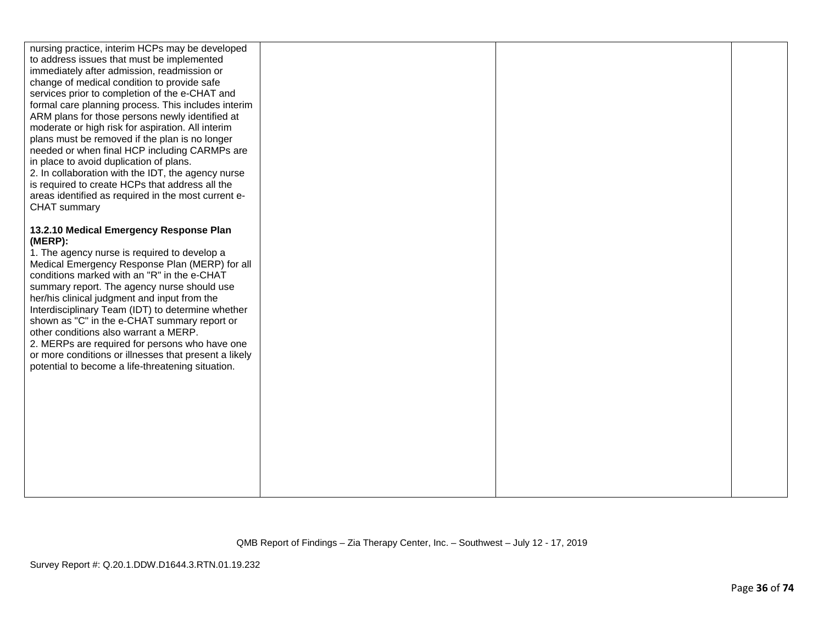| nursing practice, interim HCPs may be developed<br>to address issues that must be implemented<br>immediately after admission, readmission or<br>change of medical condition to provide safe<br>services prior to completion of the e-CHAT and<br>formal care planning process. This includes interim<br>ARM plans for those persons newly identified at<br>moderate or high risk for aspiration. All interim<br>plans must be removed if the plan is no longer<br>needed or when final HCP including CARMPs are<br>in place to avoid duplication of plans.<br>2. In collaboration with the IDT, the agency nurse<br>is required to create HCPs that address all the<br>areas identified as required in the most current e-<br><b>CHAT</b> summary |  |  |
|---------------------------------------------------------------------------------------------------------------------------------------------------------------------------------------------------------------------------------------------------------------------------------------------------------------------------------------------------------------------------------------------------------------------------------------------------------------------------------------------------------------------------------------------------------------------------------------------------------------------------------------------------------------------------------------------------------------------------------------------------|--|--|
| 13.2.10 Medical Emergency Response Plan<br>(MERP):<br>1. The agency nurse is required to develop a<br>Medical Emergency Response Plan (MERP) for all<br>conditions marked with an "R" in the e-CHAT<br>summary report. The agency nurse should use<br>her/his clinical judgment and input from the<br>Interdisciplinary Team (IDT) to determine whether<br>shown as "C" in the e-CHAT summary report or<br>other conditions also warrant a MERP.<br>2. MERPs are required for persons who have one<br>or more conditions or illnesses that present a likely<br>potential to become a life-threatening situation.                                                                                                                                  |  |  |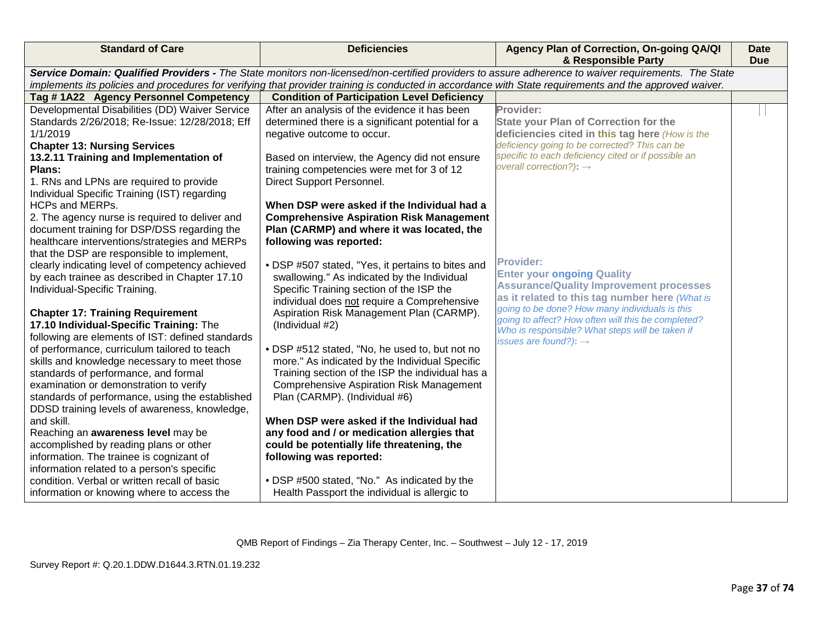| <b>Standard of Care</b>                          | <b>Deficiencies</b>                                                                                                                                     | Agency Plan of Correction, On-going QA/QI<br>& Responsible Party                                                                                    | <b>Date</b><br><b>Due</b> |
|--------------------------------------------------|---------------------------------------------------------------------------------------------------------------------------------------------------------|-----------------------------------------------------------------------------------------------------------------------------------------------------|---------------------------|
|                                                  |                                                                                                                                                         | Service Domain: Qualified Providers - The State monitors non-licensed/non-certified providers to assure adherence to waiver requirements. The State |                           |
|                                                  | implements its policies and procedures for verifying that provider training is conducted in accordance with State requirements and the approved waiver. |                                                                                                                                                     |                           |
| Tag #1A22 Agency Personnel Competency            | <b>Condition of Participation Level Deficiency</b>                                                                                                      |                                                                                                                                                     |                           |
| Developmental Disabilities (DD) Waiver Service   | After an analysis of the evidence it has been                                                                                                           | Provider:                                                                                                                                           |                           |
| Standards 2/26/2018; Re-Issue: 12/28/2018; Eff   | determined there is a significant potential for a                                                                                                       | <b>State your Plan of Correction for the</b>                                                                                                        |                           |
| 1/1/2019                                         | negative outcome to occur.                                                                                                                              | deficiencies cited in this tag here (How is the                                                                                                     |                           |
| <b>Chapter 13: Nursing Services</b>              |                                                                                                                                                         | deficiency going to be corrected? This can be                                                                                                       |                           |
| 13.2.11 Training and Implementation of           | Based on interview, the Agency did not ensure                                                                                                           | specific to each deficiency cited or if possible an                                                                                                 |                           |
| Plans:                                           | training competencies were met for 3 of 12                                                                                                              | overall correction?): $\rightarrow$                                                                                                                 |                           |
| 1. RNs and LPNs are required to provide          | Direct Support Personnel.                                                                                                                               |                                                                                                                                                     |                           |
| Individual Specific Training (IST) regarding     |                                                                                                                                                         |                                                                                                                                                     |                           |
| <b>HCPs and MERPs.</b>                           | When DSP were asked if the Individual had a                                                                                                             |                                                                                                                                                     |                           |
| 2. The agency nurse is required to deliver and   | <b>Comprehensive Aspiration Risk Management</b>                                                                                                         |                                                                                                                                                     |                           |
| document training for DSP/DSS regarding the      | Plan (CARMP) and where it was located, the                                                                                                              |                                                                                                                                                     |                           |
| healthcare interventions/strategies and MERPs    | following was reported:                                                                                                                                 |                                                                                                                                                     |                           |
| that the DSP are responsible to implement,       |                                                                                                                                                         | <b>Provider:</b>                                                                                                                                    |                           |
| clearly indicating level of competency achieved  | • DSP #507 stated, "Yes, it pertains to bites and                                                                                                       |                                                                                                                                                     |                           |
| by each trainee as described in Chapter 17.10    | swallowing." As indicated by the Individual                                                                                                             | <b>Enter your ongoing Quality</b>                                                                                                                   |                           |
| Individual-Specific Training.                    | Specific Training section of the ISP the                                                                                                                | <b>Assurance/Quality Improvement processes</b>                                                                                                      |                           |
|                                                  | individual does not require a Comprehensive                                                                                                             | as it related to this tag number here (What is<br>going to be done? How many individuals is this                                                    |                           |
| <b>Chapter 17: Training Requirement</b>          | Aspiration Risk Management Plan (CARMP).                                                                                                                | going to affect? How often will this be completed?                                                                                                  |                           |
| 17.10 Individual-Specific Training: The          | (Individual #2)                                                                                                                                         | Who is responsible? What steps will be taken if                                                                                                     |                           |
| following are elements of IST: defined standards |                                                                                                                                                         | issues are found?): $\rightarrow$                                                                                                                   |                           |
| of performance, curriculum tailored to teach     | • DSP #512 stated, "No, he used to, but not no                                                                                                          |                                                                                                                                                     |                           |
| skills and knowledge necessary to meet those     | more." As indicated by the Individual Specific                                                                                                          |                                                                                                                                                     |                           |
| standards of performance, and formal             | Training section of the ISP the individual has a                                                                                                        |                                                                                                                                                     |                           |
| examination or demonstration to verify           | <b>Comprehensive Aspiration Risk Management</b>                                                                                                         |                                                                                                                                                     |                           |
| standards of performance, using the established  | Plan (CARMP). (Individual #6)                                                                                                                           |                                                                                                                                                     |                           |
| DDSD training levels of awareness, knowledge,    |                                                                                                                                                         |                                                                                                                                                     |                           |
| and skill.                                       | When DSP were asked if the Individual had                                                                                                               |                                                                                                                                                     |                           |
| Reaching an awareness level may be               | any food and / or medication allergies that                                                                                                             |                                                                                                                                                     |                           |
| accomplished by reading plans or other           | could be potentially life threatening, the                                                                                                              |                                                                                                                                                     |                           |
| information. The trainee is cognizant of         | following was reported:                                                                                                                                 |                                                                                                                                                     |                           |
| information related to a person's specific       |                                                                                                                                                         |                                                                                                                                                     |                           |
| condition. Verbal or written recall of basic     | • DSP #500 stated, "No." As indicated by the                                                                                                            |                                                                                                                                                     |                           |
| information or knowing where to access the       | Health Passport the individual is allergic to                                                                                                           |                                                                                                                                                     |                           |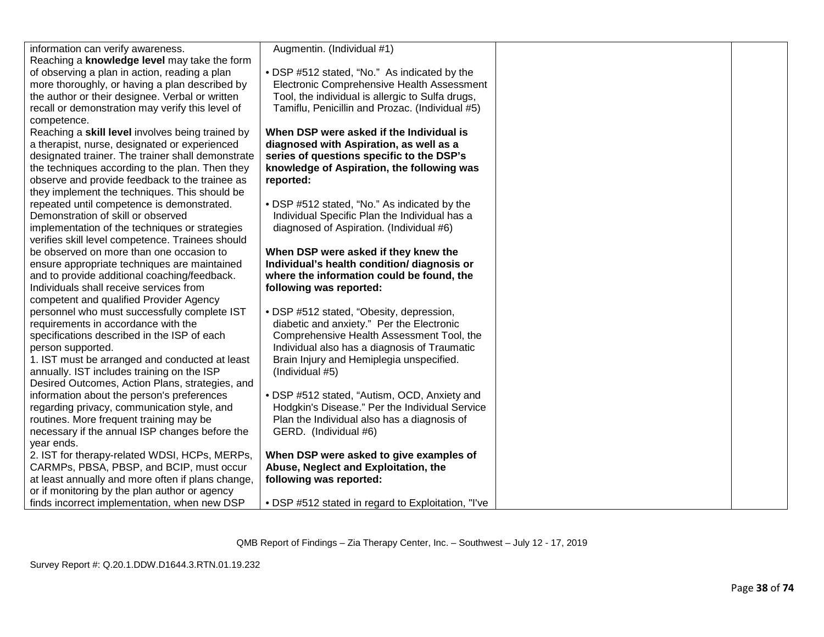| information can verify awareness.                 | Augmentin. (Individual #1)                         |  |
|---------------------------------------------------|----------------------------------------------------|--|
| Reaching a knowledge level may take the form      |                                                    |  |
| of observing a plan in action, reading a plan     | • DSP #512 stated, "No." As indicated by the       |  |
| more thoroughly, or having a plan described by    | Electronic Comprehensive Health Assessment         |  |
| the author or their designee. Verbal or written   | Tool, the individual is allergic to Sulfa drugs,   |  |
| recall or demonstration may verify this level of  | Tamiflu, Penicillin and Prozac. (Individual #5)    |  |
| competence.                                       |                                                    |  |
| Reaching a skill level involves being trained by  | When DSP were asked if the Individual is           |  |
| a therapist, nurse, designated or experienced     | diagnosed with Aspiration, as well as a            |  |
| designated trainer. The trainer shall demonstrate | series of questions specific to the DSP's          |  |
| the techniques according to the plan. Then they   | knowledge of Aspiration, the following was         |  |
| observe and provide feedback to the trainee as    | reported:                                          |  |
| they implement the techniques. This should be     |                                                    |  |
| repeated until competence is demonstrated.        | • DSP #512 stated, "No." As indicated by the       |  |
| Demonstration of skill or observed                | Individual Specific Plan the Individual has a      |  |
| implementation of the techniques or strategies    | diagnosed of Aspiration. (Individual #6)           |  |
| verifies skill level competence. Trainees should  |                                                    |  |
| be observed on more than one occasion to          | When DSP were asked if they knew the               |  |
| ensure appropriate techniques are maintained      | Individual's health condition/ diagnosis or        |  |
| and to provide additional coaching/feedback.      | where the information could be found, the          |  |
| Individuals shall receive services from           | following was reported:                            |  |
| competent and qualified Provider Agency           |                                                    |  |
| personnel who must successfully complete IST      | • DSP #512 stated, "Obesity, depression,           |  |
| requirements in accordance with the               | diabetic and anxiety." Per the Electronic          |  |
| specifications described in the ISP of each       | Comprehensive Health Assessment Tool, the          |  |
| person supported.                                 | Individual also has a diagnosis of Traumatic       |  |
| 1. IST must be arranged and conducted at least    | Brain Injury and Hemiplegia unspecified.           |  |
| annually. IST includes training on the ISP        | (Individual #5)                                    |  |
| Desired Outcomes, Action Plans, strategies, and   |                                                    |  |
| information about the person's preferences        | • DSP #512 stated, "Autism, OCD, Anxiety and       |  |
| regarding privacy, communication style, and       | Hodgkin's Disease." Per the Individual Service     |  |
| routines. More frequent training may be           | Plan the Individual also has a diagnosis of        |  |
| necessary if the annual ISP changes before the    | GERD. (Individual #6)                              |  |
| year ends.                                        |                                                    |  |
|                                                   |                                                    |  |
| 2. IST for therapy-related WDSI, HCPs, MERPs,     | When DSP were asked to give examples of            |  |
| CARMPs, PBSA, PBSP, and BCIP, must occur          | Abuse, Neglect and Exploitation, the               |  |
| at least annually and more often if plans change, | following was reported:                            |  |
| or if monitoring by the plan author or agency     |                                                    |  |
| finds incorrect implementation, when new DSP      | • DSP #512 stated in regard to Exploitation, "I've |  |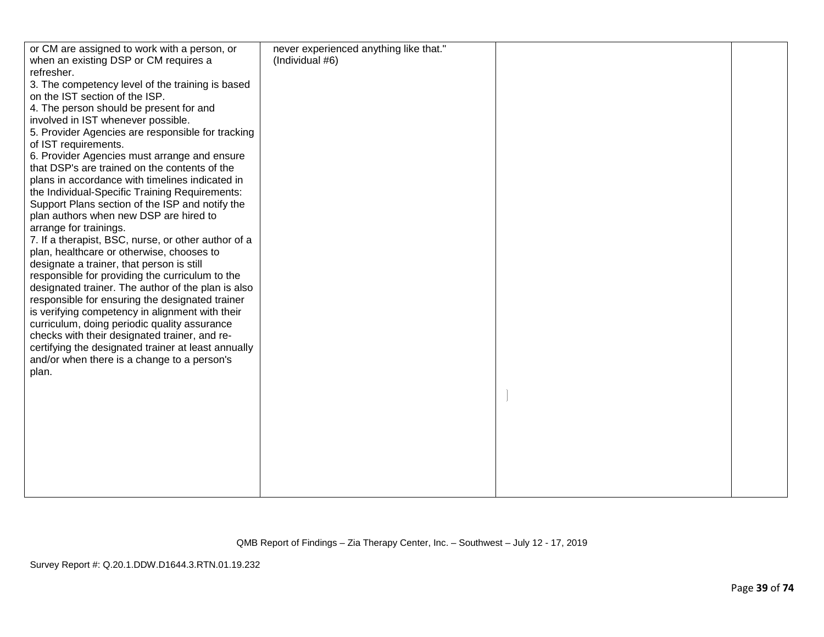| or CM are assigned to work with a person, or        | never experienced anything like that." |  |
|-----------------------------------------------------|----------------------------------------|--|
| when an existing DSP or CM requires a               | (Individual #6)                        |  |
| refresher.                                          |                                        |  |
| 3. The competency level of the training is based    |                                        |  |
| on the IST section of the ISP.                      |                                        |  |
| 4. The person should be present for and             |                                        |  |
| involved in IST whenever possible.                  |                                        |  |
| 5. Provider Agencies are responsible for tracking   |                                        |  |
| of IST requirements.                                |                                        |  |
| 6. Provider Agencies must arrange and ensure        |                                        |  |
| that DSP's are trained on the contents of the       |                                        |  |
| plans in accordance with timelines indicated in     |                                        |  |
| the Individual-Specific Training Requirements:      |                                        |  |
| Support Plans section of the ISP and notify the     |                                        |  |
| plan authors when new DSP are hired to              |                                        |  |
| arrange for trainings.                              |                                        |  |
| 7. If a therapist, BSC, nurse, or other author of a |                                        |  |
| plan, healthcare or otherwise, chooses to           |                                        |  |
| designate a trainer, that person is still           |                                        |  |
| responsible for providing the curriculum to the     |                                        |  |
| designated trainer. The author of the plan is also  |                                        |  |
| responsible for ensuring the designated trainer     |                                        |  |
| is verifying competency in alignment with their     |                                        |  |
| curriculum, doing periodic quality assurance        |                                        |  |
| checks with their designated trainer, and re-       |                                        |  |
| certifying the designated trainer at least annually |                                        |  |
| and/or when there is a change to a person's         |                                        |  |
| plan.                                               |                                        |  |
|                                                     |                                        |  |
|                                                     |                                        |  |
|                                                     |                                        |  |
|                                                     |                                        |  |
|                                                     |                                        |  |
|                                                     |                                        |  |
|                                                     |                                        |  |
|                                                     |                                        |  |
|                                                     |                                        |  |
|                                                     |                                        |  |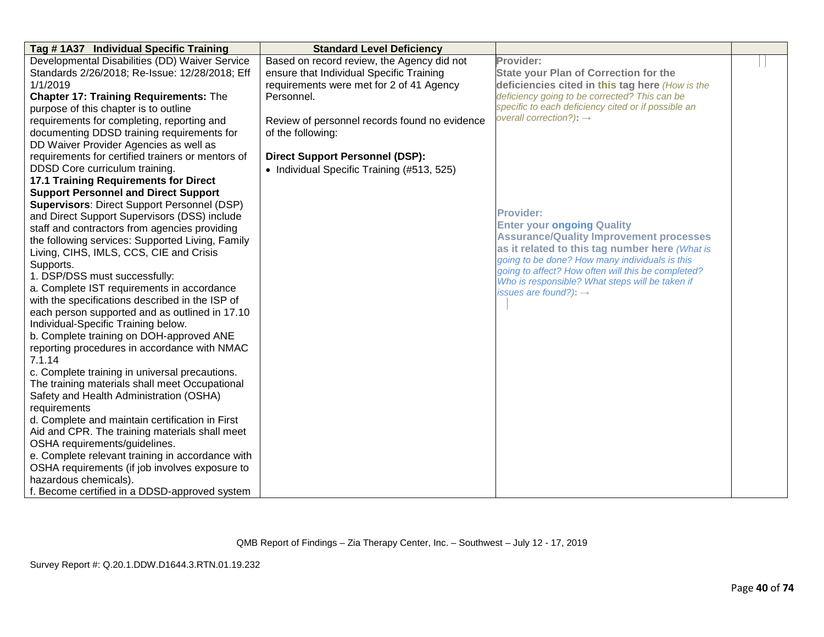| Tag #1A37 Individual Specific Training             | <b>Standard Level Deficiency</b>              |                                                                                                       |  |
|----------------------------------------------------|-----------------------------------------------|-------------------------------------------------------------------------------------------------------|--|
| Developmental Disabilities (DD) Waiver Service     | Based on record review, the Agency did not    | Provider:                                                                                             |  |
| Standards 2/26/2018; Re-Issue: 12/28/2018; Eff     | ensure that Individual Specific Training      | <b>State your Plan of Correction for the</b>                                                          |  |
| 1/1/2019                                           | requirements were met for 2 of 41 Agency      | deficiencies cited in this tag here (How is the                                                       |  |
| <b>Chapter 17: Training Requirements: The</b>      | Personnel.                                    | deficiency going to be corrected? This can be                                                         |  |
| purpose of this chapter is to outline              |                                               | specific to each deficiency cited or if possible an                                                   |  |
| requirements for completing, reporting and         | Review of personnel records found no evidence | overall correction?): $\rightarrow$                                                                   |  |
| documenting DDSD training requirements for         | of the following:                             |                                                                                                       |  |
| DD Waiver Provider Agencies as well as             |                                               |                                                                                                       |  |
| requirements for certified trainers or mentors of  | <b>Direct Support Personnel (DSP):</b>        |                                                                                                       |  |
| DDSD Core curriculum training.                     | • Individual Specific Training (#513, 525)    |                                                                                                       |  |
| <b>17.1 Training Requirements for Direct</b>       |                                               |                                                                                                       |  |
| <b>Support Personnel and Direct Support</b>        |                                               |                                                                                                       |  |
| <b>Supervisors: Direct Support Personnel (DSP)</b> |                                               |                                                                                                       |  |
| and Direct Support Supervisors (DSS) include       |                                               | <b>Provider:</b>                                                                                      |  |
| staff and contractors from agencies providing      |                                               | <b>Enter your ongoing Quality</b>                                                                     |  |
| the following services: Supported Living, Family   |                                               | <b>Assurance/Quality Improvement processes</b>                                                        |  |
| Living, CIHS, IMLS, CCS, CIE and Crisis            |                                               | as it related to this tag number here (What is                                                        |  |
| Supports.                                          |                                               | going to be done? How many individuals is this                                                        |  |
| 1. DSP/DSS must successfully:                      |                                               | going to affect? How often will this be completed?<br>Who is responsible? What steps will be taken if |  |
| a. Complete IST requirements in accordance         |                                               | issues are found?): $\rightarrow$                                                                     |  |
| with the specifications described in the ISP of    |                                               |                                                                                                       |  |
| each person supported and as outlined in 17.10     |                                               |                                                                                                       |  |
| Individual-Specific Training below.                |                                               |                                                                                                       |  |
| b. Complete training on DOH-approved ANE           |                                               |                                                                                                       |  |
| reporting procedures in accordance with NMAC       |                                               |                                                                                                       |  |
| 7.1.14                                             |                                               |                                                                                                       |  |
| c. Complete training in universal precautions.     |                                               |                                                                                                       |  |
| The training materials shall meet Occupational     |                                               |                                                                                                       |  |
| Safety and Health Administration (OSHA)            |                                               |                                                                                                       |  |
| requirements                                       |                                               |                                                                                                       |  |
| d. Complete and maintain certification in First    |                                               |                                                                                                       |  |
| Aid and CPR. The training materials shall meet     |                                               |                                                                                                       |  |
| OSHA requirements/guidelines.                      |                                               |                                                                                                       |  |
| e. Complete relevant training in accordance with   |                                               |                                                                                                       |  |
| OSHA requirements (if job involves exposure to     |                                               |                                                                                                       |  |
| hazardous chemicals).                              |                                               |                                                                                                       |  |
| f. Become certified in a DDSD-approved system      |                                               |                                                                                                       |  |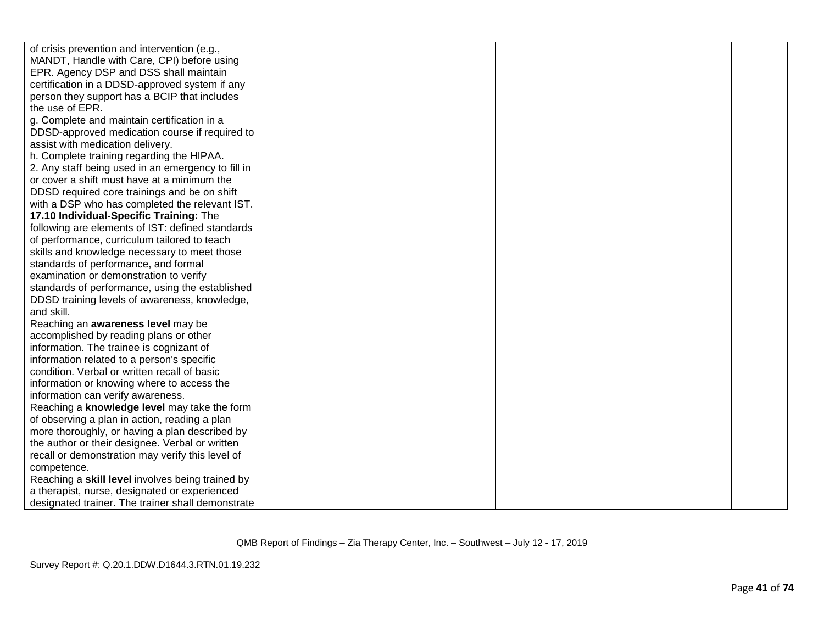| of crisis prevention and intervention (e.g.,       |  |  |
|----------------------------------------------------|--|--|
| MANDT, Handle with Care, CPI) before using         |  |  |
| EPR. Agency DSP and DSS shall maintain             |  |  |
| certification in a DDSD-approved system if any     |  |  |
| person they support has a BCIP that includes       |  |  |
| the use of EPR.                                    |  |  |
| g. Complete and maintain certification in a        |  |  |
| DDSD-approved medication course if required to     |  |  |
| assist with medication delivery.                   |  |  |
| h. Complete training regarding the HIPAA.          |  |  |
| 2. Any staff being used in an emergency to fill in |  |  |
| or cover a shift must have at a minimum the        |  |  |
| DDSD required core trainings and be on shift       |  |  |
| with a DSP who has completed the relevant IST.     |  |  |
| 17.10 Individual-Specific Training: The            |  |  |
| following are elements of IST: defined standards   |  |  |
| of performance, curriculum tailored to teach       |  |  |
| skills and knowledge necessary to meet those       |  |  |
| standards of performance, and formal               |  |  |
| examination or demonstration to verify             |  |  |
| standards of performance, using the established    |  |  |
| DDSD training levels of awareness, knowledge,      |  |  |
| and skill.                                         |  |  |
| Reaching an awareness level may be                 |  |  |
| accomplished by reading plans or other             |  |  |
| information. The trainee is cognizant of           |  |  |
| information related to a person's specific         |  |  |
| condition. Verbal or written recall of basic       |  |  |
| information or knowing where to access the         |  |  |
| information can verify awareness.                  |  |  |
| Reaching a knowledge level may take the form       |  |  |
| of observing a plan in action, reading a plan      |  |  |
| more thoroughly, or having a plan described by     |  |  |
| the author or their designee. Verbal or written    |  |  |
| recall or demonstration may verify this level of   |  |  |
| competence.                                        |  |  |
| Reaching a skill level involves being trained by   |  |  |
| a therapist, nurse, designated or experienced      |  |  |
| designated trainer. The trainer shall demonstrate  |  |  |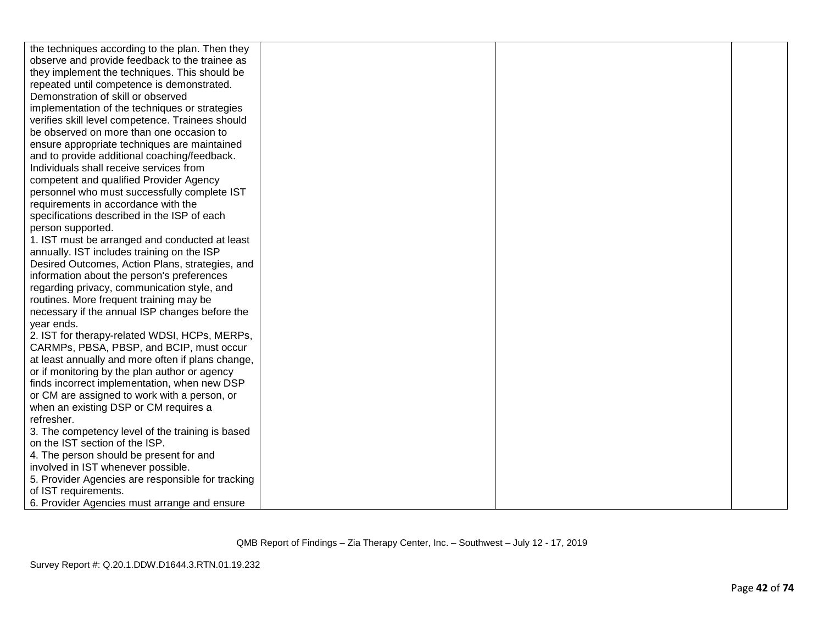| the techniques according to the plan. Then they   |  |  |
|---------------------------------------------------|--|--|
| observe and provide feedback to the trainee as    |  |  |
| they implement the techniques. This should be     |  |  |
| repeated until competence is demonstrated.        |  |  |
| Demonstration of skill or observed                |  |  |
| implementation of the techniques or strategies    |  |  |
| verifies skill level competence. Trainees should  |  |  |
| be observed on more than one occasion to          |  |  |
| ensure appropriate techniques are maintained      |  |  |
| and to provide additional coaching/feedback.      |  |  |
| Individuals shall receive services from           |  |  |
| competent and qualified Provider Agency           |  |  |
| personnel who must successfully complete IST      |  |  |
| requirements in accordance with the               |  |  |
| specifications described in the ISP of each       |  |  |
| person supported.                                 |  |  |
| 1. IST must be arranged and conducted at least    |  |  |
| annually. IST includes training on the ISP        |  |  |
| Desired Outcomes, Action Plans, strategies, and   |  |  |
| information about the person's preferences        |  |  |
| regarding privacy, communication style, and       |  |  |
| routines. More frequent training may be           |  |  |
| necessary if the annual ISP changes before the    |  |  |
| year ends.                                        |  |  |
| 2. IST for therapy-related WDSI, HCPs, MERPs,     |  |  |
| CARMPs, PBSA, PBSP, and BCIP, must occur          |  |  |
| at least annually and more often if plans change, |  |  |
| or if monitoring by the plan author or agency     |  |  |
| finds incorrect implementation, when new DSP      |  |  |
| or CM are assigned to work with a person, or      |  |  |
| when an existing DSP or CM requires a             |  |  |
| refresher.                                        |  |  |
| 3. The competency level of the training is based  |  |  |
| on the IST section of the ISP.                    |  |  |
| 4. The person should be present for and           |  |  |
| involved in IST whenever possible.                |  |  |
| 5. Provider Agencies are responsible for tracking |  |  |
| of IST requirements.                              |  |  |
| 6. Provider Agencies must arrange and ensure      |  |  |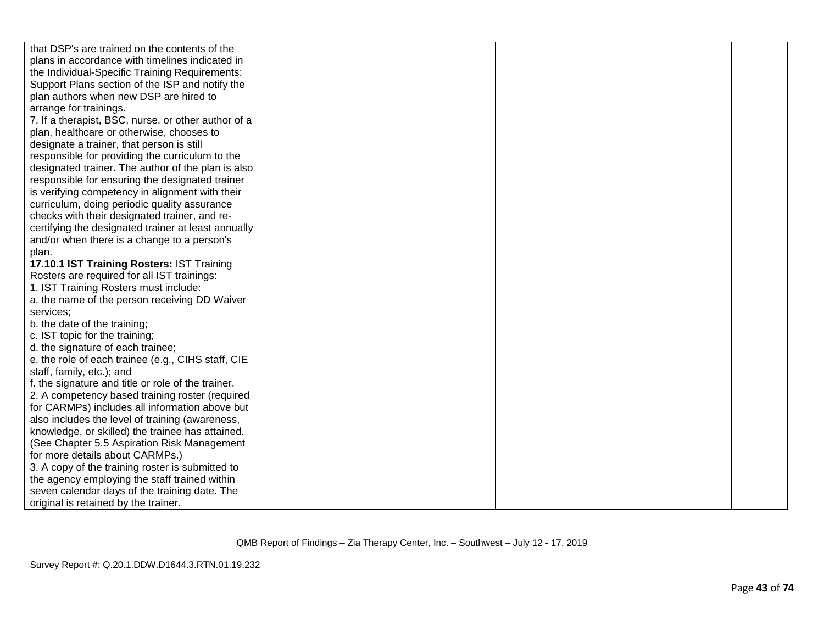| that DSP's are trained on the contents of the       |  |  |
|-----------------------------------------------------|--|--|
| plans in accordance with timelines indicated in     |  |  |
| the Individual-Specific Training Requirements:      |  |  |
| Support Plans section of the ISP and notify the     |  |  |
| plan authors when new DSP are hired to              |  |  |
| arrange for trainings.                              |  |  |
| 7. If a therapist, BSC, nurse, or other author of a |  |  |
| plan, healthcare or otherwise, chooses to           |  |  |
| designate a trainer, that person is still           |  |  |
| responsible for providing the curriculum to the     |  |  |
| designated trainer. The author of the plan is also  |  |  |
| responsible for ensuring the designated trainer     |  |  |
| is verifying competency in alignment with their     |  |  |
| curriculum, doing periodic quality assurance        |  |  |
| checks with their designated trainer, and re-       |  |  |
| certifying the designated trainer at least annually |  |  |
| and/or when there is a change to a person's         |  |  |
| plan.                                               |  |  |
| 17.10.1 IST Training Rosters: IST Training          |  |  |
| Rosters are required for all IST trainings:         |  |  |
| 1. IST Training Rosters must include:               |  |  |
| a. the name of the person receiving DD Waiver       |  |  |
| services;                                           |  |  |
| b. the date of the training;                        |  |  |
| c. IST topic for the training;                      |  |  |
| d. the signature of each trainee;                   |  |  |
| e. the role of each trainee (e.g., CIHS staff, CIE  |  |  |
| staff, family, etc.); and                           |  |  |
| f. the signature and title or role of the trainer.  |  |  |
| 2. A competency based training roster (required     |  |  |
| for CARMPs) includes all information above but      |  |  |
| also includes the level of training (awareness,     |  |  |
| knowledge, or skilled) the trainee has attained.    |  |  |
| (See Chapter 5.5 Aspiration Risk Management         |  |  |
| for more details about CARMPs.)                     |  |  |
| 3. A copy of the training roster is submitted to    |  |  |
| the agency employing the staff trained within       |  |  |
| seven calendar days of the training date. The       |  |  |
| original is retained by the trainer.                |  |  |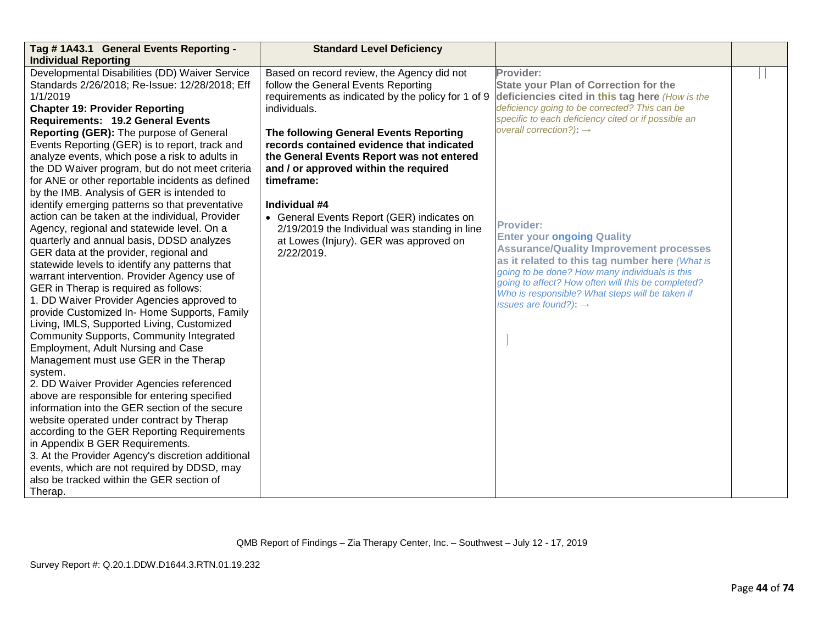| Tag #1A43.1 General Events Reporting -            | <b>Standard Level Deficiency</b>                   |                                                                                     |  |
|---------------------------------------------------|----------------------------------------------------|-------------------------------------------------------------------------------------|--|
| <b>Individual Reporting</b>                       |                                                    |                                                                                     |  |
| Developmental Disabilities (DD) Waiver Service    | Based on record review, the Agency did not         | Provider:                                                                           |  |
| Standards 2/26/2018; Re-Issue: 12/28/2018; Eff    | follow the General Events Reporting                | <b>State your Plan of Correction for the</b>                                        |  |
| 1/1/2019                                          | requirements as indicated by the policy for 1 of 9 | deficiencies cited in this tag here (How is the                                     |  |
| <b>Chapter 19: Provider Reporting</b>             | individuals.                                       | deficiency going to be corrected? This can be                                       |  |
| Requirements: 19.2 General Events                 |                                                    | specific to each deficiency cited or if possible an                                 |  |
| Reporting (GER): The purpose of General           | The following General Events Reporting             | overall correction?): $\rightarrow$                                                 |  |
| Events Reporting (GER) is to report, track and    | records contained evidence that indicated          |                                                                                     |  |
| analyze events, which pose a risk to adults in    | the General Events Report was not entered          |                                                                                     |  |
| the DD Waiver program, but do not meet criteria   | and / or approved within the required              |                                                                                     |  |
| for ANE or other reportable incidents as defined  | timeframe:                                         |                                                                                     |  |
| by the IMB. Analysis of GER is intended to        |                                                    |                                                                                     |  |
| identify emerging patterns so that preventative   | Individual #4                                      |                                                                                     |  |
| action can be taken at the individual, Provider   | • General Events Report (GER) indicates on         | <b>Provider:</b>                                                                    |  |
| Agency, regional and statewide level. On a        | 2/19/2019 the Individual was standing in line      |                                                                                     |  |
| quarterly and annual basis, DDSD analyzes         | at Lowes (Injury). GER was approved on             | <b>Enter your ongoing Quality</b><br><b>Assurance/Quality Improvement processes</b> |  |
| GER data at the provider, regional and            | 2/22/2019.                                         | as it related to this tag number here (What is                                      |  |
| statewide levels to identify any patterns that    |                                                    | going to be done? How many individuals is this                                      |  |
| warrant intervention. Provider Agency use of      |                                                    | going to affect? How often will this be completed?                                  |  |
| GER in Therap is required as follows:             |                                                    | Who is responsible? What steps will be taken if                                     |  |
| 1. DD Waiver Provider Agencies approved to        |                                                    | issues are found?): $\rightarrow$                                                   |  |
| provide Customized In- Home Supports, Family      |                                                    |                                                                                     |  |
| Living, IMLS, Supported Living, Customized        |                                                    |                                                                                     |  |
| Community Supports, Community Integrated          |                                                    |                                                                                     |  |
| Employment, Adult Nursing and Case                |                                                    |                                                                                     |  |
| Management must use GER in the Therap             |                                                    |                                                                                     |  |
| system.                                           |                                                    |                                                                                     |  |
| 2. DD Waiver Provider Agencies referenced         |                                                    |                                                                                     |  |
| above are responsible for entering specified      |                                                    |                                                                                     |  |
| information into the GER section of the secure    |                                                    |                                                                                     |  |
| website operated under contract by Therap         |                                                    |                                                                                     |  |
| according to the GER Reporting Requirements       |                                                    |                                                                                     |  |
| in Appendix B GER Requirements.                   |                                                    |                                                                                     |  |
| 3. At the Provider Agency's discretion additional |                                                    |                                                                                     |  |
| events, which are not required by DDSD, may       |                                                    |                                                                                     |  |
| also be tracked within the GER section of         |                                                    |                                                                                     |  |
| Therap.                                           |                                                    |                                                                                     |  |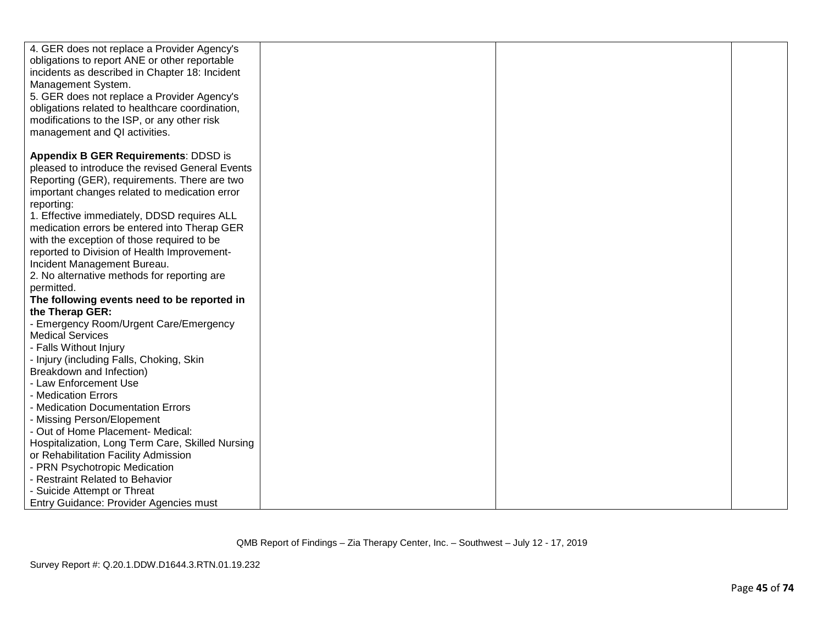| 4. GER does not replace a Provider Agency's      |  |  |
|--------------------------------------------------|--|--|
| obligations to report ANE or other reportable    |  |  |
| incidents as described in Chapter 18: Incident   |  |  |
| Management System.                               |  |  |
| 5. GER does not replace a Provider Agency's      |  |  |
| obligations related to healthcare coordination,  |  |  |
| modifications to the ISP, or any other risk      |  |  |
| management and QI activities.                    |  |  |
|                                                  |  |  |
| <b>Appendix B GER Requirements: DDSD is</b>      |  |  |
| pleased to introduce the revised General Events  |  |  |
| Reporting (GER), requirements. There are two     |  |  |
| important changes related to medication error    |  |  |
| reporting:                                       |  |  |
| 1. Effective immediately, DDSD requires ALL      |  |  |
| medication errors be entered into Therap GER     |  |  |
| with the exception of those required to be       |  |  |
| reported to Division of Health Improvement-      |  |  |
| Incident Management Bureau.                      |  |  |
| 2. No alternative methods for reporting are      |  |  |
| permitted.                                       |  |  |
| The following events need to be reported in      |  |  |
| the Therap GER:                                  |  |  |
| - Emergency Room/Urgent Care/Emergency           |  |  |
| <b>Medical Services</b>                          |  |  |
| - Falls Without Injury                           |  |  |
| - Injury (including Falls, Choking, Skin         |  |  |
| Breakdown and Infection)                         |  |  |
| - Law Enforcement Use                            |  |  |
| - Medication Errors                              |  |  |
| - Medication Documentation Errors                |  |  |
| - Missing Person/Elopement                       |  |  |
| - Out of Home Placement- Medical:                |  |  |
| Hospitalization, Long Term Care, Skilled Nursing |  |  |
| or Rehabilitation Facility Admission             |  |  |
| - PRN Psychotropic Medication                    |  |  |
| - Restraint Related to Behavior                  |  |  |
| - Suicide Attempt or Threat                      |  |  |
| Entry Guidance: Provider Agencies must           |  |  |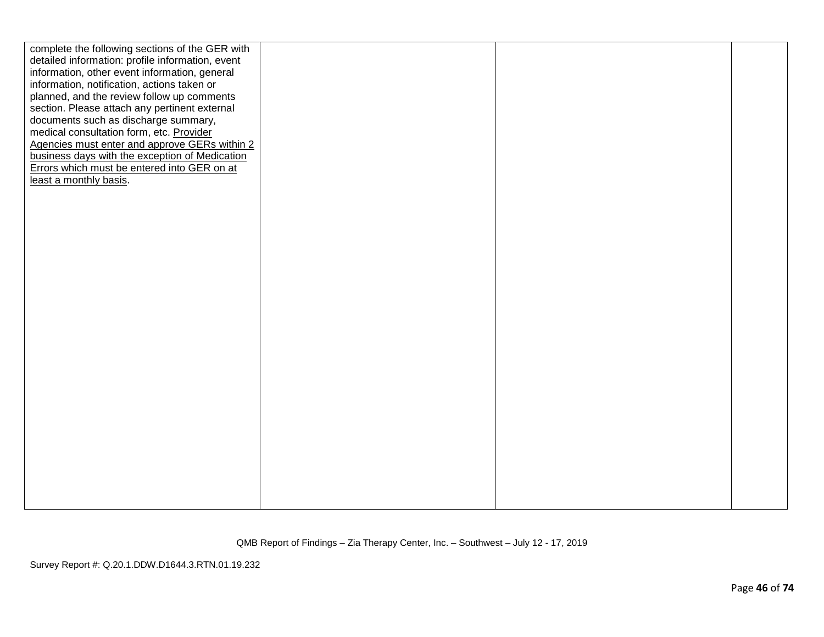| complete the following sections of the GER with  |  |  |
|--------------------------------------------------|--|--|
| detailed information: profile information, event |  |  |
| information, other event information, general    |  |  |
| information, notification, actions taken or      |  |  |
| planned, and the review follow up comments       |  |  |
| section. Please attach any pertinent external    |  |  |
| documents such as discharge summary,             |  |  |
| medical consultation form, etc. Provider         |  |  |
| Agencies must enter and approve GERs within 2    |  |  |
| business days with the exception of Medication   |  |  |
| Errors which must be entered into GER on at      |  |  |
| least a monthly basis.                           |  |  |
|                                                  |  |  |
|                                                  |  |  |
|                                                  |  |  |
|                                                  |  |  |
|                                                  |  |  |
|                                                  |  |  |
|                                                  |  |  |
|                                                  |  |  |
|                                                  |  |  |
|                                                  |  |  |
|                                                  |  |  |
|                                                  |  |  |
|                                                  |  |  |
|                                                  |  |  |
|                                                  |  |  |
|                                                  |  |  |
|                                                  |  |  |
|                                                  |  |  |
|                                                  |  |  |
|                                                  |  |  |
|                                                  |  |  |
|                                                  |  |  |
|                                                  |  |  |
|                                                  |  |  |
|                                                  |  |  |
|                                                  |  |  |
|                                                  |  |  |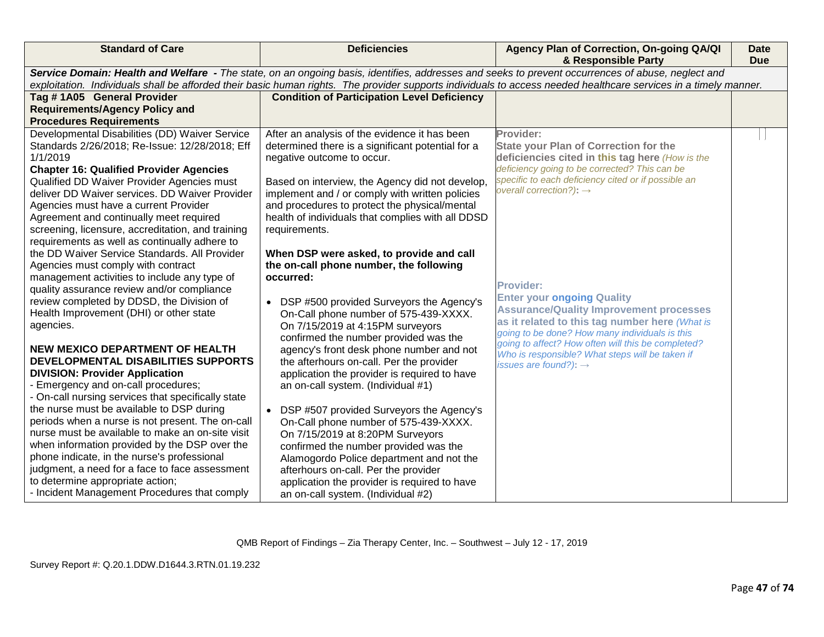| <b>Standard of Care</b>                                                                                                                                                                                                                                                                                                                                                                                                                                                                                                                                                                                                                                                                                                                                                                                                                                                                                  | <b>Deficiencies</b>                                                                                                                                                                                                                                                                                                                                                                                                                                                                                                                                                                                                                                                                                                                                                                          | Agency Plan of Correction, On-going QA/QI<br>& Responsible Party                                                                                                                                                                                                                                                                                          | <b>Date</b><br><b>Due</b> |  |
|----------------------------------------------------------------------------------------------------------------------------------------------------------------------------------------------------------------------------------------------------------------------------------------------------------------------------------------------------------------------------------------------------------------------------------------------------------------------------------------------------------------------------------------------------------------------------------------------------------------------------------------------------------------------------------------------------------------------------------------------------------------------------------------------------------------------------------------------------------------------------------------------------------|----------------------------------------------------------------------------------------------------------------------------------------------------------------------------------------------------------------------------------------------------------------------------------------------------------------------------------------------------------------------------------------------------------------------------------------------------------------------------------------------------------------------------------------------------------------------------------------------------------------------------------------------------------------------------------------------------------------------------------------------------------------------------------------------|-----------------------------------------------------------------------------------------------------------------------------------------------------------------------------------------------------------------------------------------------------------------------------------------------------------------------------------------------------------|---------------------------|--|
|                                                                                                                                                                                                                                                                                                                                                                                                                                                                                                                                                                                                                                                                                                                                                                                                                                                                                                          | Service Domain: Health and Welfare - The state, on an ongoing basis, identifies, addresses and seeks to prevent occurrences of abuse, neglect and<br>exploitation. Individuals shall be afforded their basic human rights. The provider supports individuals to access needed healthcare services in a timely manner.                                                                                                                                                                                                                                                                                                                                                                                                                                                                        |                                                                                                                                                                                                                                                                                                                                                           |                           |  |
| Tag #1A05 General Provider                                                                                                                                                                                                                                                                                                                                                                                                                                                                                                                                                                                                                                                                                                                                                                                                                                                                               | <b>Condition of Participation Level Deficiency</b>                                                                                                                                                                                                                                                                                                                                                                                                                                                                                                                                                                                                                                                                                                                                           |                                                                                                                                                                                                                                                                                                                                                           |                           |  |
| <b>Requirements/Agency Policy and</b>                                                                                                                                                                                                                                                                                                                                                                                                                                                                                                                                                                                                                                                                                                                                                                                                                                                                    |                                                                                                                                                                                                                                                                                                                                                                                                                                                                                                                                                                                                                                                                                                                                                                                              |                                                                                                                                                                                                                                                                                                                                                           |                           |  |
| <b>Procedures Requirements</b>                                                                                                                                                                                                                                                                                                                                                                                                                                                                                                                                                                                                                                                                                                                                                                                                                                                                           |                                                                                                                                                                                                                                                                                                                                                                                                                                                                                                                                                                                                                                                                                                                                                                                              |                                                                                                                                                                                                                                                                                                                                                           |                           |  |
| Developmental Disabilities (DD) Waiver Service<br>Standards 2/26/2018; Re-Issue: 12/28/2018; Eff<br>1/1/2019<br><b>Chapter 16: Qualified Provider Agencies</b><br>Qualified DD Waiver Provider Agencies must<br>deliver DD Waiver services. DD Waiver Provider<br>Agencies must have a current Provider<br>Agreement and continually meet required<br>screening, licensure, accreditation, and training<br>requirements as well as continually adhere to                                                                                                                                                                                                                                                                                                                                                                                                                                                 | After an analysis of the evidence it has been<br>determined there is a significant potential for a<br>negative outcome to occur.<br>Based on interview, the Agency did not develop,<br>implement and / or comply with written policies<br>and procedures to protect the physical/mental<br>health of individuals that complies with all DDSD<br>requirements.                                                                                                                                                                                                                                                                                                                                                                                                                                | Provider:<br><b>State your Plan of Correction for the</b><br>deficiencies cited in this tag here (How is the<br>deficiency going to be corrected? This can be<br>specific to each deficiency cited or if possible an<br>overall correction?): $\rightarrow$                                                                                               |                           |  |
| the DD Waiver Service Standards. All Provider<br>Agencies must comply with contract<br>management activities to include any type of<br>quality assurance review and/or compliance<br>review completed by DDSD, the Division of<br>Health Improvement (DHI) or other state<br>agencies.<br><b>NEW MEXICO DEPARTMENT OF HEALTH</b><br>DEVELOPMENTAL DISABILITIES SUPPORTS<br><b>DIVISION: Provider Application</b><br>- Emergency and on-call procedures;<br>- On-call nursing services that specifically state<br>the nurse must be available to DSP during<br>periods when a nurse is not present. The on-call<br>nurse must be available to make an on-site visit<br>when information provided by the DSP over the<br>phone indicate, in the nurse's professional<br>judgment, a need for a face to face assessment<br>to determine appropriate action;<br>- Incident Management Procedures that comply | When DSP were asked, to provide and call<br>the on-call phone number, the following<br>occurred:<br>DSP #500 provided Surveyors the Agency's<br>On-Call phone number of 575-439-XXXX.<br>On 7/15/2019 at 4:15PM surveyors<br>confirmed the number provided was the<br>agency's front desk phone number and not<br>the afterhours on-call. Per the provider<br>application the provider is required to have<br>an on-call system. (Individual #1)<br>DSP #507 provided Surveyors the Agency's<br>On-Call phone number of 575-439-XXXX.<br>On 7/15/2019 at 8:20PM Surveyors<br>confirmed the number provided was the<br>Alamogordo Police department and not the<br>afterhours on-call. Per the provider<br>application the provider is required to have<br>an on-call system. (Individual #2) | <b>Provider:</b><br><b>Enter your ongoing Quality</b><br><b>Assurance/Quality Improvement processes</b><br>as it related to this tag number here (What is<br>going to be done? How many individuals is this<br>going to affect? How often will this be completed?<br>Who is responsible? What steps will be taken if<br>issues are found?): $\rightarrow$ |                           |  |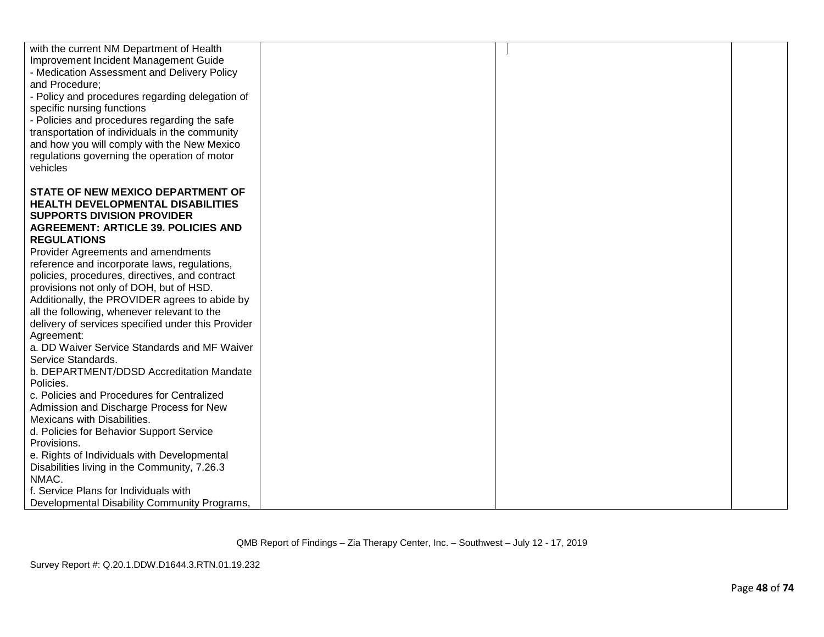| with the current NM Department of Health           |  |  |
|----------------------------------------------------|--|--|
| Improvement Incident Management Guide              |  |  |
| - Medication Assessment and Delivery Policy        |  |  |
| and Procedure;                                     |  |  |
| - Policy and procedures regarding delegation of    |  |  |
|                                                    |  |  |
| specific nursing functions                         |  |  |
| - Policies and procedures regarding the safe       |  |  |
| transportation of individuals in the community     |  |  |
| and how you will comply with the New Mexico        |  |  |
| regulations governing the operation of motor       |  |  |
| vehicles                                           |  |  |
|                                                    |  |  |
| <b>STATE OF NEW MEXICO DEPARTMENT OF</b>           |  |  |
| HEALTH DEVELOPMENTAL DISABILITIES                  |  |  |
| <b>SUPPORTS DIVISION PROVIDER</b>                  |  |  |
|                                                    |  |  |
| <b>AGREEMENT: ARTICLE 39. POLICIES AND</b>         |  |  |
| <b>REGULATIONS</b>                                 |  |  |
| Provider Agreements and amendments                 |  |  |
| reference and incorporate laws, regulations,       |  |  |
| policies, procedures, directives, and contract     |  |  |
| provisions not only of DOH, but of HSD.            |  |  |
| Additionally, the PROVIDER agrees to abide by      |  |  |
| all the following, whenever relevant to the        |  |  |
| delivery of services specified under this Provider |  |  |
| Agreement:                                         |  |  |
| a. DD Waiver Service Standards and MF Waiver       |  |  |
| Service Standards.                                 |  |  |
| b. DEPARTMENT/DDSD Accreditation Mandate           |  |  |
| Policies.                                          |  |  |
| c. Policies and Procedures for Centralized         |  |  |
| Admission and Discharge Process for New            |  |  |
| Mexicans with Disabilities.                        |  |  |
| d. Policies for Behavior Support Service           |  |  |
| Provisions.                                        |  |  |
| e. Rights of Individuals with Developmental        |  |  |
| Disabilities living in the Community, 7.26.3       |  |  |
| NMAC.                                              |  |  |
| f. Service Plans for Individuals with              |  |  |
| Developmental Disability Community Programs,       |  |  |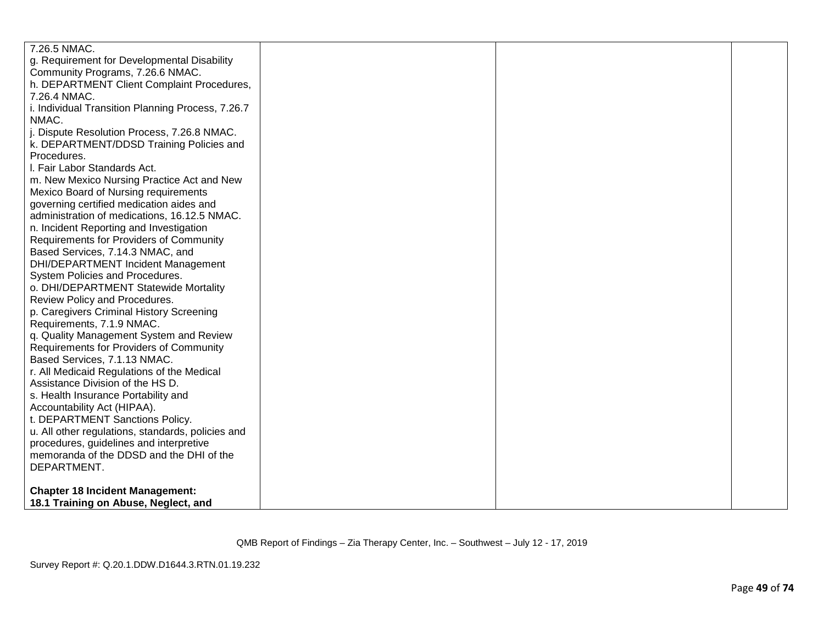| 7.26.5 NMAC.                                                               |  |  |
|----------------------------------------------------------------------------|--|--|
| g. Requirement for Developmental Disability                                |  |  |
| Community Programs, 7.26.6 NMAC.                                           |  |  |
| h. DEPARTMENT Client Complaint Procedures,                                 |  |  |
| 7.26.4 NMAC.                                                               |  |  |
| i. Individual Transition Planning Process, 7.26.7                          |  |  |
| NMAC.                                                                      |  |  |
| j. Dispute Resolution Process, 7.26.8 NMAC.                                |  |  |
| k. DEPARTMENT/DDSD Training Policies and                                   |  |  |
| Procedures.                                                                |  |  |
| I. Fair Labor Standards Act.                                               |  |  |
| m. New Mexico Nursing Practice Act and New                                 |  |  |
| Mexico Board of Nursing requirements                                       |  |  |
| governing certified medication aides and                                   |  |  |
| administration of medications, 16.12.5 NMAC.                               |  |  |
| n. Incident Reporting and Investigation                                    |  |  |
| Requirements for Providers of Community                                    |  |  |
| Based Services, 7.14.3 NMAC, and                                           |  |  |
| <b>DHI/DEPARTMENT Incident Management</b>                                  |  |  |
| System Policies and Procedures.                                            |  |  |
| o. DHI/DEPARTMENT Statewide Mortality                                      |  |  |
| Review Policy and Procedures.                                              |  |  |
| p. Caregivers Criminal History Screening                                   |  |  |
| Requirements, 7.1.9 NMAC.                                                  |  |  |
| q. Quality Management System and Review                                    |  |  |
| Requirements for Providers of Community                                    |  |  |
| Based Services, 7.1.13 NMAC.<br>r. All Medicaid Regulations of the Medical |  |  |
| Assistance Division of the HS D.                                           |  |  |
| s. Health Insurance Portability and                                        |  |  |
| Accountability Act (HIPAA).                                                |  |  |
| t. DEPARTMENT Sanctions Policy.                                            |  |  |
| u. All other regulations, standards, policies and                          |  |  |
| procedures, guidelines and interpretive                                    |  |  |
| memoranda of the DDSD and the DHI of the                                   |  |  |
| DEPARTMENT.                                                                |  |  |
|                                                                            |  |  |
| <b>Chapter 18 Incident Management:</b>                                     |  |  |
| 18.1 Training on Abuse, Neglect, and                                       |  |  |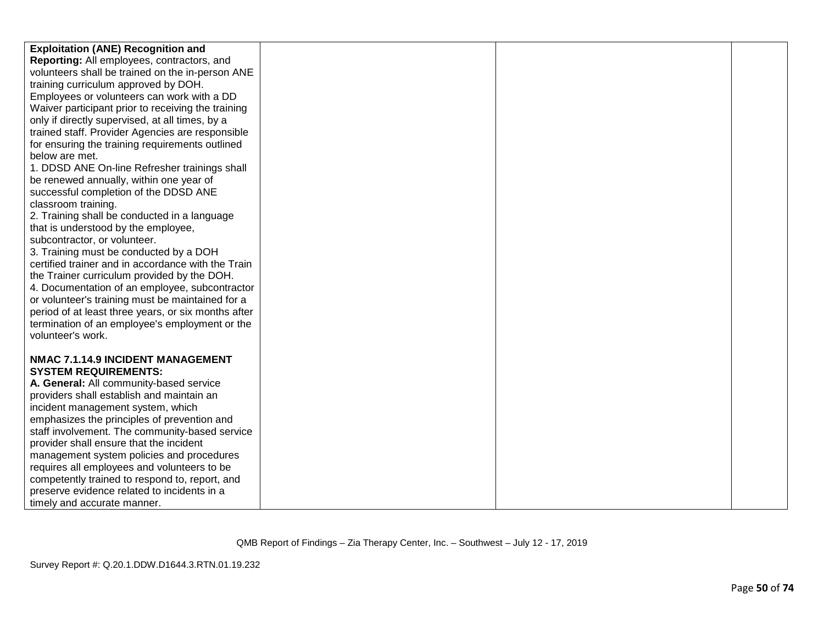| <b>Exploitation (ANE) Recognition and</b>                                                     |  |  |
|-----------------------------------------------------------------------------------------------|--|--|
| Reporting: All employees, contractors, and                                                    |  |  |
| volunteers shall be trained on the in-person ANE                                              |  |  |
| training curriculum approved by DOH.                                                          |  |  |
| Employees or volunteers can work with a DD                                                    |  |  |
| Waiver participant prior to receiving the training                                            |  |  |
| only if directly supervised, at all times, by a                                               |  |  |
| trained staff. Provider Agencies are responsible                                              |  |  |
| for ensuring the training requirements outlined                                               |  |  |
| below are met.                                                                                |  |  |
| 1. DDSD ANE On-line Refresher trainings shall                                                 |  |  |
| be renewed annually, within one year of                                                       |  |  |
| successful completion of the DDSD ANE                                                         |  |  |
| classroom training.                                                                           |  |  |
| 2. Training shall be conducted in a language                                                  |  |  |
| that is understood by the employee,                                                           |  |  |
| subcontractor, or volunteer.                                                                  |  |  |
| 3. Training must be conducted by a DOH                                                        |  |  |
| certified trainer and in accordance with the Train                                            |  |  |
| the Trainer curriculum provided by the DOH.                                                   |  |  |
| 4. Documentation of an employee, subcontractor                                                |  |  |
| or volunteer's training must be maintained for a                                              |  |  |
| period of at least three years, or six months after                                           |  |  |
| termination of an employee's employment or the                                                |  |  |
| volunteer's work.                                                                             |  |  |
|                                                                                               |  |  |
| <b>NMAC 7.1.14.9 INCIDENT MANAGEMENT</b>                                                      |  |  |
| <b>SYSTEM REQUIREMENTS:</b>                                                                   |  |  |
| A. General: All community-based service                                                       |  |  |
| providers shall establish and maintain an                                                     |  |  |
| incident management system, which                                                             |  |  |
| emphasizes the principles of prevention and                                                   |  |  |
| staff involvement. The community-based service                                                |  |  |
| provider shall ensure that the incident                                                       |  |  |
| management system policies and procedures                                                     |  |  |
| requires all employees and volunteers to be<br>competently trained to respond to, report, and |  |  |
| preserve evidence related to incidents in a                                                   |  |  |
|                                                                                               |  |  |
| timely and accurate manner.                                                                   |  |  |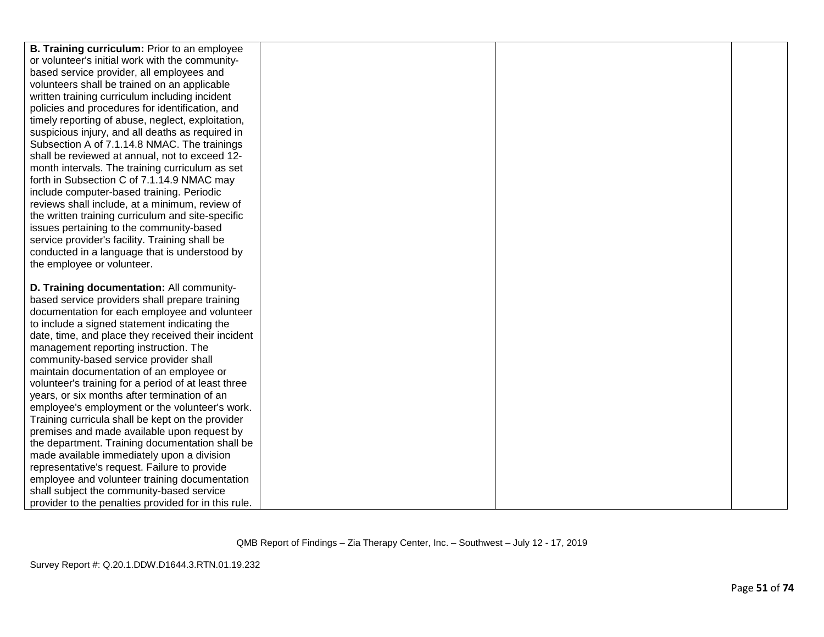| B. Training curriculum: Prior to an employee                                                      |  |  |
|---------------------------------------------------------------------------------------------------|--|--|
| or volunteer's initial work with the community-                                                   |  |  |
| based service provider, all employees and                                                         |  |  |
| volunteers shall be trained on an applicable                                                      |  |  |
| written training curriculum including incident                                                    |  |  |
| policies and procedures for identification, and                                                   |  |  |
| timely reporting of abuse, neglect, exploitation,                                                 |  |  |
| suspicious injury, and all deaths as required in                                                  |  |  |
| Subsection A of 7.1.14.8 NMAC. The trainings                                                      |  |  |
| shall be reviewed at annual, not to exceed 12-                                                    |  |  |
| month intervals. The training curriculum as set                                                   |  |  |
| forth in Subsection C of 7.1.14.9 NMAC may                                                        |  |  |
| include computer-based training. Periodic                                                         |  |  |
| reviews shall include, at a minimum, review of                                                    |  |  |
| the written training curriculum and site-specific                                                 |  |  |
| issues pertaining to the community-based                                                          |  |  |
| service provider's facility. Training shall be                                                    |  |  |
| conducted in a language that is understood by                                                     |  |  |
| the employee or volunteer.                                                                        |  |  |
|                                                                                                   |  |  |
|                                                                                                   |  |  |
| D. Training documentation: All community-                                                         |  |  |
| based service providers shall prepare training                                                    |  |  |
| documentation for each employee and volunteer                                                     |  |  |
| to include a signed statement indicating the                                                      |  |  |
| date, time, and place they received their incident                                                |  |  |
| management reporting instruction. The                                                             |  |  |
| community-based service provider shall                                                            |  |  |
| maintain documentation of an employee or                                                          |  |  |
| volunteer's training for a period of at least three                                               |  |  |
| years, or six months after termination of an                                                      |  |  |
| employee's employment or the volunteer's work.                                                    |  |  |
| Training curricula shall be kept on the provider                                                  |  |  |
| premises and made available upon request by                                                       |  |  |
| the department. Training documentation shall be                                                   |  |  |
| made available immediately upon a division                                                        |  |  |
| representative's request. Failure to provide                                                      |  |  |
| employee and volunteer training documentation                                                     |  |  |
| shall subject the community-based service<br>provider to the penalties provided for in this rule. |  |  |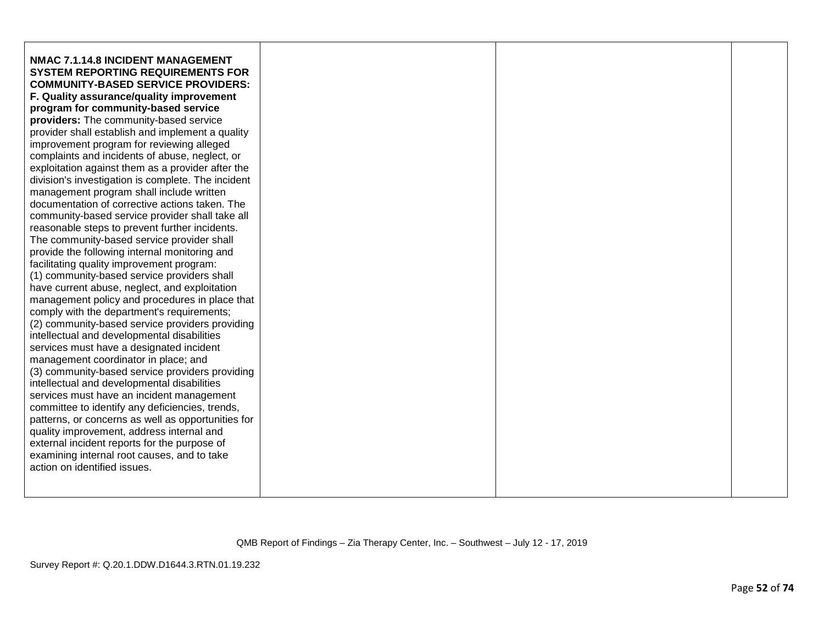| <b>NMAC 7.1.14.8 INCIDENT MANAGEMENT</b><br><b>SYSTEM REPORTING REQUIREMENTS FOR</b>            |  |  |
|-------------------------------------------------------------------------------------------------|--|--|
| <b>COMMUNITY-BASED SERVICE PROVIDERS:</b>                                                       |  |  |
| F. Quality assurance/quality improvement<br>program for community-based service                 |  |  |
| providers: The community-based service                                                          |  |  |
| provider shall establish and implement a quality                                                |  |  |
| improvement program for reviewing alleged                                                       |  |  |
| complaints and incidents of abuse, neglect, or                                                  |  |  |
| exploitation against them as a provider after the                                               |  |  |
| division's investigation is complete. The incident                                              |  |  |
| management program shall include written                                                        |  |  |
| documentation of corrective actions taken. The                                                  |  |  |
| community-based service provider shall take all                                                 |  |  |
| reasonable steps to prevent further incidents.                                                  |  |  |
| The community-based service provider shall                                                      |  |  |
| provide the following internal monitoring and                                                   |  |  |
| facilitating quality improvement program:                                                       |  |  |
| (1) community-based service providers shall                                                     |  |  |
| have current abuse, neglect, and exploitation                                                   |  |  |
| management policy and procedures in place that                                                  |  |  |
| comply with the department's requirements;                                                      |  |  |
| (2) community-based service providers providing                                                 |  |  |
| intellectual and developmental disabilities                                                     |  |  |
| services must have a designated incident                                                        |  |  |
| management coordinator in place; and                                                            |  |  |
| (3) community-based service providers providing                                                 |  |  |
| intellectual and developmental disabilities                                                     |  |  |
| services must have an incident management                                                       |  |  |
| committee to identify any deficiencies, trends,                                                 |  |  |
| patterns, or concerns as well as opportunities for<br>quality improvement, address internal and |  |  |
| external incident reports for the purpose of                                                    |  |  |
| examining internal root causes, and to take                                                     |  |  |
| action on identified issues.                                                                    |  |  |
|                                                                                                 |  |  |
|                                                                                                 |  |  |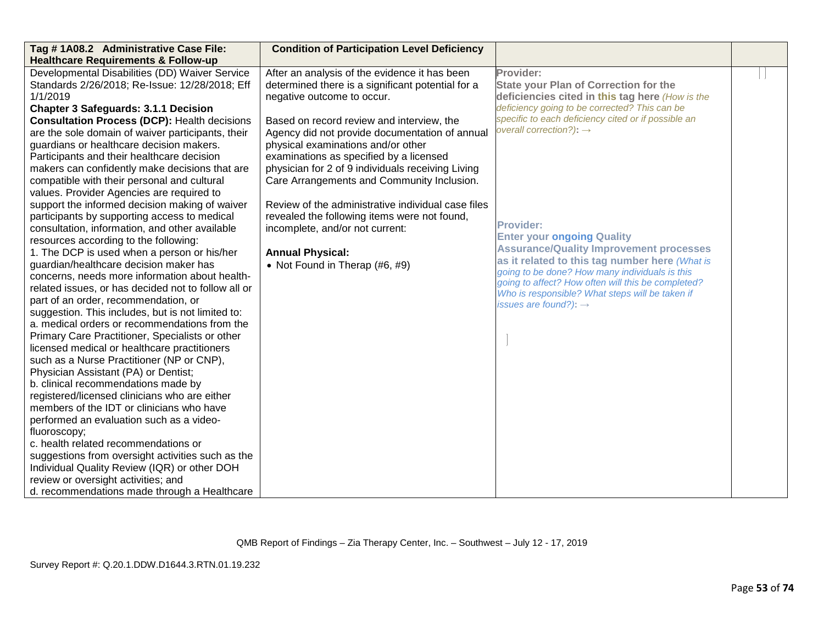| Tag #1A08.2 Administrative Case File:                                       | <b>Condition of Participation Level Deficiency</b> |                                                     |  |
|-----------------------------------------------------------------------------|----------------------------------------------------|-----------------------------------------------------|--|
| <b>Healthcare Requirements &amp; Follow-up</b>                              |                                                    |                                                     |  |
| Developmental Disabilities (DD) Waiver Service                              | After an analysis of the evidence it has been      | Provider:                                           |  |
| Standards 2/26/2018; Re-Issue: 12/28/2018; Eff                              | determined there is a significant potential for a  | <b>State your Plan of Correction for the</b>        |  |
| 1/1/2019                                                                    | negative outcome to occur.                         | deficiencies cited in this tag here (How is the     |  |
| <b>Chapter 3 Safeguards: 3.1.1 Decision</b>                                 |                                                    | deficiency going to be corrected? This can be       |  |
| <b>Consultation Process (DCP): Health decisions</b>                         | Based on record review and interview, the          | specific to each deficiency cited or if possible an |  |
| are the sole domain of waiver participants, their                           | Agency did not provide documentation of annual     | overall correction?): $\rightarrow$                 |  |
| guardians or healthcare decision makers.                                    | physical examinations and/or other                 |                                                     |  |
| Participants and their healthcare decision                                  | examinations as specified by a licensed            |                                                     |  |
| makers can confidently make decisions that are                              | physician for 2 of 9 individuals receiving Living  |                                                     |  |
| compatible with their personal and cultural                                 | Care Arrangements and Community Inclusion.         |                                                     |  |
| values. Provider Agencies are required to                                   |                                                    |                                                     |  |
| support the informed decision making of waiver                              | Review of the administrative individual case files |                                                     |  |
| participants by supporting access to medical                                | revealed the following items were not found,       | <b>Provider:</b>                                    |  |
| consultation, information, and other available                              | incomplete, and/or not current:                    | <b>Enter your ongoing Quality</b>                   |  |
| resources according to the following:                                       |                                                    | <b>Assurance/Quality Improvement processes</b>      |  |
| 1. The DCP is used when a person or his/her                                 | <b>Annual Physical:</b>                            | as it related to this tag number here (What is      |  |
| guardian/healthcare decision maker has                                      | • Not Found in Therap (#6, #9)                     | going to be done? How many individuals is this      |  |
| concerns, needs more information about health-                              |                                                    | going to affect? How often will this be completed?  |  |
| related issues, or has decided not to follow all or                         |                                                    | Who is responsible? What steps will be taken if     |  |
| part of an order, recommendation, or                                        |                                                    | issues are found?): $\rightarrow$                   |  |
| suggestion. This includes, but is not limited to:                           |                                                    |                                                     |  |
| a. medical orders or recommendations from the                               |                                                    |                                                     |  |
| Primary Care Practitioner, Specialists or other                             |                                                    |                                                     |  |
| licensed medical or healthcare practitioners                                |                                                    |                                                     |  |
| such as a Nurse Practitioner (NP or CNP),                                   |                                                    |                                                     |  |
| Physician Assistant (PA) or Dentist;<br>b. clinical recommendations made by |                                                    |                                                     |  |
| registered/licensed clinicians who are either                               |                                                    |                                                     |  |
| members of the IDT or clinicians who have                                   |                                                    |                                                     |  |
| performed an evaluation such as a video-                                    |                                                    |                                                     |  |
| fluoroscopy;                                                                |                                                    |                                                     |  |
| c. health related recommendations or                                        |                                                    |                                                     |  |
| suggestions from oversight activities such as the                           |                                                    |                                                     |  |
| Individual Quality Review (IQR) or other DOH                                |                                                    |                                                     |  |
| review or oversight activities; and                                         |                                                    |                                                     |  |
| d. recommendations made through a Healthcare                                |                                                    |                                                     |  |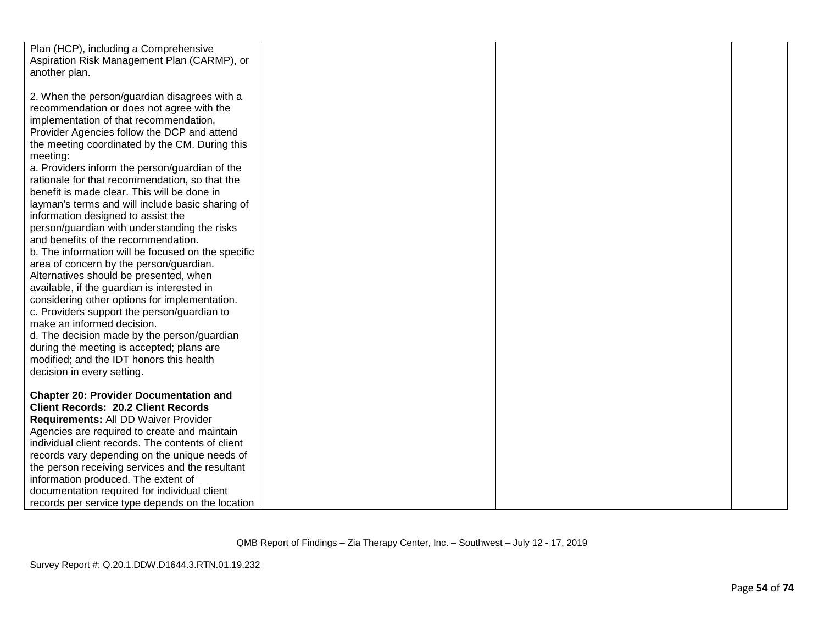| Plan (HCP), including a Comprehensive<br>Aspiration Risk Management Plan (CARMP), or<br>another plan. |  |  |
|-------------------------------------------------------------------------------------------------------|--|--|
| 2. When the person/guardian disagrees with a                                                          |  |  |
| recommendation or does not agree with the                                                             |  |  |
| implementation of that recommendation,                                                                |  |  |
| Provider Agencies follow the DCP and attend                                                           |  |  |
| the meeting coordinated by the CM. During this                                                        |  |  |
| meeting:                                                                                              |  |  |
| a. Providers inform the person/guardian of the                                                        |  |  |
| rationale for that recommendation, so that the                                                        |  |  |
| benefit is made clear. This will be done in<br>layman's terms and will include basic sharing of       |  |  |
| information designed to assist the                                                                    |  |  |
| person/guardian with understanding the risks                                                          |  |  |
| and benefits of the recommendation.                                                                   |  |  |
| b. The information will be focused on the specific                                                    |  |  |
| area of concern by the person/guardian.                                                               |  |  |
| Alternatives should be presented, when                                                                |  |  |
| available, if the guardian is interested in                                                           |  |  |
| considering other options for implementation.                                                         |  |  |
| c. Providers support the person/guardian to                                                           |  |  |
| make an informed decision.                                                                            |  |  |
| d. The decision made by the person/guardian                                                           |  |  |
| during the meeting is accepted; plans are<br>modified; and the IDT honors this health                 |  |  |
| decision in every setting.                                                                            |  |  |
|                                                                                                       |  |  |
| <b>Chapter 20: Provider Documentation and</b>                                                         |  |  |
| <b>Client Records: 20.2 Client Records</b>                                                            |  |  |
| Requirements: All DD Waiver Provider                                                                  |  |  |
| Agencies are required to create and maintain                                                          |  |  |
| individual client records. The contents of client                                                     |  |  |
| records vary depending on the unique needs of                                                         |  |  |
| the person receiving services and the resultant                                                       |  |  |
| information produced. The extent of                                                                   |  |  |
| documentation required for individual client                                                          |  |  |
| records per service type depends on the location                                                      |  |  |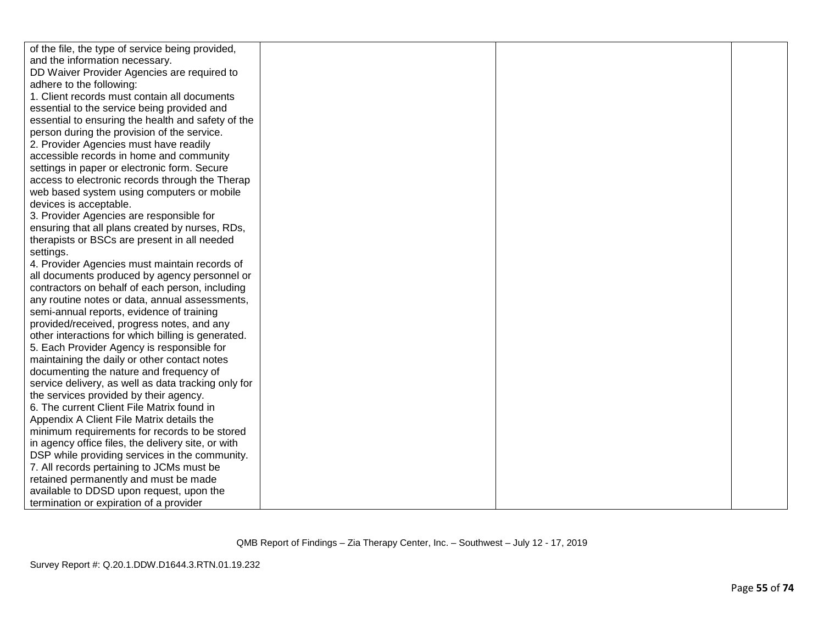| of the file, the type of service being provided,    |  |  |
|-----------------------------------------------------|--|--|
| and the information necessary.                      |  |  |
| DD Waiver Provider Agencies are required to         |  |  |
| adhere to the following:                            |  |  |
| 1. Client records must contain all documents        |  |  |
| essential to the service being provided and         |  |  |
| essential to ensuring the health and safety of the  |  |  |
| person during the provision of the service.         |  |  |
| 2. Provider Agencies must have readily              |  |  |
| accessible records in home and community            |  |  |
| settings in paper or electronic form. Secure        |  |  |
| access to electronic records through the Therap     |  |  |
| web based system using computers or mobile          |  |  |
| devices is acceptable.                              |  |  |
| 3. Provider Agencies are responsible for            |  |  |
| ensuring that all plans created by nurses, RDs,     |  |  |
| therapists or BSCs are present in all needed        |  |  |
| settings.                                           |  |  |
| 4. Provider Agencies must maintain records of       |  |  |
| all documents produced by agency personnel or       |  |  |
| contractors on behalf of each person, including     |  |  |
| any routine notes or data, annual assessments,      |  |  |
| semi-annual reports, evidence of training           |  |  |
| provided/received, progress notes, and any          |  |  |
| other interactions for which billing is generated.  |  |  |
| 5. Each Provider Agency is responsible for          |  |  |
| maintaining the daily or other contact notes        |  |  |
| documenting the nature and frequency of             |  |  |
| service delivery, as well as data tracking only for |  |  |
| the services provided by their agency.              |  |  |
| 6. The current Client File Matrix found in          |  |  |
| Appendix A Client File Matrix details the           |  |  |
| minimum requirements for records to be stored       |  |  |
| in agency office files, the delivery site, or with  |  |  |
| DSP while providing services in the community.      |  |  |
| 7. All records pertaining to JCMs must be           |  |  |
| retained permanently and must be made               |  |  |
| available to DDSD upon request, upon the            |  |  |
| termination or expiration of a provider             |  |  |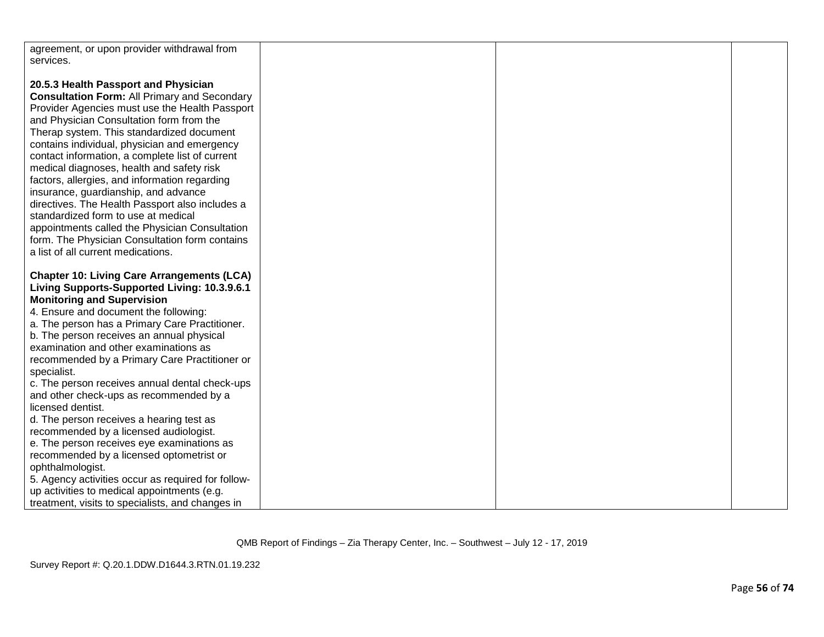| agreement, or upon provider withdrawal from<br>services. |  |  |
|----------------------------------------------------------|--|--|
|                                                          |  |  |
| 20.5.3 Health Passport and Physician                     |  |  |
| <b>Consultation Form: All Primary and Secondary</b>      |  |  |
| Provider Agencies must use the Health Passport           |  |  |
| and Physician Consultation form from the                 |  |  |
| Therap system. This standardized document                |  |  |
| contains individual, physician and emergency             |  |  |
| contact information, a complete list of current          |  |  |
| medical diagnoses, health and safety risk                |  |  |
| factors, allergies, and information regarding            |  |  |
| insurance, guardianship, and advance                     |  |  |
| directives. The Health Passport also includes a          |  |  |
| standardized form to use at medical                      |  |  |
| appointments called the Physician Consultation           |  |  |
| form. The Physician Consultation form contains           |  |  |
| a list of all current medications.                       |  |  |
|                                                          |  |  |
| <b>Chapter 10: Living Care Arrangements (LCA)</b>        |  |  |
| Living Supports-Supported Living: 10.3.9.6.1             |  |  |
| <b>Monitoring and Supervision</b>                        |  |  |
| 4. Ensure and document the following:                    |  |  |
| a. The person has a Primary Care Practitioner.           |  |  |
| b. The person receives an annual physical                |  |  |
| examination and other examinations as                    |  |  |
| recommended by a Primary Care Practitioner or            |  |  |
| specialist.                                              |  |  |
| c. The person receives annual dental check-ups           |  |  |
| and other check-ups as recommended by a                  |  |  |
| licensed dentist.                                        |  |  |
| d. The person receives a hearing test as                 |  |  |
| recommended by a licensed audiologist.                   |  |  |
| e. The person receives eye examinations as               |  |  |
| recommended by a licensed optometrist or                 |  |  |
| ophthalmologist.                                         |  |  |
| 5. Agency activities occur as required for follow-       |  |  |
| up activities to medical appointments (e.g.              |  |  |
| treatment, visits to specialists, and changes in         |  |  |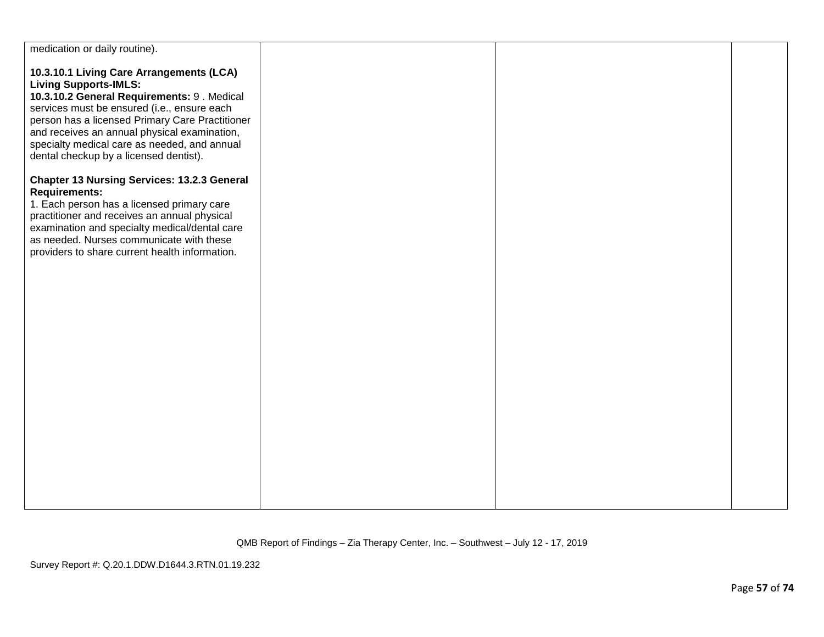| medication or daily routine).                                                                                                                                                                                                                                                                                                                                      |  |  |
|--------------------------------------------------------------------------------------------------------------------------------------------------------------------------------------------------------------------------------------------------------------------------------------------------------------------------------------------------------------------|--|--|
| 10.3.10.1 Living Care Arrangements (LCA)<br><b>Living Supports-IMLS:</b><br>10.3.10.2 General Requirements: 9. Medical<br>services must be ensured (i.e., ensure each<br>person has a licensed Primary Care Practitioner<br>and receives an annual physical examination,<br>specialty medical care as needed, and annual<br>dental checkup by a licensed dentist). |  |  |
| <b>Chapter 13 Nursing Services: 13.2.3 General</b><br><b>Requirements:</b><br>1. Each person has a licensed primary care<br>practitioner and receives an annual physical<br>examination and specialty medical/dental care<br>as needed. Nurses communicate with these<br>providers to share current health information.                                            |  |  |
|                                                                                                                                                                                                                                                                                                                                                                    |  |  |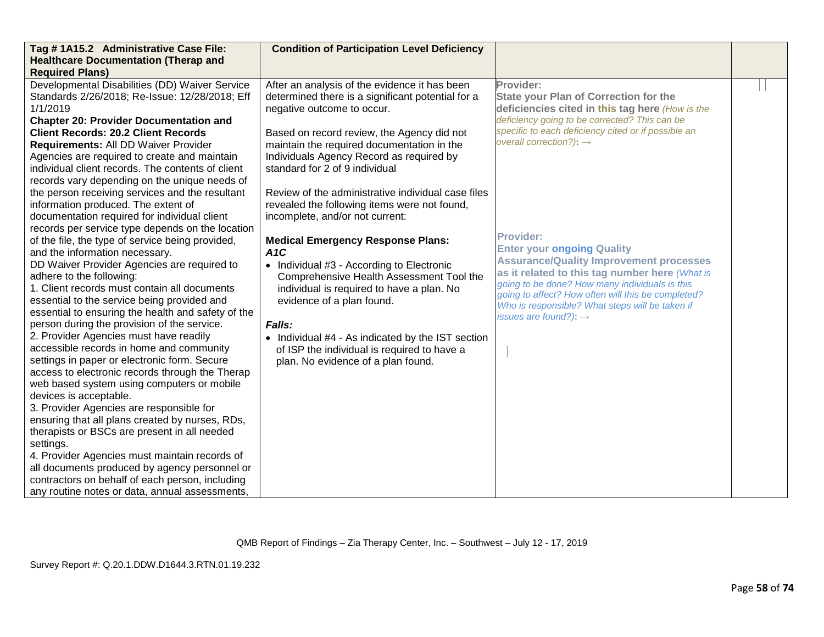| Tag #1A15.2 Administrative Case File:<br><b>Healthcare Documentation (Therap and</b>        | <b>Condition of Participation Level Deficiency</b>                                       |                                                                                                      |  |
|---------------------------------------------------------------------------------------------|------------------------------------------------------------------------------------------|------------------------------------------------------------------------------------------------------|--|
| <b>Required Plans)</b>                                                                      |                                                                                          |                                                                                                      |  |
| Developmental Disabilities (DD) Waiver Service                                              | After an analysis of the evidence it has been                                            | Provider:                                                                                            |  |
| Standards 2/26/2018; Re-Issue: 12/28/2018; Eff                                              | determined there is a significant potential for a                                        | <b>State your Plan of Correction for the</b>                                                         |  |
| 1/1/2019                                                                                    | negative outcome to occur.                                                               | deficiencies cited in this tag here (How is the<br>deficiency going to be corrected? This can be     |  |
| <b>Chapter 20: Provider Documentation and</b><br><b>Client Records: 20.2 Client Records</b> |                                                                                          | specific to each deficiency cited or if possible an                                                  |  |
| <b>Requirements: All DD Waiver Provider</b>                                                 | Based on record review, the Agency did not<br>maintain the required documentation in the | overall correction?): $\rightarrow$                                                                  |  |
| Agencies are required to create and maintain                                                | Individuals Agency Record as required by                                                 |                                                                                                      |  |
| individual client records. The contents of client                                           | standard for 2 of 9 individual                                                           |                                                                                                      |  |
| records vary depending on the unique needs of                                               |                                                                                          |                                                                                                      |  |
| the person receiving services and the resultant                                             | Review of the administrative individual case files                                       |                                                                                                      |  |
| information produced. The extent of                                                         | revealed the following items were not found,                                             |                                                                                                      |  |
| documentation required for individual client                                                | incomplete, and/or not current:                                                          |                                                                                                      |  |
| records per service type depends on the location                                            |                                                                                          |                                                                                                      |  |
| of the file, the type of service being provided,                                            | <b>Medical Emergency Response Plans:</b>                                                 | <b>Provider:</b>                                                                                     |  |
| and the information necessary.                                                              | A1C                                                                                      | <b>Enter your ongoing Quality</b>                                                                    |  |
| DD Waiver Provider Agencies are required to                                                 | • Individual #3 - According to Electronic                                                | <b>Assurance/Quality Improvement processes</b>                                                       |  |
| adhere to the following:                                                                    | Comprehensive Health Assessment Tool the                                                 | as it related to this tag number here (What is                                                       |  |
| 1. Client records must contain all documents                                                | individual is required to have a plan. No                                                | going to be done? How many individuals is this<br>going to affect? How often will this be completed? |  |
| essential to the service being provided and                                                 | evidence of a plan found.                                                                | Who is responsible? What steps will be taken if                                                      |  |
| essential to ensuring the health and safety of the                                          |                                                                                          | issues are found?): $\rightarrow$                                                                    |  |
| person during the provision of the service.                                                 | Falls:                                                                                   |                                                                                                      |  |
| 2. Provider Agencies must have readily                                                      | • Individual #4 - As indicated by the IST section                                        |                                                                                                      |  |
| accessible records in home and community                                                    | of ISP the individual is required to have a                                              |                                                                                                      |  |
| settings in paper or electronic form. Secure                                                | plan. No evidence of a plan found.                                                       |                                                                                                      |  |
| access to electronic records through the Therap                                             |                                                                                          |                                                                                                      |  |
| web based system using computers or mobile                                                  |                                                                                          |                                                                                                      |  |
| devices is acceptable.                                                                      |                                                                                          |                                                                                                      |  |
| 3. Provider Agencies are responsible for                                                    |                                                                                          |                                                                                                      |  |
| ensuring that all plans created by nurses, RDs,                                             |                                                                                          |                                                                                                      |  |
| therapists or BSCs are present in all needed                                                |                                                                                          |                                                                                                      |  |
| settings.<br>4. Provider Agencies must maintain records of                                  |                                                                                          |                                                                                                      |  |
| all documents produced by agency personnel or                                               |                                                                                          |                                                                                                      |  |
| contractors on behalf of each person, including                                             |                                                                                          |                                                                                                      |  |
| any routine notes or data, annual assessments,                                              |                                                                                          |                                                                                                      |  |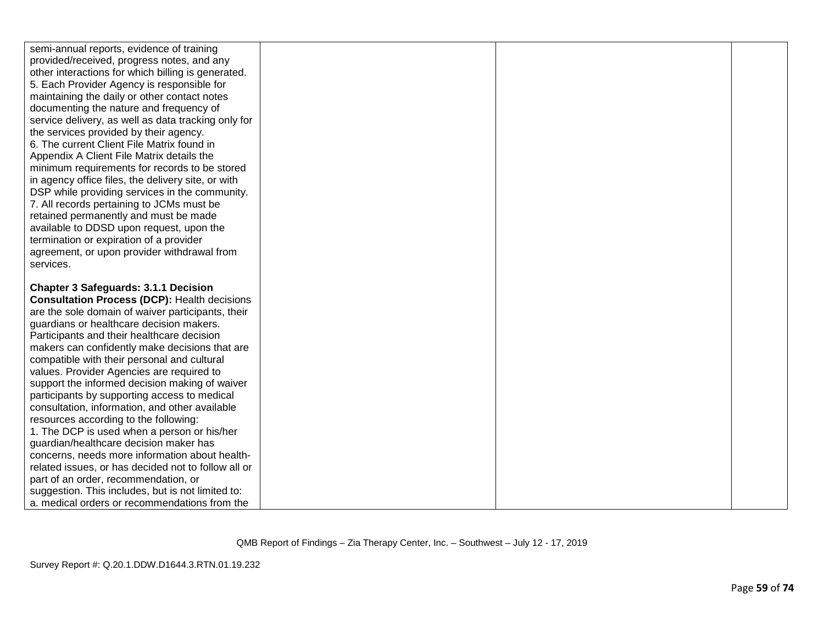| semi-annual reports, evidence of training                                                      |  |  |
|------------------------------------------------------------------------------------------------|--|--|
| provided/received, progress notes, and any                                                     |  |  |
| other interactions for which billing is generated.                                             |  |  |
| 5. Each Provider Agency is responsible for                                                     |  |  |
| maintaining the daily or other contact notes                                                   |  |  |
| documenting the nature and frequency of                                                        |  |  |
| service delivery, as well as data tracking only for                                            |  |  |
| the services provided by their agency.                                                         |  |  |
| 6. The current Client File Matrix found in                                                     |  |  |
| Appendix A Client File Matrix details the                                                      |  |  |
| minimum requirements for records to be stored                                                  |  |  |
| in agency office files, the delivery site, or with                                             |  |  |
| DSP while providing services in the community.                                                 |  |  |
| 7. All records pertaining to JCMs must be                                                      |  |  |
| retained permanently and must be made                                                          |  |  |
| available to DDSD upon request, upon the                                                       |  |  |
| termination or expiration of a provider                                                        |  |  |
| agreement, or upon provider withdrawal from                                                    |  |  |
| services.                                                                                      |  |  |
|                                                                                                |  |  |
|                                                                                                |  |  |
|                                                                                                |  |  |
| <b>Chapter 3 Safeguards: 3.1.1 Decision</b>                                                    |  |  |
| <b>Consultation Process (DCP): Health decisions</b>                                            |  |  |
| are the sole domain of waiver participants, their                                              |  |  |
| guardians or healthcare decision makers.                                                       |  |  |
| Participants and their healthcare decision                                                     |  |  |
| makers can confidently make decisions that are                                                 |  |  |
| compatible with their personal and cultural                                                    |  |  |
| values. Provider Agencies are required to                                                      |  |  |
| support the informed decision making of waiver                                                 |  |  |
| participants by supporting access to medical<br>consultation, information, and other available |  |  |
| resources according to the following:                                                          |  |  |
| 1. The DCP is used when a person or his/her                                                    |  |  |
| guardian/healthcare decision maker has                                                         |  |  |
| concerns, needs more information about health-                                                 |  |  |
| related issues, or has decided not to follow all or                                            |  |  |
| part of an order, recommendation, or                                                           |  |  |
| suggestion. This includes, but is not limited to:                                              |  |  |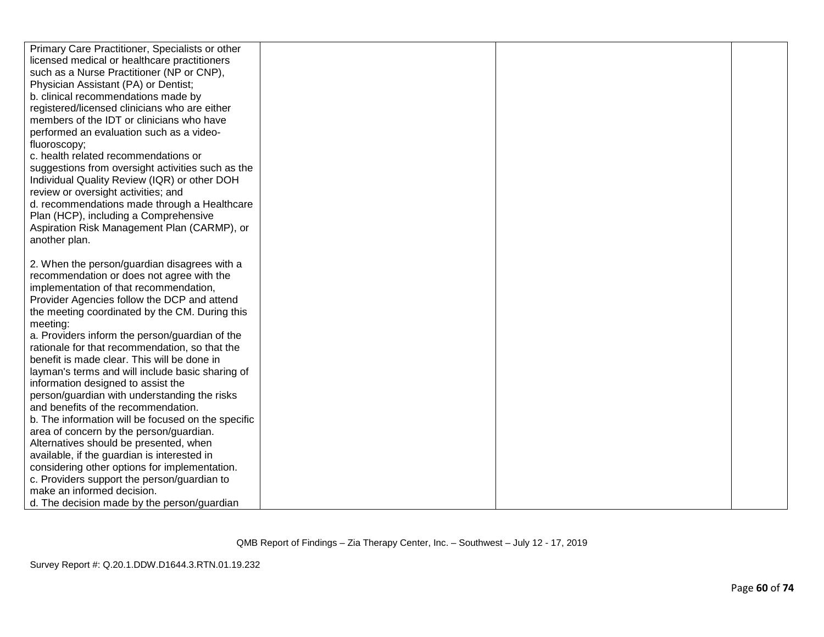| Primary Care Practitioner, Specialists or other    |  |  |
|----------------------------------------------------|--|--|
| licensed medical or healthcare practitioners       |  |  |
| such as a Nurse Practitioner (NP or CNP),          |  |  |
| Physician Assistant (PA) or Dentist;               |  |  |
| b. clinical recommendations made by                |  |  |
| registered/licensed clinicians who are either      |  |  |
| members of the IDT or clinicians who have          |  |  |
| performed an evaluation such as a video-           |  |  |
| fluoroscopy;                                       |  |  |
| c. health related recommendations or               |  |  |
| suggestions from oversight activities such as the  |  |  |
| Individual Quality Review (IQR) or other DOH       |  |  |
| review or oversight activities; and                |  |  |
| d. recommendations made through a Healthcare       |  |  |
| Plan (HCP), including a Comprehensive              |  |  |
| Aspiration Risk Management Plan (CARMP), or        |  |  |
| another plan.                                      |  |  |
|                                                    |  |  |
| 2. When the person/guardian disagrees with a       |  |  |
| recommendation or does not agree with the          |  |  |
| implementation of that recommendation,             |  |  |
| Provider Agencies follow the DCP and attend        |  |  |
| the meeting coordinated by the CM. During this     |  |  |
| meeting:                                           |  |  |
| a. Providers inform the person/guardian of the     |  |  |
| rationale for that recommendation, so that the     |  |  |
| benefit is made clear. This will be done in        |  |  |
| layman's terms and will include basic sharing of   |  |  |
| information designed to assist the                 |  |  |
| person/guardian with understanding the risks       |  |  |
| and benefits of the recommendation.                |  |  |
| b. The information will be focused on the specific |  |  |
| area of concern by the person/guardian.            |  |  |
| Alternatives should be presented, when             |  |  |
| available, if the guardian is interested in        |  |  |
| considering other options for implementation.      |  |  |
| c. Providers support the person/guardian to        |  |  |
| make an informed decision.                         |  |  |
| d. The decision made by the person/guardian        |  |  |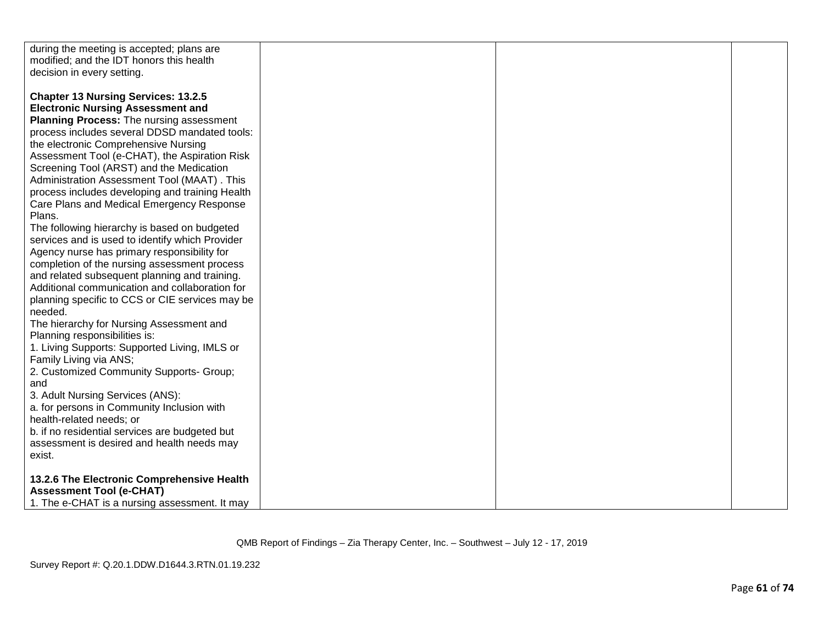| during the meeting is accepted; plans are<br>modified; and the IDT honors this health<br>decision in every setting. |  |  |
|---------------------------------------------------------------------------------------------------------------------|--|--|
| <b>Chapter 13 Nursing Services: 13.2.5</b>                                                                          |  |  |
| <b>Electronic Nursing Assessment and</b>                                                                            |  |  |
| <b>Planning Process:</b> The nursing assessment                                                                     |  |  |
| process includes several DDSD mandated tools:                                                                       |  |  |
| the electronic Comprehensive Nursing                                                                                |  |  |
| Assessment Tool (e-CHAT), the Aspiration Risk                                                                       |  |  |
| Screening Tool (ARST) and the Medication                                                                            |  |  |
| Administration Assessment Tool (MAAT). This                                                                         |  |  |
| process includes developing and training Health                                                                     |  |  |
| Care Plans and Medical Emergency Response<br>Plans.                                                                 |  |  |
| The following hierarchy is based on budgeted                                                                        |  |  |
| services and is used to identify which Provider                                                                     |  |  |
| Agency nurse has primary responsibility for                                                                         |  |  |
| completion of the nursing assessment process                                                                        |  |  |
| and related subsequent planning and training.                                                                       |  |  |
| Additional communication and collaboration for                                                                      |  |  |
| planning specific to CCS or CIE services may be                                                                     |  |  |
| needed.                                                                                                             |  |  |
| The hierarchy for Nursing Assessment and                                                                            |  |  |
| Planning responsibilities is:                                                                                       |  |  |
| 1. Living Supports: Supported Living, IMLS or                                                                       |  |  |
| Family Living via ANS;                                                                                              |  |  |
| 2. Customized Community Supports- Group;                                                                            |  |  |
| and<br>3. Adult Nursing Services (ANS):                                                                             |  |  |
| a. for persons in Community Inclusion with                                                                          |  |  |
| health-related needs; or                                                                                            |  |  |
| b. if no residential services are budgeted but                                                                      |  |  |
| assessment is desired and health needs may                                                                          |  |  |
| exist.                                                                                                              |  |  |
|                                                                                                                     |  |  |
| 13.2.6 The Electronic Comprehensive Health                                                                          |  |  |
| <b>Assessment Tool (e-CHAT)</b>                                                                                     |  |  |
| 1. The e-CHAT is a nursing assessment. It may                                                                       |  |  |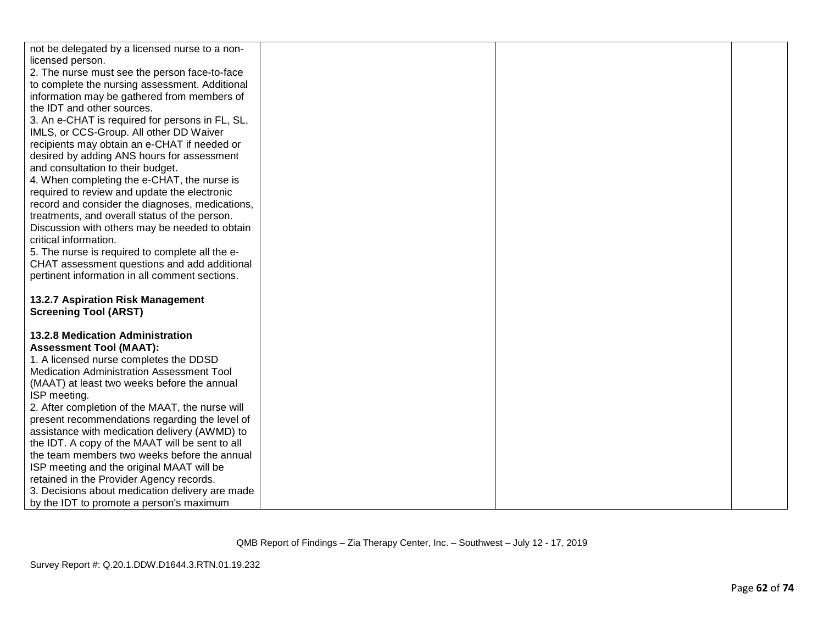| not be delegated by a licensed nurse to a non-<br>licensed person. |  |  |
|--------------------------------------------------------------------|--|--|
| 2. The nurse must see the person face-to-face                      |  |  |
| to complete the nursing assessment. Additional                     |  |  |
| information may be gathered from members of                        |  |  |
| the IDT and other sources.                                         |  |  |
| 3. An e-CHAT is required for persons in FL, SL,                    |  |  |
| IMLS, or CCS-Group. All other DD Waiver                            |  |  |
| recipients may obtain an e-CHAT if needed or                       |  |  |
| desired by adding ANS hours for assessment                         |  |  |
| and consultation to their budget.                                  |  |  |
| 4. When completing the e-CHAT, the nurse is                        |  |  |
| required to review and update the electronic                       |  |  |
| record and consider the diagnoses, medications,                    |  |  |
| treatments, and overall status of the person.                      |  |  |
| Discussion with others may be needed to obtain                     |  |  |
| critical information.                                              |  |  |
| 5. The nurse is required to complete all the e-                    |  |  |
| CHAT assessment questions and add additional                       |  |  |
| pertinent information in all comment sections.                     |  |  |
| 13.2.7 Aspiration Risk Management                                  |  |  |
| <b>Screening Tool (ARST)</b>                                       |  |  |
|                                                                    |  |  |
| <b>13.2.8 Medication Administration</b>                            |  |  |
| <b>Assessment Tool (MAAT):</b>                                     |  |  |
| 1. A licensed nurse completes the DDSD                             |  |  |
| Medication Administration Assessment Tool                          |  |  |
| (MAAT) at least two weeks before the annual                        |  |  |
| ISP meeting.                                                       |  |  |
| 2. After completion of the MAAT, the nurse will                    |  |  |
| present recommendations regarding the level of                     |  |  |
| assistance with medication delivery (AWMD) to                      |  |  |
| the IDT. A copy of the MAAT will be sent to all                    |  |  |
| the team members two weeks before the annual                       |  |  |
| ISP meeting and the original MAAT will be                          |  |  |
| retained in the Provider Agency records.                           |  |  |
| 3. Decisions about medication delivery are made                    |  |  |
| by the IDT to promote a person's maximum                           |  |  |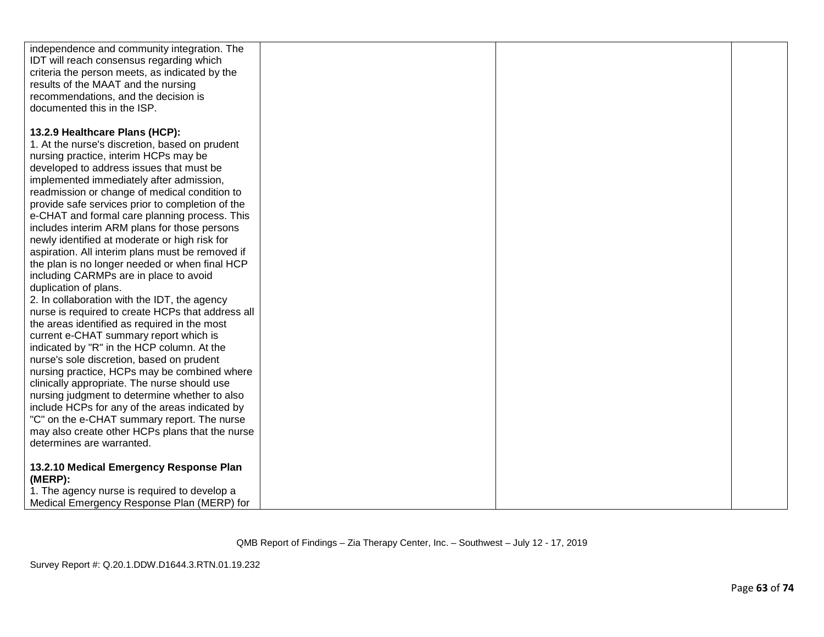| independence and community integration. The       |  |  |
|---------------------------------------------------|--|--|
|                                                   |  |  |
| IDT will reach consensus regarding which          |  |  |
| criteria the person meets, as indicated by the    |  |  |
| results of the MAAT and the nursing               |  |  |
| recommendations, and the decision is              |  |  |
| documented this in the ISP.                       |  |  |
|                                                   |  |  |
| 13.2.9 Healthcare Plans (HCP):                    |  |  |
| 1. At the nurse's discretion, based on prudent    |  |  |
| nursing practice, interim HCPs may be             |  |  |
| developed to address issues that must be          |  |  |
| implemented immediately after admission,          |  |  |
| readmission or change of medical condition to     |  |  |
|                                                   |  |  |
| provide safe services prior to completion of the  |  |  |
| e-CHAT and formal care planning process. This     |  |  |
| includes interim ARM plans for those persons      |  |  |
| newly identified at moderate or high risk for     |  |  |
| aspiration. All interim plans must be removed if  |  |  |
| the plan is no longer needed or when final HCP    |  |  |
| including CARMPs are in place to avoid            |  |  |
| duplication of plans.                             |  |  |
| 2. In collaboration with the IDT, the agency      |  |  |
| nurse is required to create HCPs that address all |  |  |
| the areas identified as required in the most      |  |  |
| current e-CHAT summary report which is            |  |  |
| indicated by "R" in the HCP column. At the        |  |  |
| nurse's sole discretion, based on prudent         |  |  |
| nursing practice, HCPs may be combined where      |  |  |
| clinically appropriate. The nurse should use      |  |  |
| nursing judgment to determine whether to also     |  |  |
| include HCPs for any of the areas indicated by    |  |  |
| "C" on the e-CHAT summary report. The nurse       |  |  |
| may also create other HCPs plans that the nurse   |  |  |
| determines are warranted.                         |  |  |
|                                                   |  |  |
|                                                   |  |  |
| 13.2.10 Medical Emergency Response Plan           |  |  |
| (MERP):                                           |  |  |
| 1. The agency nurse is required to develop a      |  |  |
| Medical Emergency Response Plan (MERP) for        |  |  |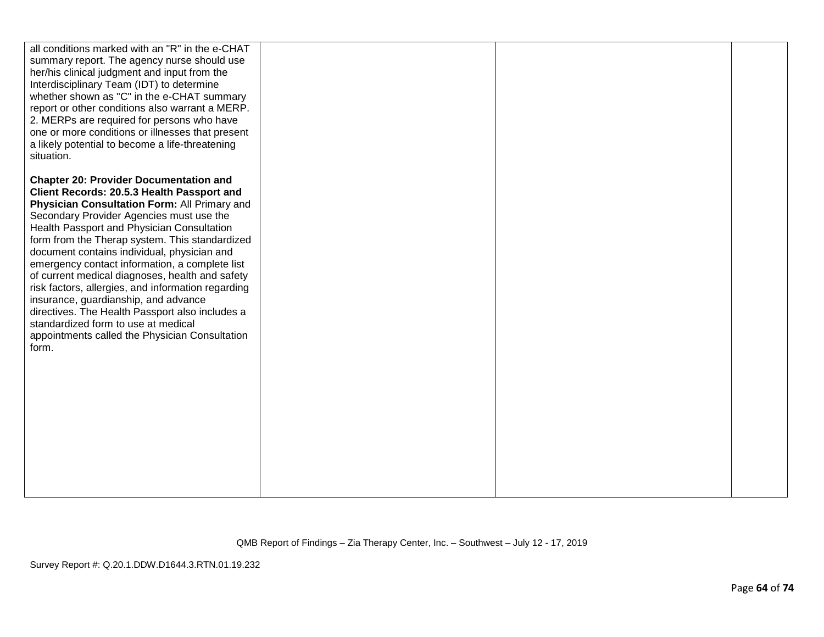| all conditions marked with an "R" in the e-CHAT<br>summary report. The agency nurse should use<br>her/his clinical judgment and input from the<br>Interdisciplinary Team (IDT) to determine<br>whether shown as "C" in the e-CHAT summary<br>report or other conditions also warrant a MERP.<br>2. MERPs are required for persons who have<br>one or more conditions or illnesses that present<br>a likely potential to become a life-threatening<br>situation.                                                                                                                                                                                                                                |  |  |
|------------------------------------------------------------------------------------------------------------------------------------------------------------------------------------------------------------------------------------------------------------------------------------------------------------------------------------------------------------------------------------------------------------------------------------------------------------------------------------------------------------------------------------------------------------------------------------------------------------------------------------------------------------------------------------------------|--|--|
| <b>Chapter 20: Provider Documentation and</b><br>Client Records: 20.5.3 Health Passport and<br>Physician Consultation Form: All Primary and<br>Secondary Provider Agencies must use the<br>Health Passport and Physician Consultation<br>form from the Therap system. This standardized<br>document contains individual, physician and<br>emergency contact information, a complete list<br>of current medical diagnoses, health and safety<br>risk factors, allergies, and information regarding<br>insurance, guardianship, and advance<br>directives. The Health Passport also includes a<br>standardized form to use at medical<br>appointments called the Physician Consultation<br>form. |  |  |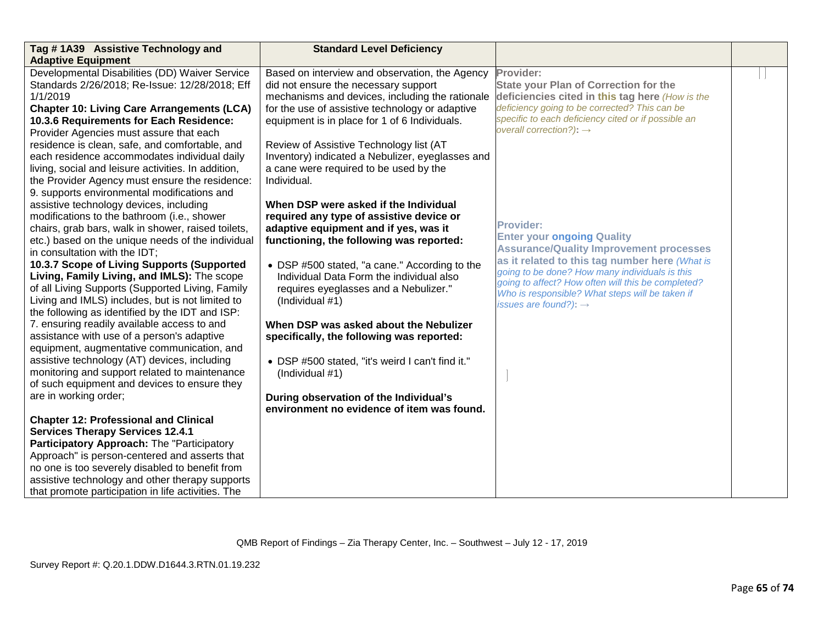| Tag #1A39 Assistive Technology and                                                                   | <b>Standard Level Deficiency</b>                 |                                                     |  |
|------------------------------------------------------------------------------------------------------|--------------------------------------------------|-----------------------------------------------------|--|
| <b>Adaptive Equipment</b>                                                                            |                                                  |                                                     |  |
| Developmental Disabilities (DD) Waiver Service                                                       | Based on interview and observation, the Agency   | Provider:                                           |  |
| Standards 2/26/2018; Re-Issue: 12/28/2018; Eff                                                       | did not ensure the necessary support             | <b>State your Plan of Correction for the</b>        |  |
| 1/1/2019                                                                                             | mechanisms and devices, including the rationale  | deficiencies cited in this tag here (How is the     |  |
| <b>Chapter 10: Living Care Arrangements (LCA)</b>                                                    | for the use of assistive technology or adaptive  | deficiency going to be corrected? This can be       |  |
| 10.3.6 Requirements for Each Residence:                                                              | equipment is in place for 1 of 6 Individuals.    | specific to each deficiency cited or if possible an |  |
| Provider Agencies must assure that each                                                              |                                                  | overall correction?): $\rightarrow$                 |  |
| residence is clean, safe, and comfortable, and                                                       | Review of Assistive Technology list (AT          |                                                     |  |
| each residence accommodates individual daily                                                         | Inventory) indicated a Nebulizer, eyeglasses and |                                                     |  |
| living, social and leisure activities. In addition,                                                  | a cane were required to be used by the           |                                                     |  |
| the Provider Agency must ensure the residence:                                                       | Individual.                                      |                                                     |  |
| 9. supports environmental modifications and                                                          |                                                  |                                                     |  |
| assistive technology devices, including                                                              | When DSP were asked if the Individual            |                                                     |  |
| modifications to the bathroom (i.e., shower                                                          | required any type of assistive device or         | <b>Provider:</b>                                    |  |
| chairs, grab bars, walk in shower, raised toilets,                                                   | adaptive equipment and if yes, was it            | <b>Enter your ongoing Quality</b>                   |  |
| etc.) based on the unique needs of the individual                                                    | functioning, the following was reported:         | <b>Assurance/Quality Improvement processes</b>      |  |
| in consultation with the IDT;                                                                        |                                                  | as it related to this tag number here (What is      |  |
| 10.3.7 Scope of Living Supports (Supported                                                           | • DSP #500 stated, "a cane." According to the    | going to be done? How many individuals is this      |  |
| Living, Family Living, and IMLS): The scope                                                          | Individual Data Form the individual also         | going to affect? How often will this be completed?  |  |
| of all Living Supports (Supported Living, Family<br>Living and IMLS) includes, but is not limited to | requires eyeglasses and a Nebulizer."            | Who is responsible? What steps will be taken if     |  |
| the following as identified by the IDT and ISP:                                                      | (Individual #1)                                  | issues are found?): $\rightarrow$                   |  |
| 7. ensuring readily available access to and                                                          | When DSP was asked about the Nebulizer           |                                                     |  |
| assistance with use of a person's adaptive                                                           | specifically, the following was reported:        |                                                     |  |
| equipment, augmentative communication, and                                                           |                                                  |                                                     |  |
| assistive technology (AT) devices, including                                                         | • DSP #500 stated, "it's weird I can't find it." |                                                     |  |
| monitoring and support related to maintenance                                                        | (Individual #1)                                  |                                                     |  |
| of such equipment and devices to ensure they                                                         |                                                  |                                                     |  |
| are in working order;                                                                                | During observation of the Individual's           |                                                     |  |
|                                                                                                      | environment no evidence of item was found.       |                                                     |  |
| <b>Chapter 12: Professional and Clinical</b>                                                         |                                                  |                                                     |  |
| <b>Services Therapy Services 12.4.1</b>                                                              |                                                  |                                                     |  |
| Participatory Approach: The "Participatory                                                           |                                                  |                                                     |  |
| Approach" is person-centered and asserts that                                                        |                                                  |                                                     |  |
| no one is too severely disabled to benefit from                                                      |                                                  |                                                     |  |
| assistive technology and other therapy supports                                                      |                                                  |                                                     |  |
| that promote participation in life activities. The                                                   |                                                  |                                                     |  |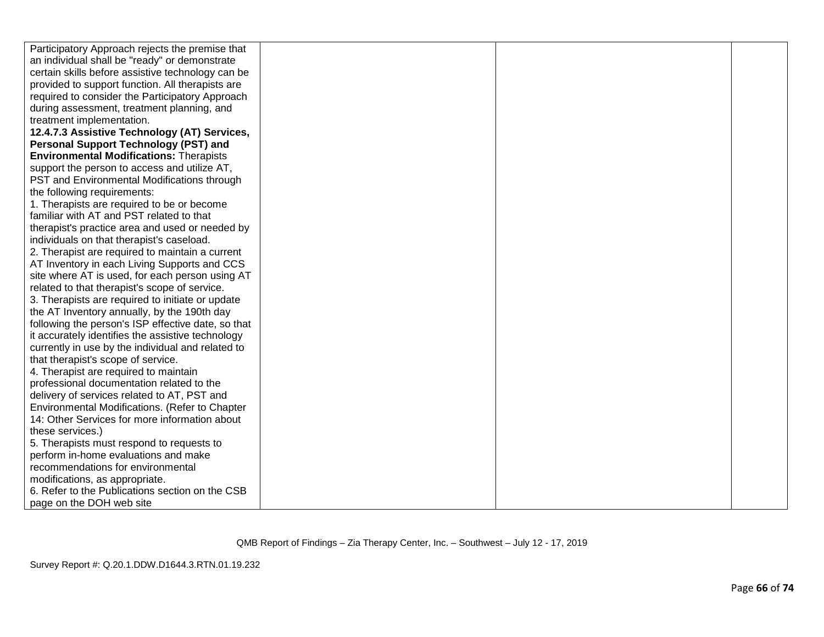| Participatory Approach rejects the premise that    |  |  |
|----------------------------------------------------|--|--|
| an individual shall be "ready" or demonstrate      |  |  |
| certain skills before assistive technology can be  |  |  |
| provided to support function. All therapists are   |  |  |
| required to consider the Participatory Approach    |  |  |
| during assessment, treatment planning, and         |  |  |
| treatment implementation.                          |  |  |
| 12.4.7.3 Assistive Technology (AT) Services,       |  |  |
| <b>Personal Support Technology (PST) and</b>       |  |  |
| <b>Environmental Modifications: Therapists</b>     |  |  |
| support the person to access and utilize AT,       |  |  |
| PST and Environmental Modifications through        |  |  |
| the following requirements:                        |  |  |
| 1. Therapists are required to be or become         |  |  |
| familiar with AT and PST related to that           |  |  |
| therapist's practice area and used or needed by    |  |  |
| individuals on that therapist's caseload.          |  |  |
| 2. Therapist are required to maintain a current    |  |  |
| AT Inventory in each Living Supports and CCS       |  |  |
| site where AT is used, for each person using AT    |  |  |
| related to that therapist's scope of service.      |  |  |
| 3. Therapists are required to initiate or update   |  |  |
| the AT Inventory annually, by the 190th day        |  |  |
| following the person's ISP effective date, so that |  |  |
| it accurately identifies the assistive technology  |  |  |
| currently in use by the individual and related to  |  |  |
| that therapist's scope of service.                 |  |  |
| 4. Therapist are required to maintain              |  |  |
| professional documentation related to the          |  |  |
| delivery of services related to AT, PST and        |  |  |
| Environmental Modifications. (Refer to Chapter     |  |  |
| 14: Other Services for more information about      |  |  |
| these services.)                                   |  |  |
| 5. Therapists must respond to requests to          |  |  |
| perform in-home evaluations and make               |  |  |
| recommendations for environmental                  |  |  |
| modifications, as appropriate.                     |  |  |
| 6. Refer to the Publications section on the CSB    |  |  |
| page on the DOH web site                           |  |  |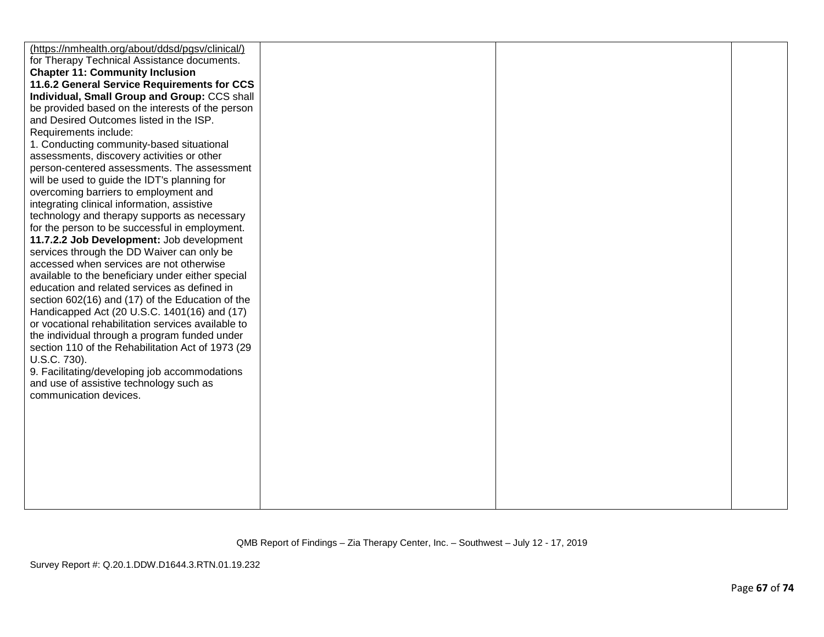| (https://nmhealth.org/about/ddsd/pgsv/clinical/)   |  |  |
|----------------------------------------------------|--|--|
| for Therapy Technical Assistance documents.        |  |  |
| <b>Chapter 11: Community Inclusion</b>             |  |  |
| 11.6.2 General Service Requirements for CCS        |  |  |
| Individual, Small Group and Group: CCS shall       |  |  |
| be provided based on the interests of the person   |  |  |
| and Desired Outcomes listed in the ISP.            |  |  |
| Requirements include:                              |  |  |
| 1. Conducting community-based situational          |  |  |
| assessments, discovery activities or other         |  |  |
| person-centered assessments. The assessment        |  |  |
| will be used to guide the IDT's planning for       |  |  |
| overcoming barriers to employment and              |  |  |
| integrating clinical information, assistive        |  |  |
| technology and therapy supports as necessary       |  |  |
| for the person to be successful in employment.     |  |  |
| 11.7.2.2 Job Development: Job development          |  |  |
| services through the DD Waiver can only be         |  |  |
| accessed when services are not otherwise           |  |  |
| available to the beneficiary under either special  |  |  |
| education and related services as defined in       |  |  |
| section 602(16) and (17) of the Education of the   |  |  |
| Handicapped Act (20 U.S.C. 1401(16) and (17)       |  |  |
| or vocational rehabilitation services available to |  |  |
| the individual through a program funded under      |  |  |
| section 110 of the Rehabilitation Act of 1973 (29  |  |  |
| U.S.C. 730).                                       |  |  |
| 9. Facilitating/developing job accommodations      |  |  |
| and use of assistive technology such as            |  |  |
| communication devices.                             |  |  |
|                                                    |  |  |
|                                                    |  |  |
|                                                    |  |  |
|                                                    |  |  |
|                                                    |  |  |
|                                                    |  |  |
|                                                    |  |  |
|                                                    |  |  |
|                                                    |  |  |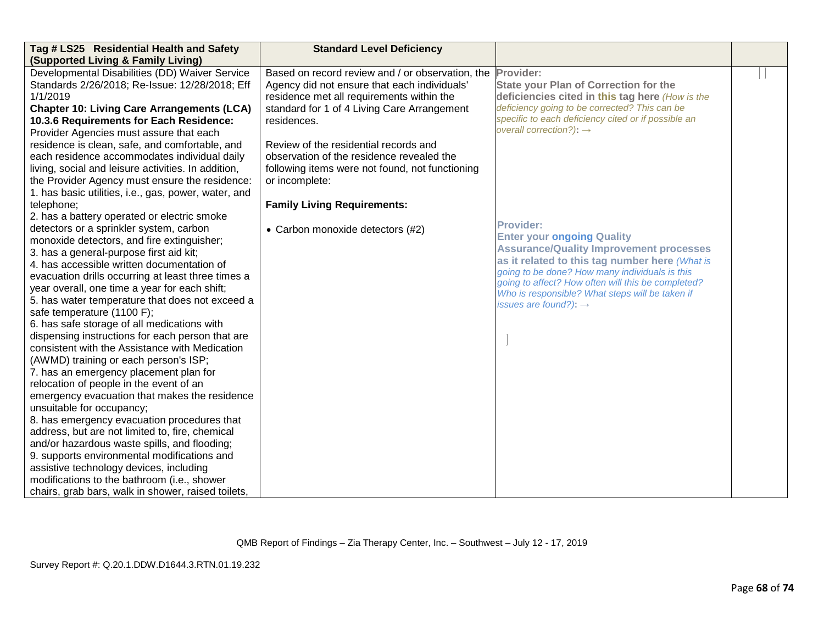| Tag # LS25 Residential Health and Safety             | <b>Standard Level Deficiency</b>                 |                                                                                                      |  |
|------------------------------------------------------|--------------------------------------------------|------------------------------------------------------------------------------------------------------|--|
| (Supported Living & Family Living)                   |                                                  |                                                                                                      |  |
| Developmental Disabilities (DD) Waiver Service       | Based on record review and / or observation, the | Provider:                                                                                            |  |
| Standards 2/26/2018; Re-Issue: 12/28/2018; Eff       | Agency did not ensure that each individuals'     | <b>State your Plan of Correction for the</b>                                                         |  |
| 1/1/2019                                             | residence met all requirements within the        | deficiencies cited in this tag here (How is the                                                      |  |
| <b>Chapter 10: Living Care Arrangements (LCA)</b>    | standard for 1 of 4 Living Care Arrangement      | deficiency going to be corrected? This can be                                                        |  |
| 10.3.6 Requirements for Each Residence:              | residences.                                      | specific to each deficiency cited or if possible an                                                  |  |
| Provider Agencies must assure that each              |                                                  | overall correction?): $\rightarrow$                                                                  |  |
| residence is clean, safe, and comfortable, and       | Review of the residential records and            |                                                                                                      |  |
| each residence accommodates individual daily         | observation of the residence revealed the        |                                                                                                      |  |
| living, social and leisure activities. In addition,  | following items were not found, not functioning  |                                                                                                      |  |
| the Provider Agency must ensure the residence:       | or incomplete:                                   |                                                                                                      |  |
| 1. has basic utilities, i.e., gas, power, water, and |                                                  |                                                                                                      |  |
| telephone;                                           | <b>Family Living Requirements:</b>               |                                                                                                      |  |
| 2. has a battery operated or electric smoke          |                                                  |                                                                                                      |  |
| detectors or a sprinkler system, carbon              | • Carbon monoxide detectors (#2)                 | <b>Provider:</b>                                                                                     |  |
| monoxide detectors, and fire extinguisher;           |                                                  | <b>Enter your ongoing Quality</b>                                                                    |  |
| 3. has a general-purpose first aid kit;              |                                                  | <b>Assurance/Quality Improvement processes</b>                                                       |  |
| 4. has accessible written documentation of           |                                                  | as it related to this tag number here (What is                                                       |  |
| evacuation drills occurring at least three times a   |                                                  | going to be done? How many individuals is this<br>going to affect? How often will this be completed? |  |
| year overall, one time a year for each shift;        |                                                  | Who is responsible? What steps will be taken if                                                      |  |
| 5. has water temperature that does not exceed a      |                                                  | issues are found?): $\rightarrow$                                                                    |  |
| safe temperature (1100 F);                           |                                                  |                                                                                                      |  |
| 6. has safe storage of all medications with          |                                                  |                                                                                                      |  |
| dispensing instructions for each person that are     |                                                  |                                                                                                      |  |
| consistent with the Assistance with Medication       |                                                  |                                                                                                      |  |
| (AWMD) training or each person's ISP;                |                                                  |                                                                                                      |  |
| 7. has an emergency placement plan for               |                                                  |                                                                                                      |  |
| relocation of people in the event of an              |                                                  |                                                                                                      |  |
| emergency evacuation that makes the residence        |                                                  |                                                                                                      |  |
| unsuitable for occupancy;                            |                                                  |                                                                                                      |  |
| 8. has emergency evacuation procedures that          |                                                  |                                                                                                      |  |
| address, but are not limited to, fire, chemical      |                                                  |                                                                                                      |  |
| and/or hazardous waste spills, and flooding;         |                                                  |                                                                                                      |  |
| 9. supports environmental modifications and          |                                                  |                                                                                                      |  |
| assistive technology devices, including              |                                                  |                                                                                                      |  |
| modifications to the bathroom (i.e., shower          |                                                  |                                                                                                      |  |
| chairs, grab bars, walk in shower, raised toilets,   |                                                  |                                                                                                      |  |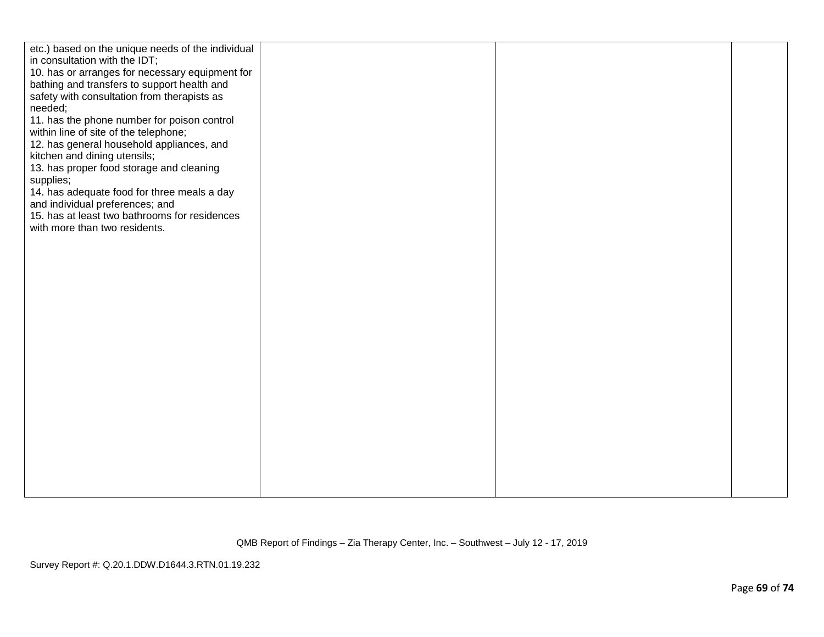| etc.) based on the unique needs of the individual                                              |  |  |
|------------------------------------------------------------------------------------------------|--|--|
| in consultation with the IDT;                                                                  |  |  |
| 10. has or arranges for necessary equipment for<br>bathing and transfers to support health and |  |  |
| safety with consultation from therapists as                                                    |  |  |
| needed;                                                                                        |  |  |
| 11. has the phone number for poison control                                                    |  |  |
| within line of site of the telephone;                                                          |  |  |
| 12. has general household appliances, and                                                      |  |  |
| kitchen and dining utensils;                                                                   |  |  |
| 13. has proper food storage and cleaning                                                       |  |  |
| supplies;                                                                                      |  |  |
| 14. has adequate food for three meals a day                                                    |  |  |
| and individual preferences; and                                                                |  |  |
| 15. has at least two bathrooms for residences                                                  |  |  |
| with more than two residents.                                                                  |  |  |
|                                                                                                |  |  |
|                                                                                                |  |  |
|                                                                                                |  |  |
|                                                                                                |  |  |
|                                                                                                |  |  |
|                                                                                                |  |  |
|                                                                                                |  |  |
|                                                                                                |  |  |
|                                                                                                |  |  |
|                                                                                                |  |  |
|                                                                                                |  |  |
|                                                                                                |  |  |
|                                                                                                |  |  |
|                                                                                                |  |  |
|                                                                                                |  |  |
|                                                                                                |  |  |
|                                                                                                |  |  |
|                                                                                                |  |  |
|                                                                                                |  |  |
|                                                                                                |  |  |
|                                                                                                |  |  |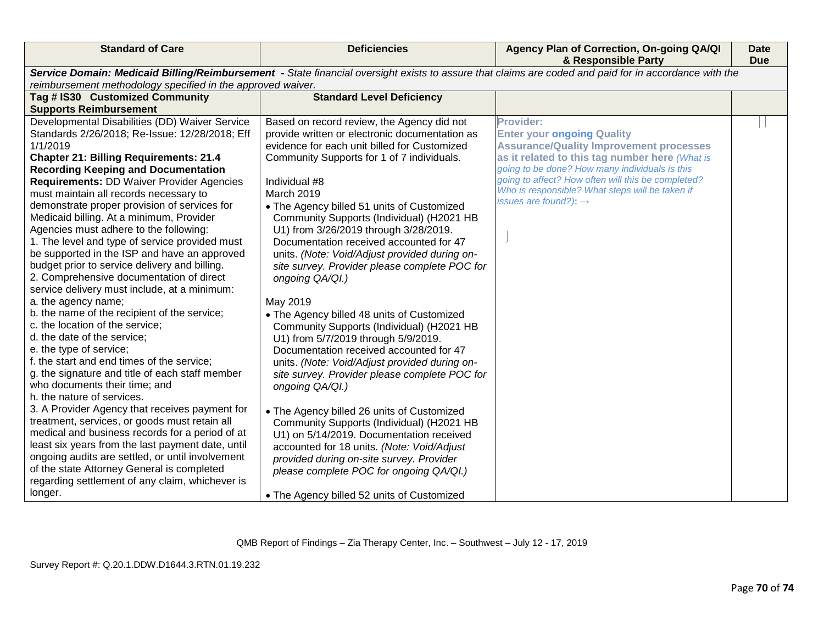| <b>Standard of Care</b>                                     | <b>Deficiencies</b>                            | Agency Plan of Correction, On-going QA/QI<br>& Responsible Party                                                                                      | <b>Date</b><br><b>Due</b> |
|-------------------------------------------------------------|------------------------------------------------|-------------------------------------------------------------------------------------------------------------------------------------------------------|---------------------------|
|                                                             |                                                | Service Domain: Medicaid Billing/Reimbursement - State financial oversight exists to assure that claims are coded and paid for in accordance with the |                           |
| reimbursement methodology specified in the approved waiver. |                                                |                                                                                                                                                       |                           |
| Tag # IS30 Customized Community                             | <b>Standard Level Deficiency</b>               |                                                                                                                                                       |                           |
| <b>Supports Reimbursement</b>                               |                                                |                                                                                                                                                       |                           |
| Developmental Disabilities (DD) Waiver Service              | Based on record review, the Agency did not     | Provider:                                                                                                                                             |                           |
| Standards 2/26/2018; Re-Issue: 12/28/2018; Eff              | provide written or electronic documentation as | <b>Enter your ongoing Quality</b>                                                                                                                     |                           |
| 1/1/2019                                                    | evidence for each unit billed for Customized   | <b>Assurance/Quality Improvement processes</b>                                                                                                        |                           |
| <b>Chapter 21: Billing Requirements: 21.4</b>               | Community Supports for 1 of 7 individuals.     | as it related to this tag number here (What is                                                                                                        |                           |
| <b>Recording Keeping and Documentation</b>                  |                                                | going to be done? How many individuals is this                                                                                                        |                           |
| <b>Requirements: DD Waiver Provider Agencies</b>            | Individual #8                                  | going to affect? How often will this be completed?                                                                                                    |                           |
| must maintain all records necessary to                      | March 2019                                     | Who is responsible? What steps will be taken if                                                                                                       |                           |
| demonstrate proper provision of services for                | • The Agency billed 51 units of Customized     | issues are found?): $\rightarrow$                                                                                                                     |                           |
| Medicaid billing. At a minimum, Provider                    | Community Supports (Individual) (H2021 HB      |                                                                                                                                                       |                           |
| Agencies must adhere to the following:                      | U1) from 3/26/2019 through 3/28/2019.          |                                                                                                                                                       |                           |
| 1. The level and type of service provided must              | Documentation received accounted for 47        |                                                                                                                                                       |                           |
| be supported in the ISP and have an approved                | units. (Note: Void/Adjust provided during on-  |                                                                                                                                                       |                           |
| budget prior to service delivery and billing.               | site survey. Provider please complete POC for  |                                                                                                                                                       |                           |
| 2. Comprehensive documentation of direct                    | ongoing QA/QI.)                                |                                                                                                                                                       |                           |
| service delivery must include, at a minimum:                |                                                |                                                                                                                                                       |                           |
| a. the agency name;                                         | May 2019                                       |                                                                                                                                                       |                           |
| b. the name of the recipient of the service;                | • The Agency billed 48 units of Customized     |                                                                                                                                                       |                           |
| c. the location of the service;                             | Community Supports (Individual) (H2021 HB      |                                                                                                                                                       |                           |
| d. the date of the service;                                 | U1) from 5/7/2019 through 5/9/2019.            |                                                                                                                                                       |                           |
| e. the type of service;                                     | Documentation received accounted for 47        |                                                                                                                                                       |                           |
| f. the start and end times of the service;                  | units. (Note: Void/Adjust provided during on-  |                                                                                                                                                       |                           |
| g. the signature and title of each staff member             | site survey. Provider please complete POC for  |                                                                                                                                                       |                           |
| who documents their time; and                               | ongoing QA/QI.)                                |                                                                                                                                                       |                           |
| h. the nature of services.                                  |                                                |                                                                                                                                                       |                           |
| 3. A Provider Agency that receives payment for              | • The Agency billed 26 units of Customized     |                                                                                                                                                       |                           |
| treatment, services, or goods must retain all               | Community Supports (Individual) (H2021 HB      |                                                                                                                                                       |                           |
| medical and business records for a period of at             | U1) on 5/14/2019. Documentation received       |                                                                                                                                                       |                           |
| least six years from the last payment date, until           | accounted for 18 units. (Note: Void/Adjust     |                                                                                                                                                       |                           |
| ongoing audits are settled, or until involvement            | provided during on-site survey. Provider       |                                                                                                                                                       |                           |
| of the state Attorney General is completed                  | please complete POC for ongoing QA/QI.)        |                                                                                                                                                       |                           |
| regarding settlement of any claim, whichever is             |                                                |                                                                                                                                                       |                           |
| longer.                                                     | • The Agency billed 52 units of Customized     |                                                                                                                                                       |                           |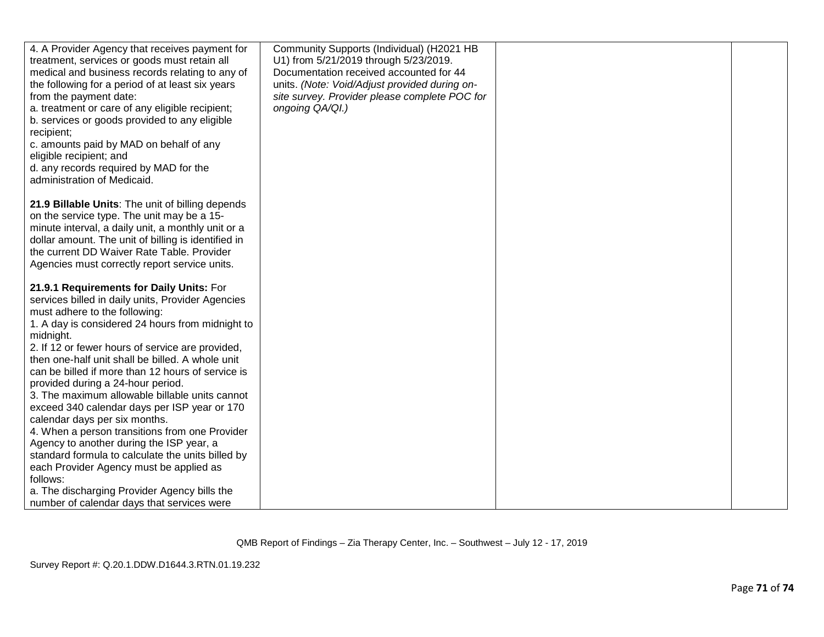| 4. A Provider Agency that receives payment for<br>treatment, services or goods must retain all<br>medical and business records relating to any of<br>the following for a period of at least six years<br>from the payment date:<br>a. treatment or care of any eligible recipient;<br>b. services or goods provided to any eligible<br>recipient;<br>c. amounts paid by MAD on behalf of any<br>eligible recipient; and<br>d. any records required by MAD for the<br>administration of Medicaid.                                                                                                                                                                                                                                                                                                                                             | Community Supports (Individual) (H2021 HB<br>U1) from 5/21/2019 through 5/23/2019.<br>Documentation received accounted for 44<br>units. (Note: Void/Adjust provided during on-<br>site survey. Provider please complete POC for<br>ongoing QA/QI.) |  |
|----------------------------------------------------------------------------------------------------------------------------------------------------------------------------------------------------------------------------------------------------------------------------------------------------------------------------------------------------------------------------------------------------------------------------------------------------------------------------------------------------------------------------------------------------------------------------------------------------------------------------------------------------------------------------------------------------------------------------------------------------------------------------------------------------------------------------------------------|----------------------------------------------------------------------------------------------------------------------------------------------------------------------------------------------------------------------------------------------------|--|
| 21.9 Billable Units: The unit of billing depends<br>on the service type. The unit may be a 15-<br>minute interval, a daily unit, a monthly unit or a<br>dollar amount. The unit of billing is identified in<br>the current DD Waiver Rate Table. Provider<br>Agencies must correctly report service units.                                                                                                                                                                                                                                                                                                                                                                                                                                                                                                                                   |                                                                                                                                                                                                                                                    |  |
| 21.9.1 Requirements for Daily Units: For<br>services billed in daily units, Provider Agencies<br>must adhere to the following:<br>1. A day is considered 24 hours from midnight to<br>midnight.<br>2. If 12 or fewer hours of service are provided,<br>then one-half unit shall be billed. A whole unit<br>can be billed if more than 12 hours of service is<br>provided during a 24-hour period.<br>3. The maximum allowable billable units cannot<br>exceed 340 calendar days per ISP year or 170<br>calendar days per six months.<br>4. When a person transitions from one Provider<br>Agency to another during the ISP year, a<br>standard formula to calculate the units billed by<br>each Provider Agency must be applied as<br>follows:<br>a. The discharging Provider Agency bills the<br>number of calendar days that services were |                                                                                                                                                                                                                                                    |  |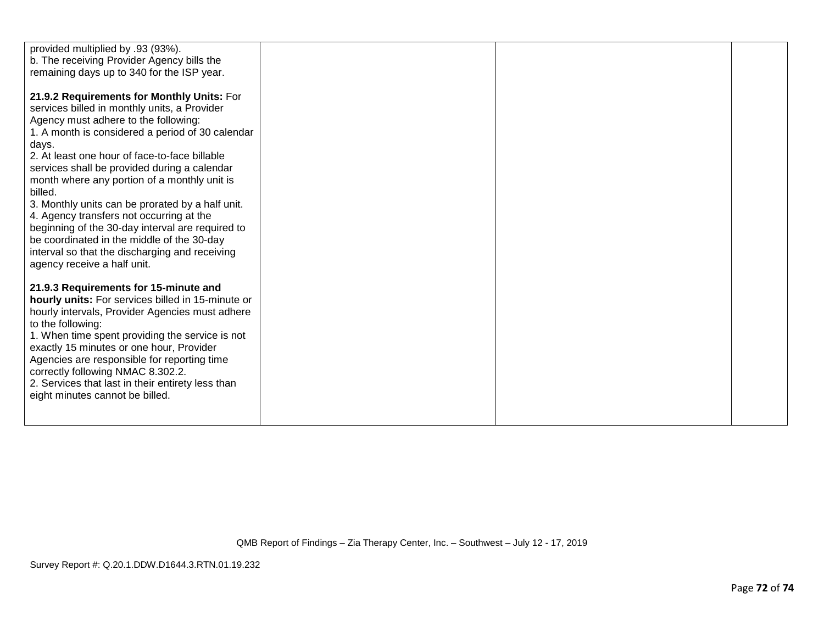| provided multiplied by .93 (93%).<br>b. The receiving Provider Agency bills the<br>remaining days up to 340 for the ISP year.<br>21.9.2 Requirements for Monthly Units: For<br>services billed in monthly units, a Provider<br>Agency must adhere to the following:<br>1. A month is considered a period of 30 calendar<br>days.<br>2. At least one hour of face-to-face billable<br>services shall be provided during a calendar<br>month where any portion of a monthly unit is<br>billed.<br>3. Monthly units can be prorated by a half unit.<br>4. Agency transfers not occurring at the<br>beginning of the 30-day interval are required to<br>be coordinated in the middle of the 30-day |  |  |
|------------------------------------------------------------------------------------------------------------------------------------------------------------------------------------------------------------------------------------------------------------------------------------------------------------------------------------------------------------------------------------------------------------------------------------------------------------------------------------------------------------------------------------------------------------------------------------------------------------------------------------------------------------------------------------------------|--|--|
| interval so that the discharging and receiving<br>agency receive a half unit.<br>21.9.3 Requirements for 15-minute and<br>hourly units: For services billed in 15-minute or<br>hourly intervals, Provider Agencies must adhere<br>to the following:<br>1. When time spent providing the service is not<br>exactly 15 minutes or one hour, Provider<br>Agencies are responsible for reporting time<br>correctly following NMAC 8.302.2.<br>2. Services that last in their entirety less than<br>eight minutes cannot be billed.                                                                                                                                                                 |  |  |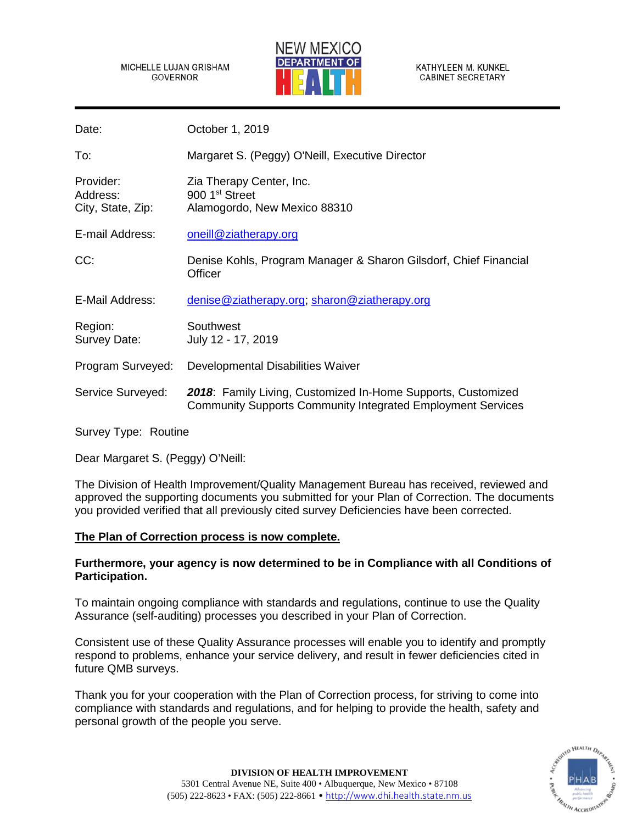## MICHELLE LUJAN GRISHAM GOVERNOR



## KATHYLEEN M. KUNKEL **CABINET SECRETARY**

| Date:                                      | October 1, 2019                                                                                                                    |
|--------------------------------------------|------------------------------------------------------------------------------------------------------------------------------------|
| To:                                        | Margaret S. (Peggy) O'Neill, Executive Director                                                                                    |
| Provider:<br>Address:<br>City, State, Zip: | Zia Therapy Center, Inc.<br>900 1 <sup>st</sup> Street<br>Alamogordo, New Mexico 88310                                             |
| E-mail Address:                            | oneill@ziatherapy.org                                                                                                              |
| CC:                                        | Denise Kohls, Program Manager & Sharon Gilsdorf, Chief Financial<br>Officer                                                        |
| E-Mail Address:                            | denise@ziatherapy.org; sharon@ziatherapy.org                                                                                       |
| Region:<br>Survey Date:                    | Southwest<br>July 12 - 17, 2019                                                                                                    |
| Program Surveyed:                          | Developmental Disabilities Waiver                                                                                                  |
| Service Surveyed:                          | 2018: Family Living, Customized In-Home Supports, Customized<br><b>Community Supports Community Integrated Employment Services</b> |

Survey Type: Routine

Dear Margaret S. (Peggy) O'Neill:

The Division of Health Improvement/Quality Management Bureau has received, reviewed and approved the supporting documents you submitted for your Plan of Correction. The documents you provided verified that all previously cited survey Deficiencies have been corrected.

## **The Plan of Correction process is now complete.**

## **Furthermore, your agency is now determined to be in Compliance with all Conditions of Participation.**

To maintain ongoing compliance with standards and regulations, continue to use the Quality Assurance (self-auditing) processes you described in your Plan of Correction.

Consistent use of these Quality Assurance processes will enable you to identify and promptly respond to problems, enhance your service delivery, and result in fewer deficiencies cited in future QMB surveys.

Thank you for your cooperation with the Plan of Correction process, for striving to come into compliance with standards and regulations, and for helping to provide the health, safety and personal growth of the people you serve.